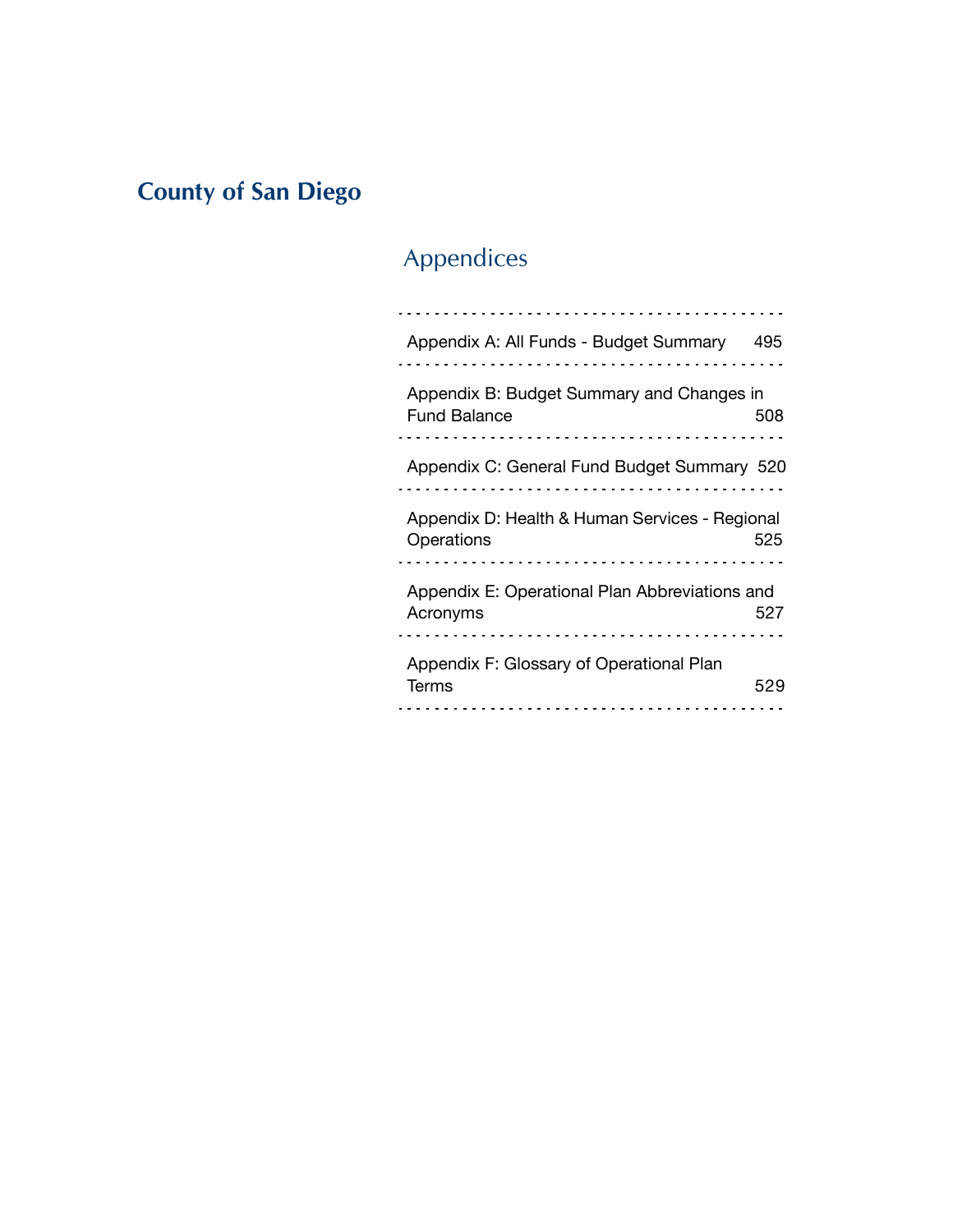# **County of San Diego**

# Appendices

| Appendix A: All Funds - Budget Summary                           | 495 |
|------------------------------------------------------------------|-----|
| Appendix B: Budget Summary and Changes in<br><b>Fund Balance</b> | 508 |
| Appendix C: General Fund Budget Summary 520                      |     |
| Appendix D: Health & Human Services - Regional<br>Operations     | 525 |
| Appendix E: Operational Plan Abbreviations and<br>Acronyms       | 527 |
| Appendix F: Glossary of Operational Plan<br>Terms                | 529 |
|                                                                  |     |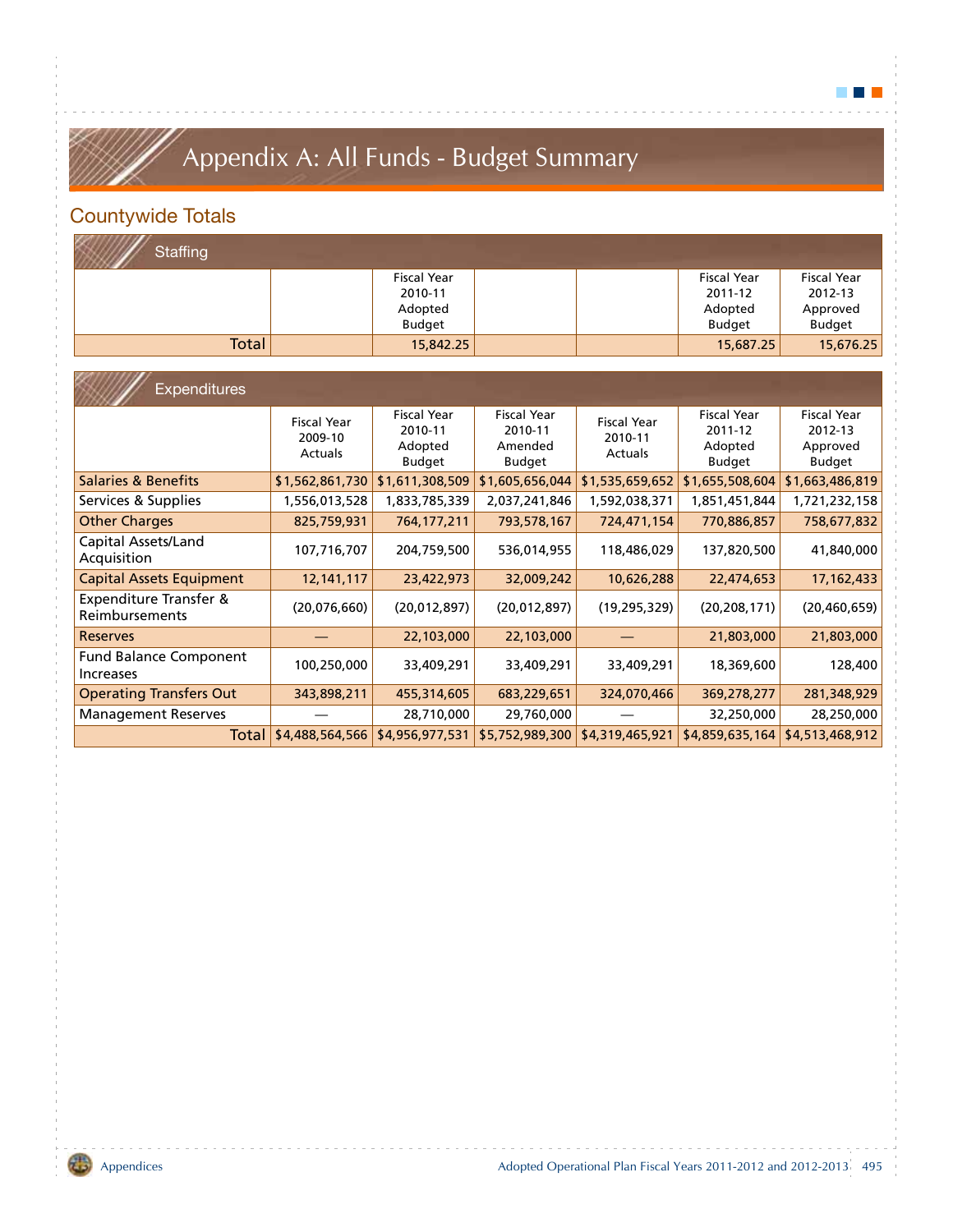# Appendix A: All Funds - Budget Summary

#### Countywide Totals

| k<br><b>Staffing</b> |               |                    |                    |
|----------------------|---------------|--------------------|--------------------|
|                      | Fiscal Year   | <b>Fiscal Year</b> | <b>Fiscal Year</b> |
|                      | 2010-11       | 2011-12            | 2012-13            |
|                      | Adopted       | Adopted            | Approved           |
|                      | <b>Budget</b> | Budget             | <b>Budget</b>      |
| Total                | 15,842.25     | 15,687.25          | 15,676.25          |

| <b>Expenditures</b>                        |                                          |                                                           |                                                    |                                          |                                                    |                                                     |
|--------------------------------------------|------------------------------------------|-----------------------------------------------------------|----------------------------------------------------|------------------------------------------|----------------------------------------------------|-----------------------------------------------------|
|                                            | <b>Fiscal Year</b><br>2009-10<br>Actuals | <b>Fiscal Year</b><br>2010-11<br>Adopted<br><b>Budget</b> | <b>Fiscal Year</b><br>2010-11<br>Amended<br>Budget | <b>Fiscal Year</b><br>2010-11<br>Actuals | <b>Fiscal Year</b><br>2011-12<br>Adopted<br>Budget | <b>Fiscal Year</b><br>2012-13<br>Approved<br>Budget |
| <b>Salaries &amp; Benefits</b>             | \$1,562,861,730                          | \$1,611,308,509                                           | \$1,605,656,044                                    | \$1,535,659,652                          | \$1,655,508,604                                    | \$1,663,486,819                                     |
| Services & Supplies                        | 1,556,013,528                            | 1,833,785,339                                             | 2,037,241,846                                      | 1,592,038,371                            | 1,851,451,844                                      | 1,721,232,158                                       |
| <b>Other Charges</b>                       | 825,759,931                              | 764, 177, 211                                             | 793,578,167                                        | 724,471,154                              | 770,886,857                                        | 758,677,832                                         |
| Capital Assets/Land<br>Acquisition         | 107,716,707                              | 204,759,500                                               | 536,014,955                                        | 118,486,029                              | 137,820,500                                        | 41,840,000                                          |
| <b>Capital Assets Equipment</b>            | 12,141,117                               | 23,422,973                                                | 32,009,242                                         | 10,626,288                               | 22,474,653                                         | 17,162,433                                          |
| Expenditure Transfer &<br>Reimbursements   | (20,076,660)                             | (20,012,897)                                              | (20, 012, 897)                                     | (19, 295, 329)                           | (20, 208, 171)                                     | (20, 460, 659)                                      |
| <b>Reserves</b>                            |                                          | 22,103,000                                                | 22,103,000                                         |                                          | 21,803,000                                         | 21,803,000                                          |
| <b>Fund Balance Component</b><br>Increases | 100,250,000                              | 33,409,291                                                | 33,409,291                                         | 33,409,291                               | 18,369,600                                         | 128,400                                             |
| <b>Operating Transfers Out</b>             | 343,898,211                              | 455,314,605                                               | 683,229,651                                        | 324,070,466                              | 369,278,277                                        | 281,348,929                                         |
| <b>Management Reserves</b>                 |                                          | 28,710,000                                                | 29,760,000                                         |                                          | 32,250,000                                         | 28,250,000                                          |
| Total                                      | \$4,488,564,566                          | \$4,956,977,531                                           | \$5,752,989,300                                    | \$4,319,465,921                          | $$4,859,635,164 \mid $4,513,468,912$               |                                                     |

**The Figure**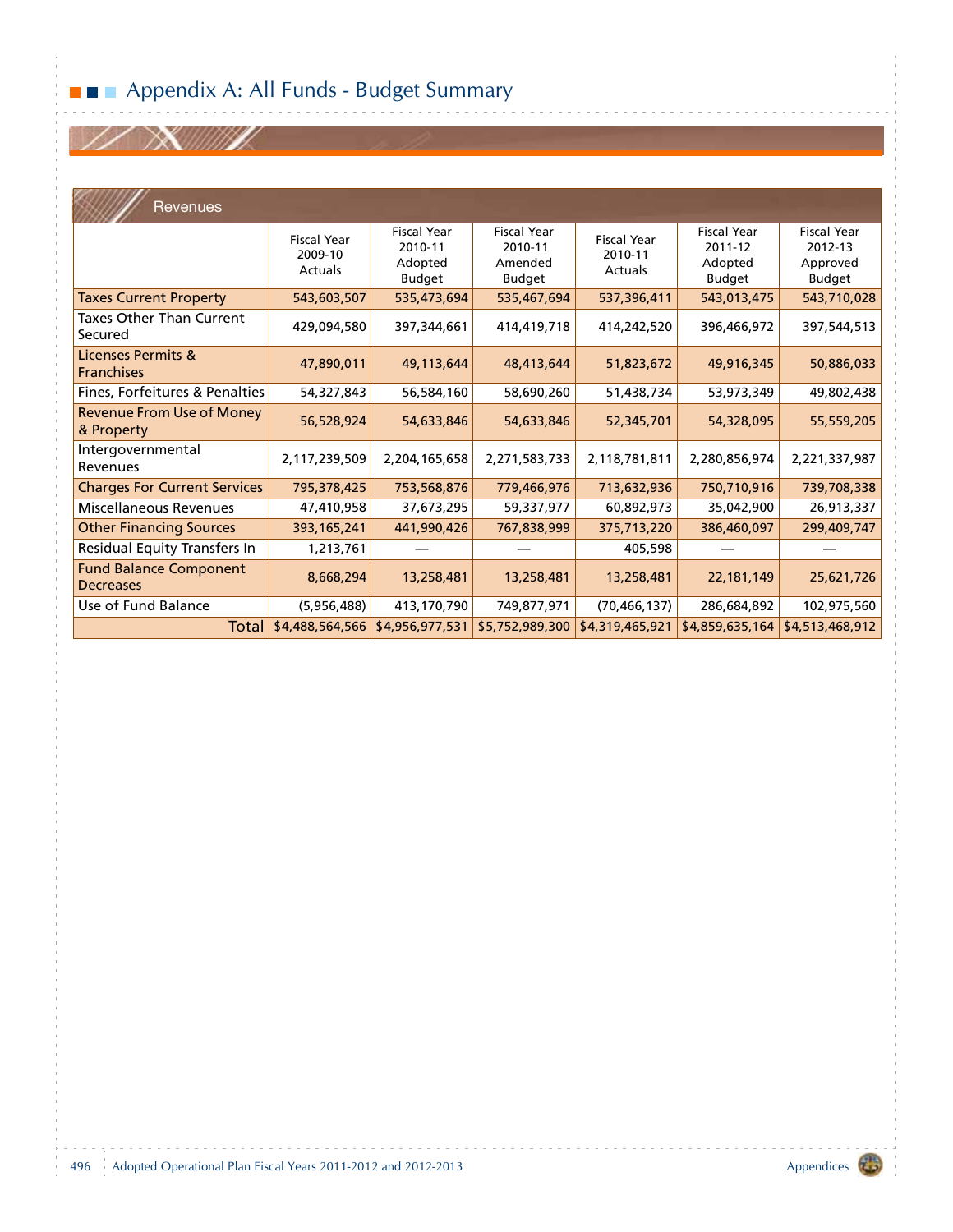#### **Revenues** Fiscal Year 2009-10 Actuals Fiscal Year 2010-11 Adopted Budget Fiscal Year 2010-11 Amended Budget Fiscal Year 2010-11 Actuals Fiscal Year 2011-12 Adopted Budget Fiscal Year 2012-13 Approved Budget Taxes Current Property 543,603,507 535,473,694 535,467,694 537,396,411 543,013,475 543,710,028 Taxes Other Than Current<br>Secured Secured 429,094,580 397,344,661 414,419,718 414,242,520 396,466,972 397,544,513 Licenses Permits & Franchises 47,890,011 49,113,644 48,413,644 51,823,672 49,916,345 50,886,033 Fines, Forfeitures & Penalties | 54,327,843 | 56,584,160 | 58,690,260 | 51,438,734 | 53,973,349 | 49,802,438 Revenue From Use of Money & Property 56,528,924 54,633,846 54,633,846 52,345,701 54,328,095 55,559,205 Intergovernmental Revenues 2,117,239,509 2,204,165,658 2,271,583,733 2,118,781,811 2,280,856,974 2,221,337,987 Charges For Current Services | 795,378,425 | 753,568,876 | 779,466,976 | 713,632,936 | 750,710,916 | 739,708,338 Miscellaneous Revenues 47,410,958 37,673,295 59,337,977 60,892,973 35,042,900 26,913,337 Other Financing Sources | 393,165,241 441,990,426 767,838,999 375,713,220 386,460,097 299,409,747 Residual Equity Transfers In 1,213,761 — — 405,598 — — Fund Balance Component Decreases 8,668,294 13,258,481 13,258,481 13,258,481 22,181,149 25,621,726 Use of Fund Balance (5,956,488) 413,170,790 749,877,971 (70,466,137) 286,684,892 102,975,560 Total \$4,488,564,566 \$4,956,977,531 \$5,752,989,300 \$4,319,465,921 \$4,859,635,164 \$4,513,468,912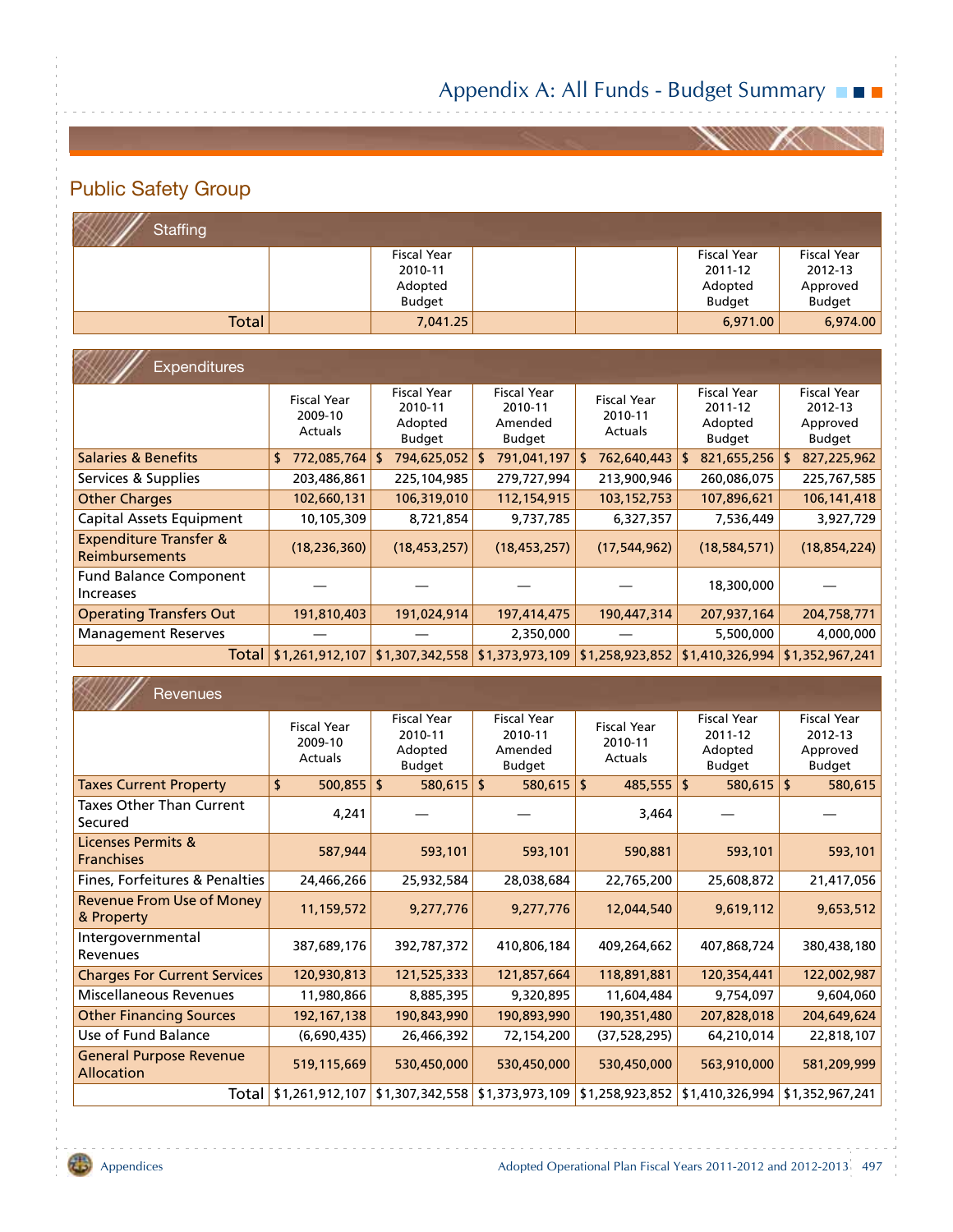#### Public Safety Group

| Staffing |                    |                    |                    |
|----------|--------------------|--------------------|--------------------|
|          | <b>Fiscal Year</b> | <b>Fiscal Year</b> | <b>Fiscal Year</b> |
|          | 2010-11            | 2011-12            | 2012-13            |
|          | Adopted            | Adopted            | Approved           |
|          | Budget             | <b>Budget</b>      | <b>Budget</b>      |
| Total    | 7,041.25           | 6,971.00           | 6,974.00           |

| <b>Expenditures</b>                                        |                                          |                                                                       |                                                    |                                                 |                                                    |                                                            |
|------------------------------------------------------------|------------------------------------------|-----------------------------------------------------------------------|----------------------------------------------------|-------------------------------------------------|----------------------------------------------------|------------------------------------------------------------|
|                                                            | <b>Fiscal Year</b><br>2009-10<br>Actuals | <b>Fiscal Year</b><br>2010-11<br>Adopted<br>Budget                    | <b>Fiscal Year</b><br>2010-11<br>Amended<br>Budget | <b>Fiscal Year</b><br>2010-11<br><b>Actuals</b> | <b>Fiscal Year</b><br>2011-12<br>Adopted<br>Budget | <b>Fiscal Year</b><br>2012-13<br>Approved<br><b>Budget</b> |
| <b>Salaries &amp; Benefits</b>                             | 772,085,764<br>\$                        | 794,625,052 \$<br>-\$                                                 | 791,041,197                                        | 762,640,443<br><sup>5</sup>                     | 821,655,256                                        | 827,225,962<br>S                                           |
| Services & Supplies                                        | 203,486,861                              | 225,104,985                                                           | 279,727,994                                        | 213,900,946                                     | 260,086,075                                        | 225,767,585                                                |
| <b>Other Charges</b>                                       | 102,660,131                              | 106,319,010                                                           | 112, 154, 915                                      | 103, 152, 753                                   | 107,896,621                                        | 106, 141, 418                                              |
| Capital Assets Equipment                                   | 10,105,309                               | 8,721,854                                                             | 9,737,785                                          | 6,327,357                                       | 7,536,449                                          | 3,927,729                                                  |
| <b>Expenditure Transfer &amp;</b><br><b>Reimbursements</b> | (18, 236, 360)                           | (18, 453, 257)                                                        | (18, 453, 257)                                     | (17, 544, 962)                                  | (18, 584, 571)                                     | (18, 854, 224)                                             |
| <b>Fund Balance Component</b><br><b>Increases</b>          |                                          |                                                                       |                                                    |                                                 | 18,300,000                                         |                                                            |
| <b>Operating Transfers Out</b>                             | 191,810,403                              | 191,024,914                                                           | 197,414,475                                        | 190,447,314                                     | 207,937,164                                        | 204,758,771                                                |
| <b>Management Reserves</b>                                 |                                          |                                                                       | 2,350,000                                          |                                                 | 5,500,000                                          | 4,000,000                                                  |
|                                                            | Total   \$1,261,912,107                  | \$1,307,342,558   \$1,373,973,109   \$1,258,923,852   \$1,410,326,994 |                                                    |                                                 |                                                    | \$1,352,967,241                                            |

| Revenues                                            |                                          |                                                                                                       |                                                           |                                          |                                                    |                                                            |
|-----------------------------------------------------|------------------------------------------|-------------------------------------------------------------------------------------------------------|-----------------------------------------------------------|------------------------------------------|----------------------------------------------------|------------------------------------------------------------|
|                                                     | <b>Fiscal Year</b><br>2009-10<br>Actuals | <b>Fiscal Year</b><br>2010-11<br>Adopted<br>Budget                                                    | <b>Fiscal Year</b><br>2010-11<br>Amended<br><b>Budget</b> | <b>Fiscal Year</b><br>2010-11<br>Actuals | <b>Fiscal Year</b><br>2011-12<br>Adopted<br>Budget | <b>Fiscal Year</b><br>2012-13<br>Approved<br><b>Budget</b> |
| <b>Taxes Current Property</b>                       | $500,855$ \$<br>\$                       | $580,615$ \$                                                                                          | 580,615                                                   | $485,555$ \$<br>\$                       | 580,615                                            | \$<br>580,615                                              |
| <b>Taxes Other Than Current</b><br>Secured          | 4,241                                    |                                                                                                       |                                                           | 3,464                                    |                                                    |                                                            |
| <b>Licenses Permits &amp;</b><br><b>Franchises</b>  | 587,944                                  | 593,101                                                                                               | 593,101                                                   | 590,881                                  | 593,101                                            | 593,101                                                    |
| Fines, Forfeitures & Penalties                      | 24,466,266                               | 25,932,584                                                                                            | 28,038,684                                                | 22,765,200                               | 25,608,872                                         | 21,417,056                                                 |
| <b>Revenue From Use of Money</b><br>& Property      | 11,159,572                               | 9,277,776                                                                                             | 9,277,776                                                 | 12,044,540                               | 9,619,112                                          | 9,653,512                                                  |
| Intergovernmental<br>Revenues                       | 387,689,176                              | 392,787,372                                                                                           | 410,806,184                                               | 409,264,662                              | 407,868,724                                        | 380,438,180                                                |
| <b>Charges For Current Services</b>                 | 120,930,813                              | 121,525,333                                                                                           | 121,857,664                                               | 118,891,881                              | 120,354,441                                        | 122,002,987                                                |
| <b>Miscellaneous Revenues</b>                       | 11,980,866                               | 8,885,395                                                                                             | 9,320,895                                                 | 11,604,484                               | 9,754,097                                          | 9,604,060                                                  |
| <b>Other Financing Sources</b>                      | 192, 167, 138                            | 190,843,990                                                                                           | 190,893,990                                               | 190,351,480                              | 207,828,018                                        | 204,649,624                                                |
| Use of Fund Balance                                 | (6,690,435)                              | 26,466,392                                                                                            | 72,154,200                                                | (37, 528, 295)                           | 64,210,014                                         | 22,818,107                                                 |
| <b>General Purpose Revenue</b><br><b>Allocation</b> | 519,115,669                              | 530,450,000                                                                                           | 530,450,000                                               | 530,450,000                              | 563,910,000                                        | 581,209,999                                                |
| Total                                               |                                          | $$1,261,912,107$ $$1,307,342,558$ $$1,373,973,109$ $$1,258,923,852$ $$1,410,326,994$ $$1,352,967,241$ |                                                           |                                          |                                                    |                                                            |

Appendices Adopted Operational Plan Fiscal Years 2011-2012 and 2012-2013 497

-----------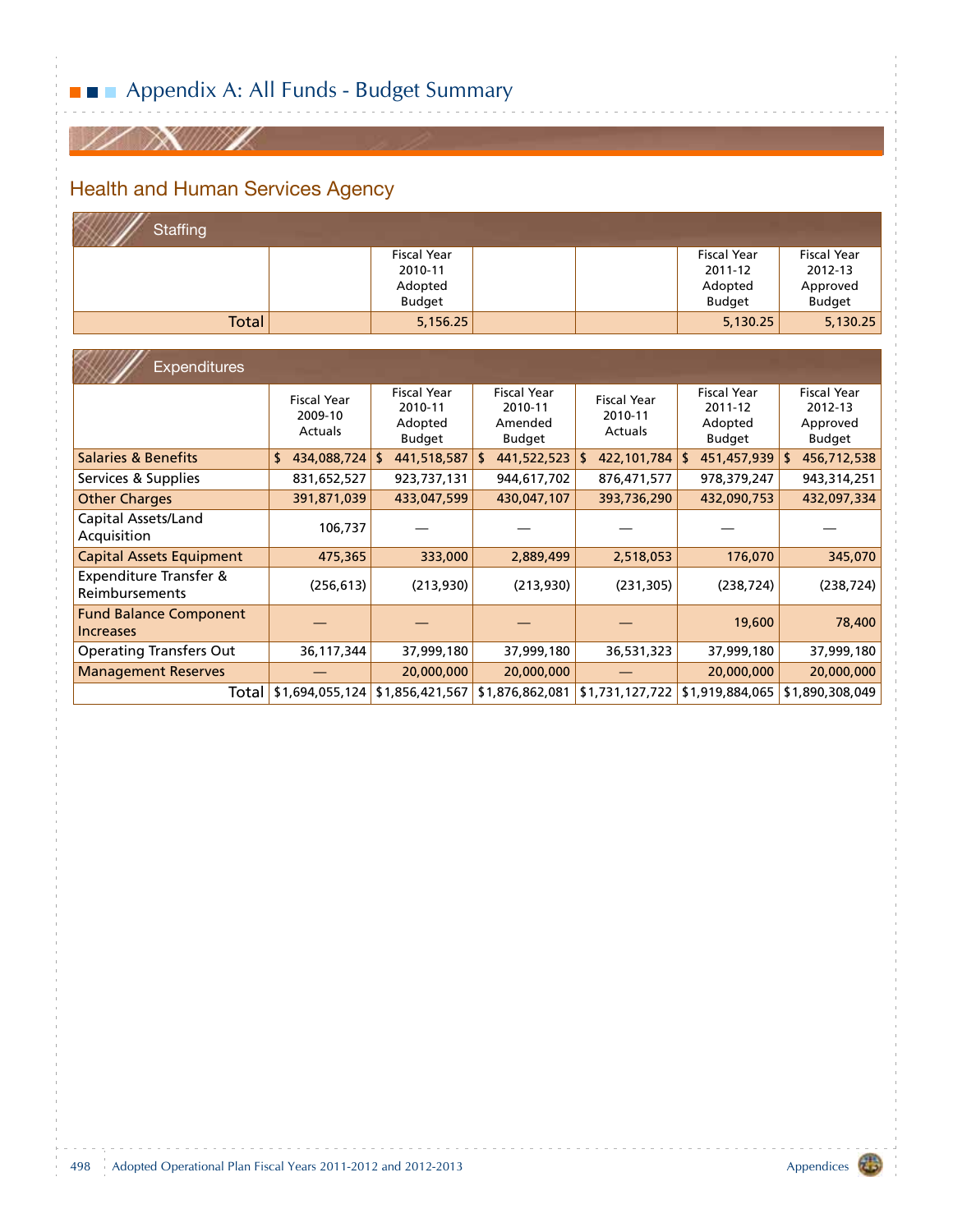#### Health and Human Services Agency

| Staffing |               |             |                    |
|----------|---------------|-------------|--------------------|
|          | Fiscal Year   | Fiscal Year | <b>Fiscal Year</b> |
|          | 2010-11       | 2011-12     | 2012-13            |
|          | Adopted       | Adopted     | Approved           |
|          | <b>Budget</b> | Budget      | <b>Budget</b>      |
| Total    | 5,156.25      | 5,130.25    | 5,130.25           |

| <b>Expenditures</b>                               |                                                 |                                                           |                                                           |                                                 |                                                             |                                                            |
|---------------------------------------------------|-------------------------------------------------|-----------------------------------------------------------|-----------------------------------------------------------|-------------------------------------------------|-------------------------------------------------------------|------------------------------------------------------------|
|                                                   | <b>Fiscal Year</b><br>2009-10<br><b>Actuals</b> | <b>Fiscal Year</b><br>2010-11<br>Adopted<br><b>Budget</b> | <b>Fiscal Year</b><br>2010-11<br>Amended<br><b>Budget</b> | <b>Fiscal Year</b><br>2010-11<br><b>Actuals</b> | <b>Fiscal Year</b><br>2011-12<br>Adopted<br>Budget          | <b>Fiscal Year</b><br>2012-13<br>Approved<br><b>Budget</b> |
| <b>Salaries &amp; Benefits</b>                    | 434,088,724<br>\$                               | \$<br>441,518,587                                         | 441,522,523                                               | $422, 101, 784$ \$<br>\$                        | 451,457,939                                                 | \$<br>456,712,538                                          |
| Services & Supplies                               | 831,652,527                                     | 923,737,131                                               | 944,617,702                                               | 876,471,577                                     | 978,379,247                                                 | 943,314,251                                                |
| <b>Other Charges</b>                              | 391,871,039                                     | 433,047,599                                               | 430,047,107                                               | 393,736,290                                     | 432,090,753                                                 | 432,097,334                                                |
| Capital Assets/Land<br>Acquisition                | 106,737                                         |                                                           |                                                           |                                                 |                                                             |                                                            |
| <b>Capital Assets Equipment</b>                   | 475,365                                         | 333,000                                                   | 2,889,499                                                 | 2,518,053                                       | 176,070                                                     | 345,070                                                    |
| Expenditure Transfer &<br><b>Reimbursements</b>   | (256, 613)                                      | (213,930)                                                 | (213,930)                                                 | (231, 305)                                      | (238, 724)                                                  | (238, 724)                                                 |
| <b>Fund Balance Component</b><br><b>Increases</b> |                                                 |                                                           |                                                           |                                                 | 19,600                                                      | 78,400                                                     |
| <b>Operating Transfers Out</b>                    | 36,117,344                                      | 37,999,180                                                | 37,999,180                                                | 36,531,323                                      | 37,999,180                                                  | 37,999,180                                                 |
| <b>Management Reserves</b>                        |                                                 | 20,000,000                                                | 20,000,000                                                |                                                 | 20,000,000                                                  | 20,000,000                                                 |
| Total                                             |                                                 | $$1,694,055,124$ $$1,856,421,567$                         |                                                           |                                                 | $\vert$ \$1,876,862,081   \$1,731,127,722   \$1,919,884,065 | \$1,890,308,049                                            |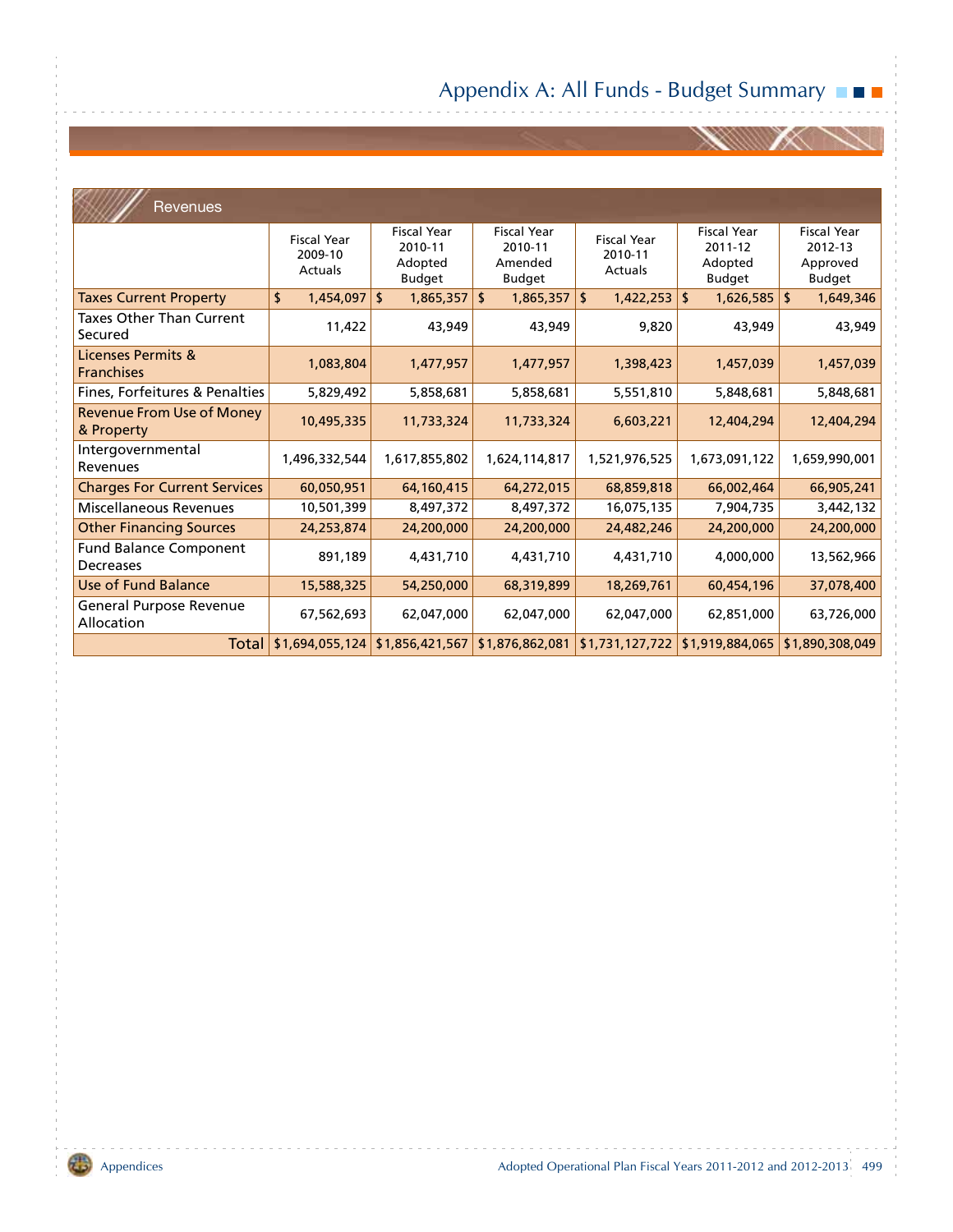| <b>Revenues</b>                                    |                                          |                                                                                      |                                                           |                                          |                                                    |                                                            |
|----------------------------------------------------|------------------------------------------|--------------------------------------------------------------------------------------|-----------------------------------------------------------|------------------------------------------|----------------------------------------------------|------------------------------------------------------------|
|                                                    | <b>Fiscal Year</b><br>2009-10<br>Actuals | <b>Fiscal Year</b><br>2010-11<br>Adopted<br><b>Budget</b>                            | <b>Fiscal Year</b><br>2010-11<br>Amended<br><b>Budget</b> | <b>Fiscal Year</b><br>2010-11<br>Actuals | <b>Fiscal Year</b><br>2011-12<br>Adopted<br>Budget | <b>Fiscal Year</b><br>2012-13<br>Approved<br><b>Budget</b> |
| <b>Taxes Current Property</b>                      | 1,454,097<br>\$                          | $\vert$ \$<br>$1,865,357$ \$                                                         | 1,865,357                                                 | \$<br>$1,422,253$ \$                     | 1,626,585                                          | \$<br>1,649,346                                            |
| Taxes Other Than Current<br>Secured                | 11,422                                   | 43,949                                                                               | 43,949                                                    | 9,820                                    | 43,949                                             | 43,949                                                     |
| <b>Licenses Permits &amp;</b><br><b>Franchises</b> | 1,083,804                                | 1,477,957                                                                            | 1,477,957                                                 | 1,398,423                                | 1,457,039                                          | 1,457,039                                                  |
| Fines, Forfeitures & Penalties                     | 5,829,492                                | 5,858,681                                                                            | 5,858,681                                                 | 5,551,810                                | 5,848,681                                          | 5,848,681                                                  |
| <b>Revenue From Use of Money</b><br>& Property     | 10,495,335                               | 11,733,324                                                                           | 11,733,324                                                | 6,603,221                                | 12,404,294                                         | 12,404,294                                                 |
| Intergovernmental<br>Revenues                      | 1,496,332,544                            | 1,617,855,802                                                                        | 1,624,114,817                                             | 1,521,976,525                            | 1,673,091,122                                      | 1,659,990,001                                              |
| <b>Charges For Current Services</b>                | 60,050,951                               | 64,160,415                                                                           | 64,272,015                                                | 68,859,818                               | 66,002,464                                         | 66,905,241                                                 |
| <b>Miscellaneous Revenues</b>                      | 10,501,399                               | 8,497,372                                                                            | 8,497,372                                                 | 16,075,135                               | 7,904,735                                          | 3,442,132                                                  |
| <b>Other Financing Sources</b>                     | 24,253,874                               | 24,200,000                                                                           | 24,200,000                                                | 24,482,246                               | 24,200,000                                         | 24,200,000                                                 |
| <b>Fund Balance Component</b><br><b>Decreases</b>  | 891,189                                  | 4,431,710                                                                            | 4,431,710                                                 | 4,431,710                                | 4,000,000                                          | 13,562,966                                                 |
| <b>Use of Fund Balance</b>                         | 15,588,325                               | 54,250,000                                                                           | 68,319,899                                                | 18,269,761                               | 60,454,196                                         | 37,078,400                                                 |
| <b>General Purpose Revenue</b><br>Allocation       | 67,562,693                               | 62,047,000                                                                           | 62,047,000                                                | 62,047,000                               | 62,851,000                                         | 63,726,000                                                 |
| <b>Total</b>                                       |                                          | $$1,694,055,124$ $$1,856,421,567$ $$1,876,862,081$ $$1,731,127,722$ $$1,919,884,065$ |                                                           |                                          |                                                    | \$1,890,308,049                                            |

<u>. . . . . . . . . . . . . . . .</u>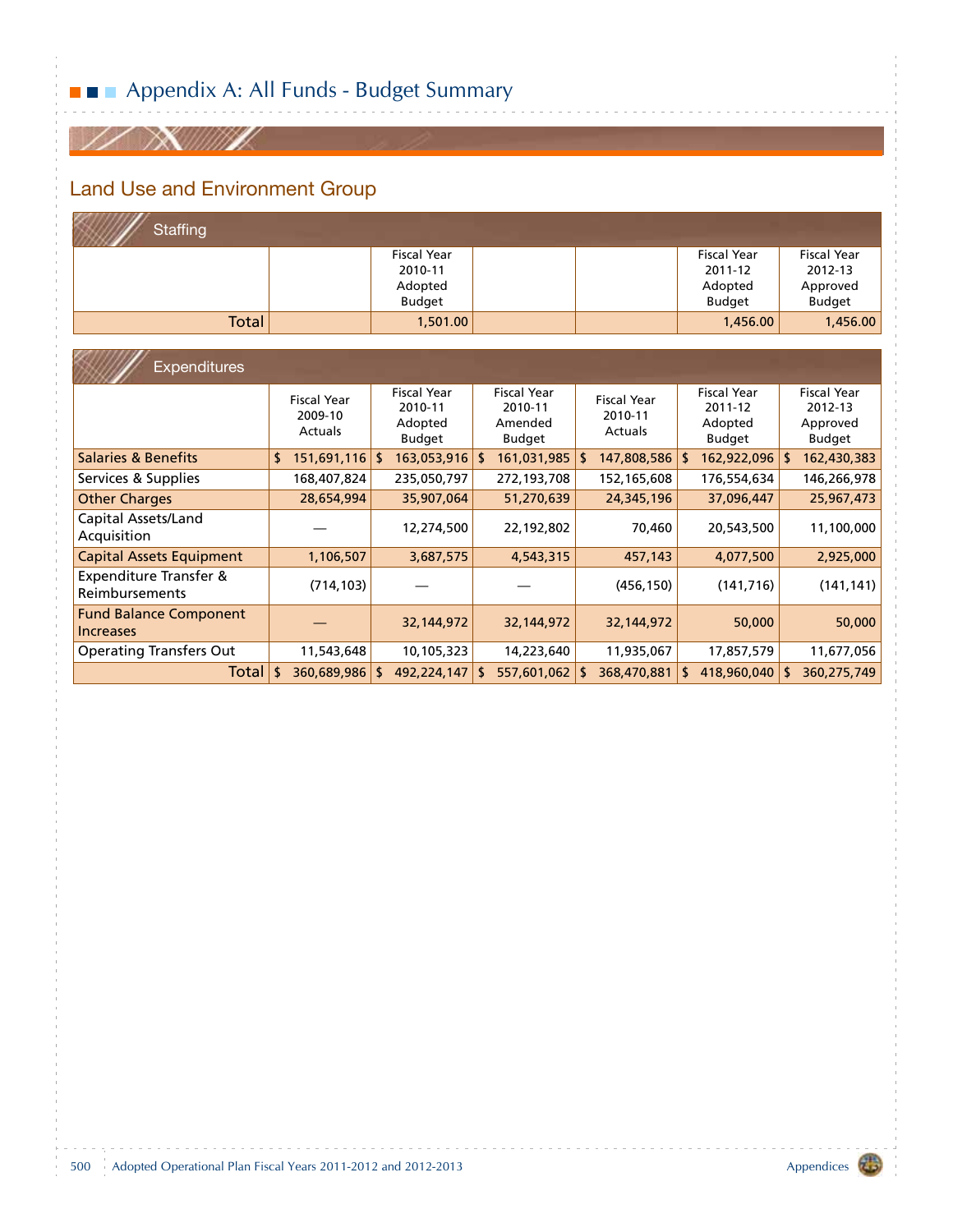#### Land Use and Environment Group

| Staffing |               |             |                    |
|----------|---------------|-------------|--------------------|
|          | Fiscal Year   | Fiscal Year | <b>Fiscal Year</b> |
|          | 2010-11       | 2011-12     | 2012-13            |
|          | Adopted       | Adopted     | Approved           |
|          | <b>Budget</b> | Budget      | <b>Budget</b>      |
| Total    | 1,501.00      | 1,456.00    | 1,456.00           |

| <b>Expenditures</b>                        |                                          |                                                           |                                                    |                                          |                                                    |                                                            |
|--------------------------------------------|------------------------------------------|-----------------------------------------------------------|----------------------------------------------------|------------------------------------------|----------------------------------------------------|------------------------------------------------------------|
|                                            | <b>Fiscal Year</b><br>2009-10<br>Actuals | <b>Fiscal Year</b><br>2010-11<br>Adopted<br><b>Budget</b> | <b>Fiscal Year</b><br>2010-11<br>Amended<br>Budget | <b>Fiscal Year</b><br>2010-11<br>Actuals | <b>Fiscal Year</b><br>2011-12<br>Adopted<br>Budget | <b>Fiscal Year</b><br>2012-13<br>Approved<br><b>Budget</b> |
| <b>Salaries &amp; Benefits</b>             | 151,691,116<br>\$                        | 163,053,916<br>\$                                         | 161,031,985<br>-\$                                 | 147,808,586                              | 162,922,096<br>S                                   | 162,430,383<br>\$                                          |
| Services & Supplies                        | 168,407,824                              | 235,050,797                                               | 272,193,708                                        | 152,165,608                              | 176,554,634                                        | 146,266,978                                                |
| <b>Other Charges</b>                       | 28,654,994                               | 35,907,064                                                | 51,270,639                                         | 24,345,196                               | 37,096,447                                         | 25,967,473                                                 |
| Capital Assets/Land<br>Acquisition         |                                          | 12,274,500                                                | 22,192,802                                         | 70,460                                   | 20,543,500                                         | 11,100,000                                                 |
| <b>Capital Assets Equipment</b>            | 1,106,507                                | 3,687,575                                                 | 4,543,315                                          | 457,143                                  | 4,077,500                                          | 2,925,000                                                  |
| Expenditure Transfer &<br>Reimbursements   | (714, 103)                               |                                                           |                                                    | (456, 150)                               | (141, 716)                                         | (141, 141)                                                 |
| <b>Fund Balance Component</b><br>Increases |                                          | 32,144,972                                                | 32,144,972                                         | 32,144,972                               | 50,000                                             | 50,000                                                     |
| <b>Operating Transfers Out</b>             | 11,543,648                               | 10,105,323                                                | 14,223,640                                         | 11,935,067                               | 17,857,579                                         | 11,677,056                                                 |
| Total                                      | 360,689,986<br>S                         | 492,224,147                                               | 557,601,062                                        | 368,470,881                              | 418,960,040                                        | 360,275,749                                                |

-----------------------------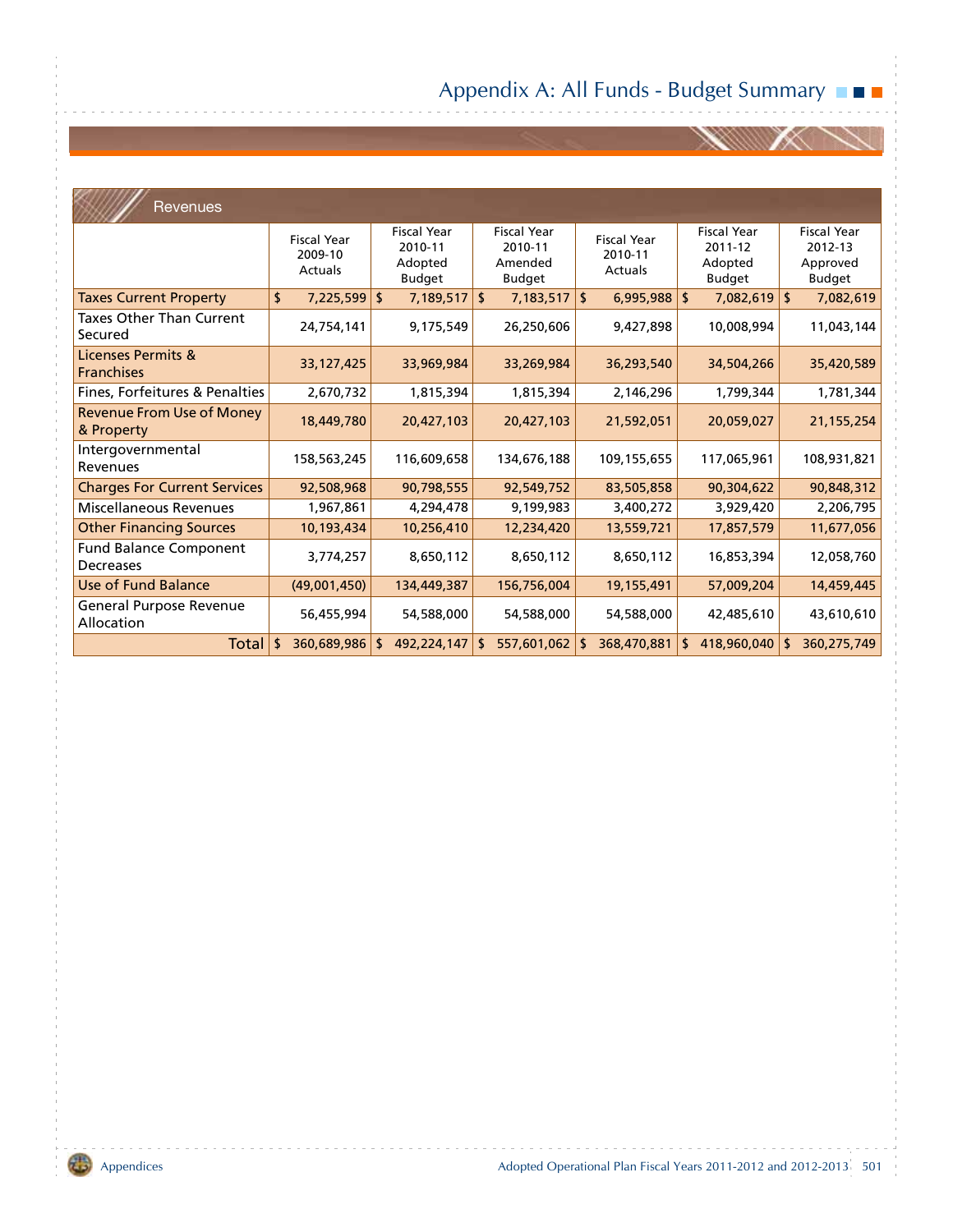| Revenues                                           |                                          |                                                           |                                                           |                                          |                                                           |                                                            |
|----------------------------------------------------|------------------------------------------|-----------------------------------------------------------|-----------------------------------------------------------|------------------------------------------|-----------------------------------------------------------|------------------------------------------------------------|
|                                                    | <b>Fiscal Year</b><br>2009-10<br>Actuals | <b>Fiscal Year</b><br>2010-11<br>Adopted<br><b>Budget</b> | <b>Fiscal Year</b><br>2010-11<br>Amended<br><b>Budget</b> | <b>Fiscal Year</b><br>2010-11<br>Actuals | <b>Fiscal Year</b><br>2011-12<br>Adopted<br><b>Budget</b> | <b>Fiscal Year</b><br>2012-13<br>Approved<br><b>Budget</b> |
| <b>Taxes Current Property</b>                      | 7,225,599<br>\$                          | $\vert$ \$<br>$7,189,517$ \$                              | 7,183,517                                                 | \$<br>$6,995,988$ \$                     | 7,082,619                                                 | \$<br>7,082,619                                            |
| <b>Taxes Other Than Current</b><br>Secured         | 24,754,141                               | 9,175,549                                                 | 26,250,606                                                | 9,427,898                                | 10,008,994                                                | 11,043,144                                                 |
| <b>Licenses Permits &amp;</b><br><b>Franchises</b> | 33,127,425                               | 33,969,984                                                | 33,269,984                                                | 36,293,540                               | 34,504,266                                                | 35,420,589                                                 |
| Fines, Forfeitures & Penalties                     | 2,670,732                                | 1,815,394                                                 | 1,815,394                                                 | 2,146,296                                | 1,799,344                                                 | 1,781,344                                                  |
| <b>Revenue From Use of Money</b><br>& Property     | 18,449,780                               | 20,427,103                                                | 20,427,103                                                | 21,592,051                               | 20,059,027                                                | 21, 155, 254                                               |
| Intergovernmental<br>Revenues                      | 158,563,245                              | 116,609,658                                               | 134,676,188                                               | 109,155,655                              | 117,065,961                                               | 108,931,821                                                |
| <b>Charges For Current Services</b>                | 92,508,968                               | 90,798,555                                                | 92,549,752                                                | 83,505,858                               | 90,304,622                                                | 90,848,312                                                 |
| <b>Miscellaneous Revenues</b>                      | 1,967,861                                | 4,294,478                                                 | 9,199,983                                                 | 3,400,272                                | 3,929,420                                                 | 2,206,795                                                  |
| <b>Other Financing Sources</b>                     | 10,193,434                               | 10,256,410                                                | 12,234,420                                                | 13,559,721                               | 17,857,579                                                | 11,677,056                                                 |
| <b>Fund Balance Component</b><br><b>Decreases</b>  | 3,774,257                                | 8,650,112                                                 | 8,650,112                                                 | 8,650,112                                | 16,853,394                                                | 12,058,760                                                 |
| <b>Use of Fund Balance</b>                         | (49,001,450)                             | 134,449,387                                               | 156,756,004                                               | 19,155,491                               | 57,009,204                                                | 14,459,445                                                 |
| General Purpose Revenue<br>Allocation              | 56,455,994                               | 54,588,000                                                | 54,588,000                                                | 54,588,000                               | 42,485,610                                                | 43,610,610                                                 |
| Total                                              | 360,689,986                              | $492,224,147$ \$<br>  \$                                  | 557,601,062                                               | 368,470,881<br>\$                        | 418,960,040<br>\$                                         | 360,275,749<br>\$                                          |

<u>. . . . . . . . . . . . . . . . .</u>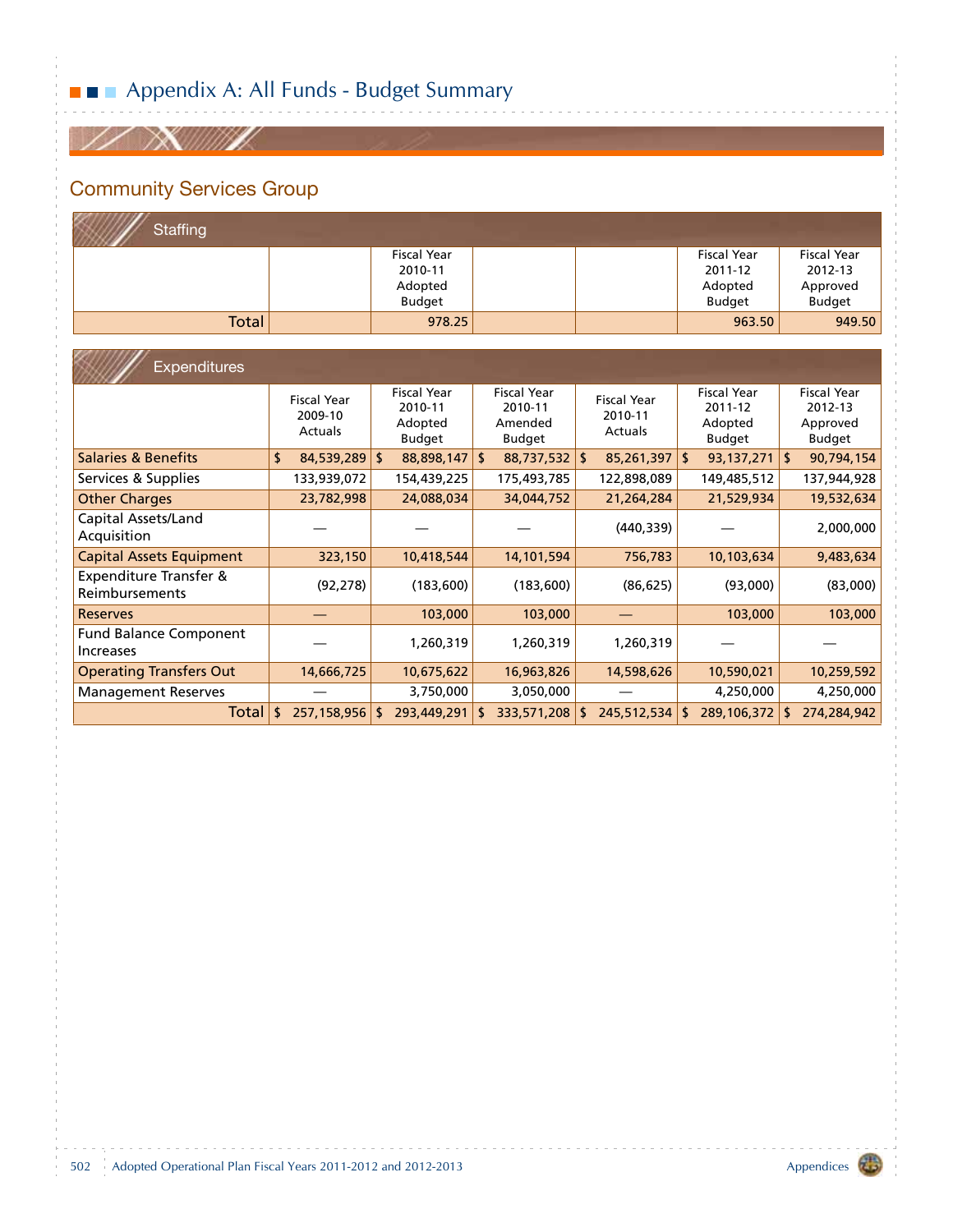#### Community Services Group

| Staffing |             |               |                    |
|----------|-------------|---------------|--------------------|
|          | Fiscal Year | Fiscal Year   | <b>Fiscal Year</b> |
|          | 2010-11     | 2011-12       | 2012-13            |
|          | Adopted     | Adopted       | Approved           |
|          | Budget      | <b>Budget</b> | Budget             |
| Total    | 978.25      | 963.50        | 949.50             |

| <b>Expenditures</b>                               |                                                 |                                                           |                                                    |                                          |                                                           |                                                            |
|---------------------------------------------------|-------------------------------------------------|-----------------------------------------------------------|----------------------------------------------------|------------------------------------------|-----------------------------------------------------------|------------------------------------------------------------|
|                                                   | <b>Fiscal Year</b><br>2009-10<br><b>Actuals</b> | <b>Fiscal Year</b><br>2010-11<br>Adopted<br><b>Budget</b> | <b>Fiscal Year</b><br>2010-11<br>Amended<br>Budget | <b>Fiscal Year</b><br>2010-11<br>Actuals | <b>Fiscal Year</b><br>2011-12<br>Adopted<br><b>Budget</b> | <b>Fiscal Year</b><br>2012-13<br>Approved<br><b>Budget</b> |
| <b>Salaries &amp; Benefits</b>                    | $84,539,289$ \$<br>\$                           | $88,898,147$ \$                                           | 88,737,532                                         | $85,261,397$ \$<br>  \$                  | $93,137,271$ \$                                           | 90,794,154                                                 |
| Services & Supplies                               | 133,939,072                                     | 154,439,225                                               | 175,493,785                                        | 122,898,089                              | 149,485,512                                               | 137,944,928                                                |
| <b>Other Charges</b>                              | 23,782,998                                      | 24,088,034                                                | 34,044,752                                         | 21,264,284                               | 21,529,934                                                | 19,532,634                                                 |
| Capital Assets/Land<br>Acquisition                |                                                 |                                                           |                                                    | (440, 339)                               |                                                           | 2,000,000                                                  |
| <b>Capital Assets Equipment</b>                   | 323,150                                         | 10,418,544                                                | 14,101,594                                         | 756,783                                  | 10,103,634                                                | 9,483,634                                                  |
| Expenditure Transfer &<br><b>Reimbursements</b>   | (92, 278)                                       | (183,600)                                                 | (183,600)                                          | (86, 625)                                | (93,000)                                                  | (83,000)                                                   |
| <b>Reserves</b>                                   |                                                 | 103,000                                                   | 103,000                                            |                                          | 103,000                                                   | 103,000                                                    |
| <b>Fund Balance Component</b><br><b>Increases</b> |                                                 | 1,260,319                                                 | 1,260,319                                          | 1,260,319                                |                                                           |                                                            |
| <b>Operating Transfers Out</b>                    | 14,666,725                                      | 10,675,622                                                | 16,963,826                                         | 14,598,626                               | 10,590,021                                                | 10,259,592                                                 |
| <b>Management Reserves</b>                        |                                                 | 3,750,000                                                 | 3,050,000                                          |                                          | 4,250,000                                                 | 4,250,000                                                  |
| Total                                             | \$<br>$257,158,956$ \$                          | 293,449,291                                               | 333,571,208                                        | $245,512,534$ \$<br>\$                   | 289,106,372                                               | 274,284,942<br>\$                                          |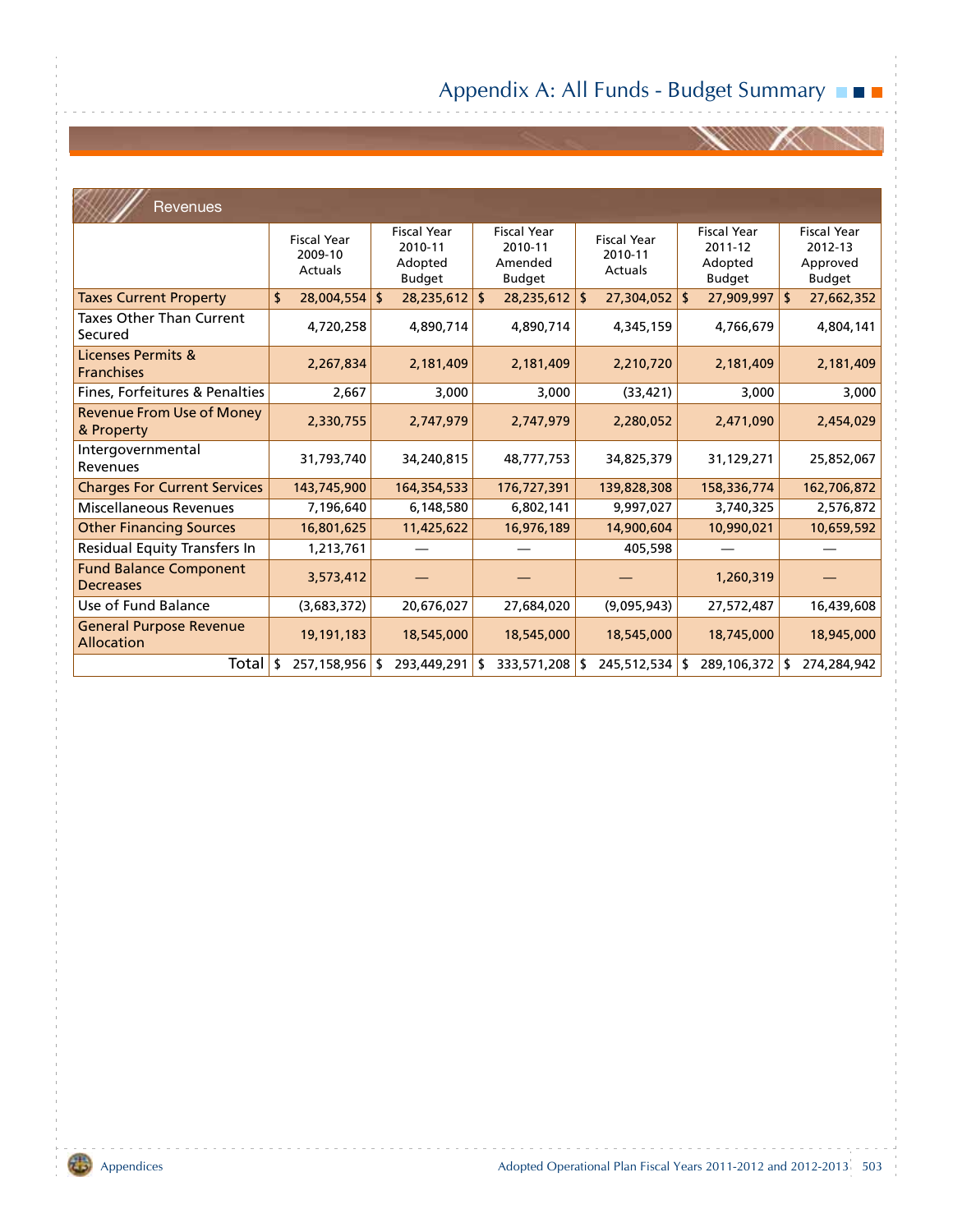| Revenues                                          |                                                 |                                                           |                                                           |                                                 |                                                    |                                                            |
|---------------------------------------------------|-------------------------------------------------|-----------------------------------------------------------|-----------------------------------------------------------|-------------------------------------------------|----------------------------------------------------|------------------------------------------------------------|
|                                                   | <b>Fiscal Year</b><br>2009-10<br><b>Actuals</b> | <b>Fiscal Year</b><br>2010-11<br>Adopted<br><b>Budget</b> | <b>Fiscal Year</b><br>2010-11<br>Amended<br><b>Budget</b> | <b>Fiscal Year</b><br>2010-11<br><b>Actuals</b> | <b>Fiscal Year</b><br>2011-12<br>Adopted<br>Budget | <b>Fiscal Year</b><br>2012-13<br>Approved<br><b>Budget</b> |
| <b>Taxes Current Property</b>                     | $28,004,554$ \$<br>\$                           | 28,235,612                                                | $\mathbf{\hat{S}}$<br>28,235,612                          | $27,304,052$ \$<br>\$                           | 27,909,997                                         | 27,662,352<br>\$                                           |
| Taxes Other Than Current<br>Secured               | 4,720,258                                       | 4,890,714                                                 | 4,890,714                                                 | 4,345,159                                       | 4,766,679                                          | 4,804,141                                                  |
| Licenses Permits &<br><b>Franchises</b>           | 2,267,834                                       | 2,181,409                                                 | 2,181,409                                                 | 2,210,720                                       | 2,181,409                                          | 2,181,409                                                  |
| Fines, Forfeitures & Penalties                    | 2,667                                           | 3,000                                                     | 3,000                                                     | (33, 421)                                       | 3,000                                              | 3,000                                                      |
| <b>Revenue From Use of Money</b><br>& Property    | 2,330,755                                       | 2,747,979                                                 | 2,747,979                                                 | 2,280,052                                       | 2,471,090                                          | 2,454,029                                                  |
| Intergovernmental<br>Revenues                     | 31,793,740                                      | 34,240,815                                                | 48,777,753                                                | 34,825,379                                      | 31,129,271                                         | 25,852,067                                                 |
| <b>Charges For Current Services</b>               | 143,745,900                                     | 164,354,533                                               | 176,727,391                                               | 139,828,308                                     | 158,336,774                                        | 162,706,872                                                |
| <b>Miscellaneous Revenues</b>                     | 7,196,640                                       | 6,148,580                                                 | 6,802,141                                                 | 9,997,027                                       | 3,740,325                                          | 2,576,872                                                  |
| <b>Other Financing Sources</b>                    | 16,801,625                                      | 11,425,622                                                | 16,976,189                                                | 14,900,604                                      | 10,990,021                                         | 10,659,592                                                 |
| Residual Equity Transfers In                      | 1,213,761                                       |                                                           |                                                           | 405,598                                         |                                                    |                                                            |
| <b>Fund Balance Component</b><br><b>Decreases</b> | 3,573,412                                       |                                                           |                                                           |                                                 | 1,260,319                                          |                                                            |
| Use of Fund Balance                               | (3,683,372)                                     | 20,676,027                                                | 27,684,020                                                | (9,095,943)                                     | 27,572,487                                         | 16,439,608                                                 |
| <b>General Purpose Revenue</b><br>Allocation      | 19,191,183                                      | 18,545,000                                                | 18,545,000                                                | 18,545,000                                      | 18,745,000                                         | 18,945,000                                                 |
| Total                                             | 257,158,956<br>\$                               | 293,449,291<br>l \$                                       | 333,571,208                                               | $245,512,534$ \$<br>\$                          | 289,106,372                                        | 274,284,942<br>\$                                          |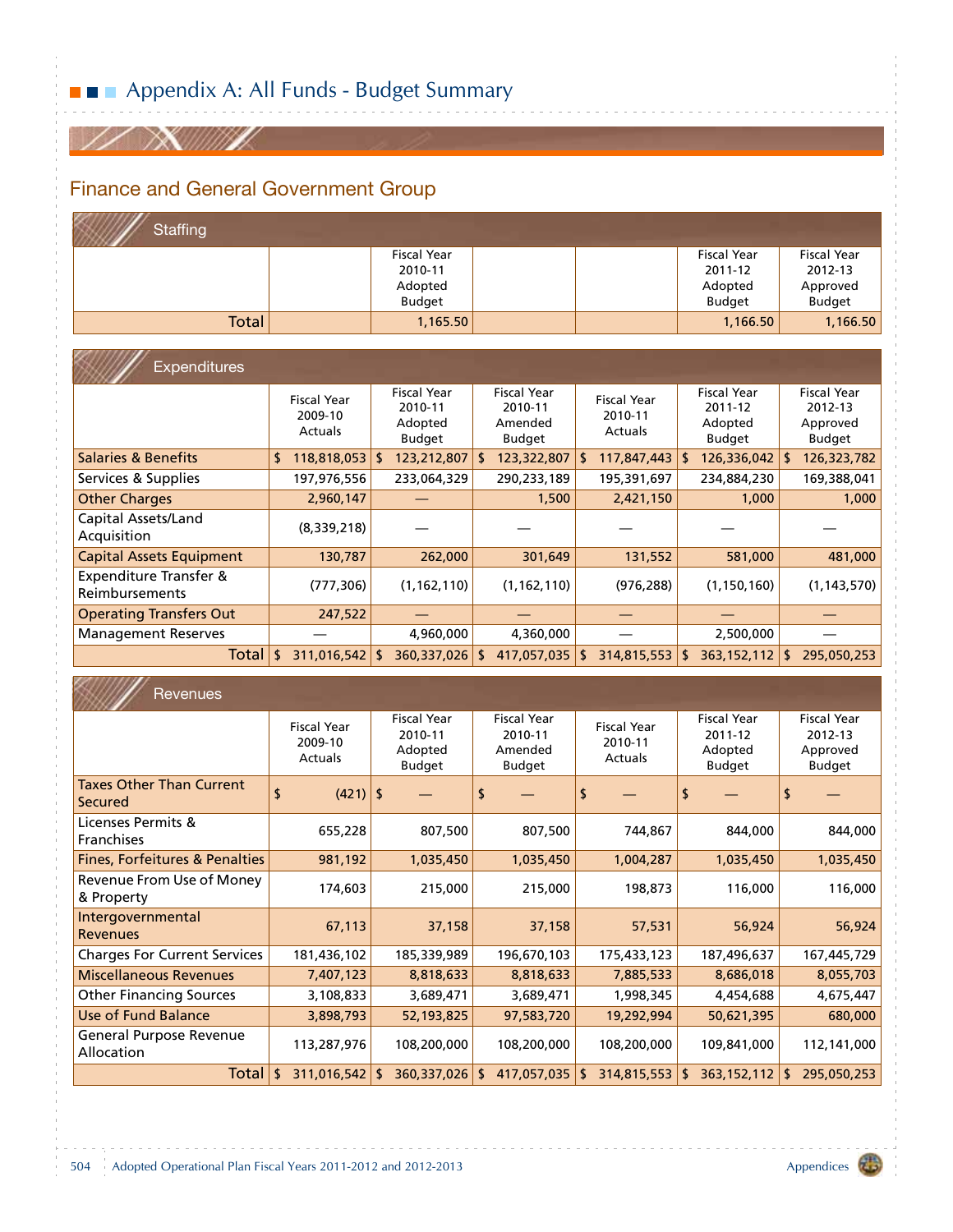#### Finance and General Government Group

| Staffing     |                    |                    |                    |
|--------------|--------------------|--------------------|--------------------|
|              | <b>Fiscal Year</b> | <b>Fiscal Year</b> | <b>Fiscal Year</b> |
|              | 2010-11            | 2011-12            | 2012-13            |
|              | Adopted            | Adopted            | Approved           |
|              | Budget             | Budget             | <b>Budget</b>      |
| <b>Total</b> | 1,165.50           | 1,166.50           | 1,166.50           |

| <b>Expenditures</b>                      |                                          |                                                    |                                                           |                                          |                                                    |                                                     |
|------------------------------------------|------------------------------------------|----------------------------------------------------|-----------------------------------------------------------|------------------------------------------|----------------------------------------------------|-----------------------------------------------------|
|                                          | <b>Fiscal Year</b><br>2009-10<br>Actuals | <b>Fiscal Year</b><br>2010-11<br>Adopted<br>Budget | <b>Fiscal Year</b><br>2010-11<br>Amended<br><b>Budget</b> | <b>Fiscal Year</b><br>2010-11<br>Actuals | <b>Fiscal Year</b><br>2011-12<br>Adopted<br>Budget | <b>Fiscal Year</b><br>2012-13<br>Approved<br>Budget |
| <b>Salaries &amp; Benefits</b>           | 118,818,053<br>\$                        | \$<br>123,212,807                                  | 123,322,807                                               | $117,847,443$ \$                         | 126,336,042                                        | 126,323,782                                         |
| Services & Supplies                      | 197,976,556                              | 233,064,329                                        | 290,233,189                                               | 195,391,697                              | 234,884,230                                        | 169,388,041                                         |
| <b>Other Charges</b>                     | 2,960,147                                |                                                    | 1,500                                                     | 2,421,150                                | 1,000                                              | 1,000                                               |
| Capital Assets/Land<br>Acquisition       | (8,339,218)                              |                                                    |                                                           |                                          |                                                    |                                                     |
| <b>Capital Assets Equipment</b>          | 130,787                                  | 262,000                                            | 301,649                                                   | 131,552                                  | 581,000                                            | 481,000                                             |
| Expenditure Transfer &<br>Reimbursements | (777, 306)                               | (1, 162, 110)                                      | (1, 162, 110)                                             | (976, 288)                               | (1, 150, 160)                                      | (1, 143, 570)                                       |
| <b>Operating Transfers Out</b>           | 247,522                                  |                                                    |                                                           |                                          |                                                    |                                                     |
| <b>Management Reserves</b>               |                                          | 4,960,000                                          | 4,360,000                                                 |                                          | 2,500,000                                          |                                                     |
| Total I                                  | 311,016,542                              | 360,337,026<br>-S                                  | 417,057,035                                               | $314,815,553$ \$<br>\$                   | 363, 152, 112                                      | 295,050,253<br>-S                                   |

| <b>Revenues</b>                              |                                          |                                                    |                                                    |                                          |                                                           |                                                            |
|----------------------------------------------|------------------------------------------|----------------------------------------------------|----------------------------------------------------|------------------------------------------|-----------------------------------------------------------|------------------------------------------------------------|
|                                              | <b>Fiscal Year</b><br>2009-10<br>Actuals | <b>Fiscal Year</b><br>2010-11<br>Adopted<br>Budget | <b>Fiscal Year</b><br>2010-11<br>Amended<br>Budget | <b>Fiscal Year</b><br>2010-11<br>Actuals | <b>Fiscal Year</b><br>2011-12<br>Adopted<br><b>Budget</b> | <b>Fiscal Year</b><br>2012-13<br>Approved<br><b>Budget</b> |
| <b>Taxes Other Than Current</b><br>Secured   | $(421)$ \$<br>\$                         |                                                    | S                                                  | S                                        |                                                           | S                                                          |
| Licenses Permits &<br><b>Franchises</b>      | 655,228                                  | 807,500                                            | 807,500                                            | 744,867                                  | 844,000                                                   | 844,000                                                    |
| Fines, Forfeitures & Penalties               | 981,192                                  | 1,035,450                                          | 1,035,450                                          | 1,004,287                                | 1,035,450                                                 | 1,035,450                                                  |
| Revenue From Use of Money<br>& Property      | 174,603                                  | 215,000                                            | 215,000                                            | 198,873                                  | 116,000                                                   | 116,000                                                    |
| Intergovernmental<br><b>Revenues</b>         | 67,113                                   | 37,158                                             | 37,158                                             | 57,531                                   | 56,924                                                    | 56,924                                                     |
| <b>Charges For Current Services</b>          | 181,436,102                              | 185,339,989                                        | 196,670,103                                        | 175,433,123                              | 187,496,637                                               | 167,445,729                                                |
| <b>Miscellaneous Revenues</b>                | 7,407,123                                | 8,818,633                                          | 8,818,633                                          | 7,885,533                                | 8,686,018                                                 | 8,055,703                                                  |
| <b>Other Financing Sources</b>               | 3,108,833                                | 3,689,471                                          | 3,689,471                                          | 1,998,345                                | 4,454,688                                                 | 4,675,447                                                  |
| Use of Fund Balance                          | 3,898,793                                | 52,193,825                                         | 97,583,720                                         | 19,292,994                               | 50,621,395                                                | 680,000                                                    |
| <b>General Purpose Revenue</b><br>Allocation | 113,287,976                              | 108,200,000                                        | 108,200,000                                        | 108,200,000                              | 109,841,000                                               | 112,141,000                                                |
| Total                                        | $311,016,542$ \$<br>\$                   | 360,337,026                                        | $417,057,035$ \$<br>\$                             | 314,815,553                              | $363, 152, 112$ \$<br>\$                                  | 295,050,253                                                |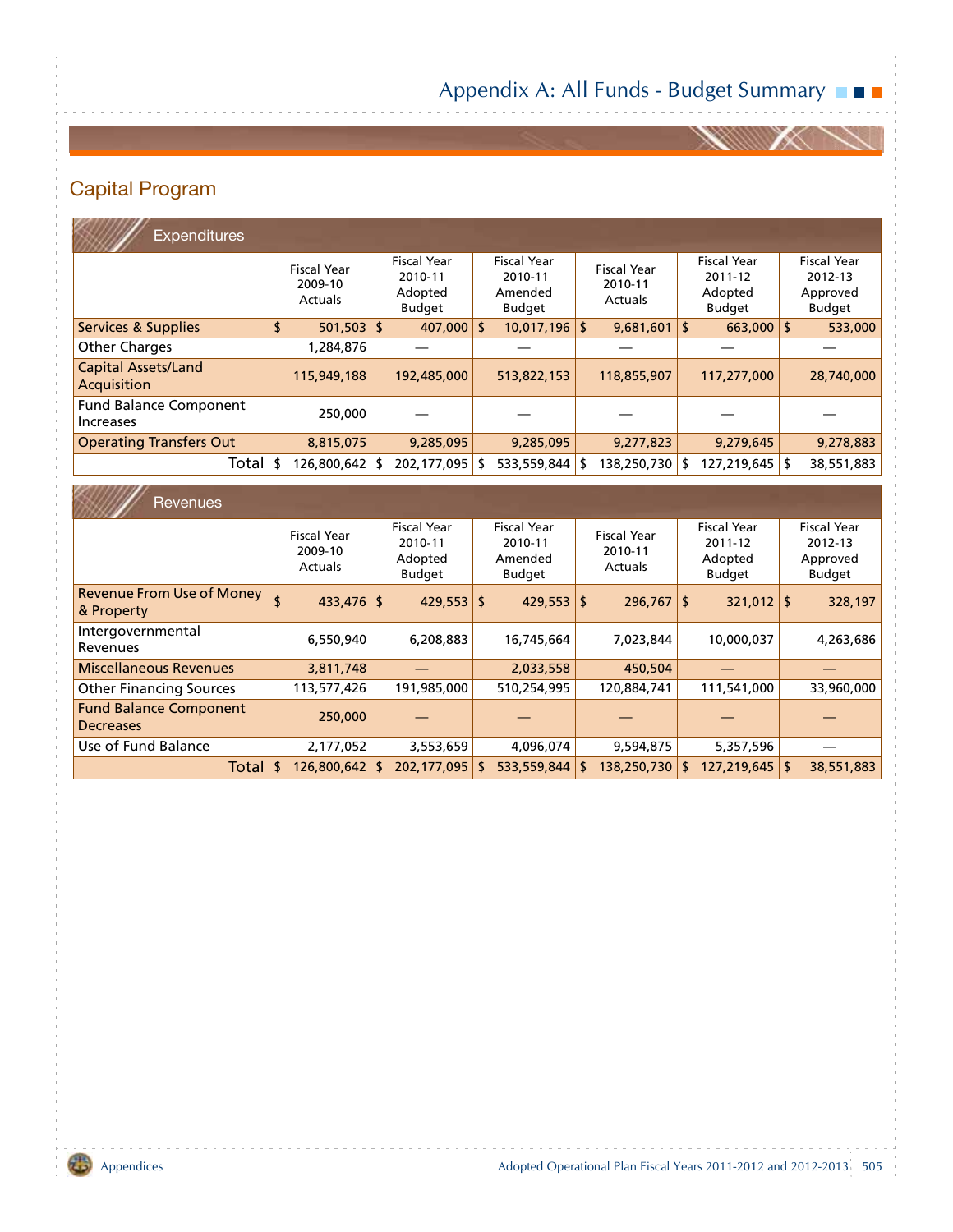## Capital Program

## **Expenditures**

| <b><i>UNISOSIA A</i></b>                          |                                          |                                                           |                                             |                                                 |                                                    |                                                            |
|---------------------------------------------------|------------------------------------------|-----------------------------------------------------------|---------------------------------------------|-------------------------------------------------|----------------------------------------------------|------------------------------------------------------------|
|                                                   | <b>Fiscal Year</b><br>2009-10<br>Actuals | <b>Fiscal Year</b><br>2010-11<br>Adopted<br><b>Budget</b> | Fiscal Year<br>2010-11<br>Amended<br>Budget | <b>Fiscal Year</b><br>2010-11<br><b>Actuals</b> | <b>Fiscal Year</b><br>2011-12<br>Adopted<br>Budget | <b>Fiscal Year</b><br>2012-13<br>Approved<br><b>Budget</b> |
| <b>Services &amp; Supplies</b>                    | $501,503$ \$                             | $407,000$   \$                                            | $10,017,196$ \$                             | $9,681,601$ \$                                  | $663,000$ \$                                       | 533,000                                                    |
| <b>Other Charges</b>                              | 1,284,876                                |                                                           |                                             |                                                 |                                                    |                                                            |
| <b>Capital Assets/Land</b><br>Acquisition         | 115,949,188                              | 192,485,000                                               | 513,822,153                                 | 118,855,907                                     | 117,277,000                                        | 28,740,000                                                 |
| <b>Fund Balance Component</b><br><b>Increases</b> | 250,000                                  |                                                           |                                             |                                                 |                                                    |                                                            |
| <b>Operating Transfers Out</b>                    | 8,815,075                                | 9,285,095                                                 | 9,285,095                                   | 9,277,823                                       | 9,279,645                                          | 9,278,883                                                  |
| Total                                             | 126,800,642                              | 202,177,095 \$                                            | $533,559,844$ \$                            | 138,250,730 \$                                  | 127,219,645 \$                                     | 38,551,883                                                 |

| Revenues                                          |                                                 |                                                           |                                             |                                                 |                                                           |                                                     |
|---------------------------------------------------|-------------------------------------------------|-----------------------------------------------------------|---------------------------------------------|-------------------------------------------------|-----------------------------------------------------------|-----------------------------------------------------|
|                                                   | <b>Fiscal Year</b><br>2009-10<br><b>Actuals</b> | <b>Fiscal Year</b><br>2010-11<br>Adopted<br><b>Budget</b> | Fiscal Year<br>2010-11<br>Amended<br>Budget | <b>Fiscal Year</b><br>2010-11<br><b>Actuals</b> | <b>Fiscal Year</b><br>2011-12<br>Adopted<br><b>Budget</b> | Fiscal Year<br>2012-13<br>Approved<br><b>Budget</b> |
| <b>Revenue From Use of Money</b><br>& Property    | \$<br>$433.476$ \$                              | $429,553$ \$                                              | 429,553                                     | $296,767$ \$<br>\$                              | $321,012$ \$                                              | 328,197                                             |
| Intergovernmental<br>Revenues                     | 6,550,940                                       | 6,208,883                                                 | 16,745,664                                  | 7,023,844                                       | 10,000,037                                                | 4,263,686                                           |
| <b>Miscellaneous Revenues</b>                     | 3,811,748                                       |                                                           | 2,033,558                                   | 450,504                                         |                                                           |                                                     |
| <b>Other Financing Sources</b>                    | 113,577,426                                     | 191,985,000                                               | 510,254,995                                 | 120,884,741                                     | 111,541,000                                               | 33,960,000                                          |
| <b>Fund Balance Component</b><br><b>Decreases</b> | 250,000                                         |                                                           |                                             |                                                 |                                                           |                                                     |
| Use of Fund Balance                               | 2,177,052                                       | 3,553,659                                                 | 4,096,074                                   | 9,594,875                                       | 5,357,596                                                 |                                                     |
| Total                                             | 126,800,642                                     | $202, 177, 095$ \$                                        | 533,559,844                                 | $138,250,730$ \$                                | 127,219,645                                               | 38,551,883<br><sup>5</sup>                          |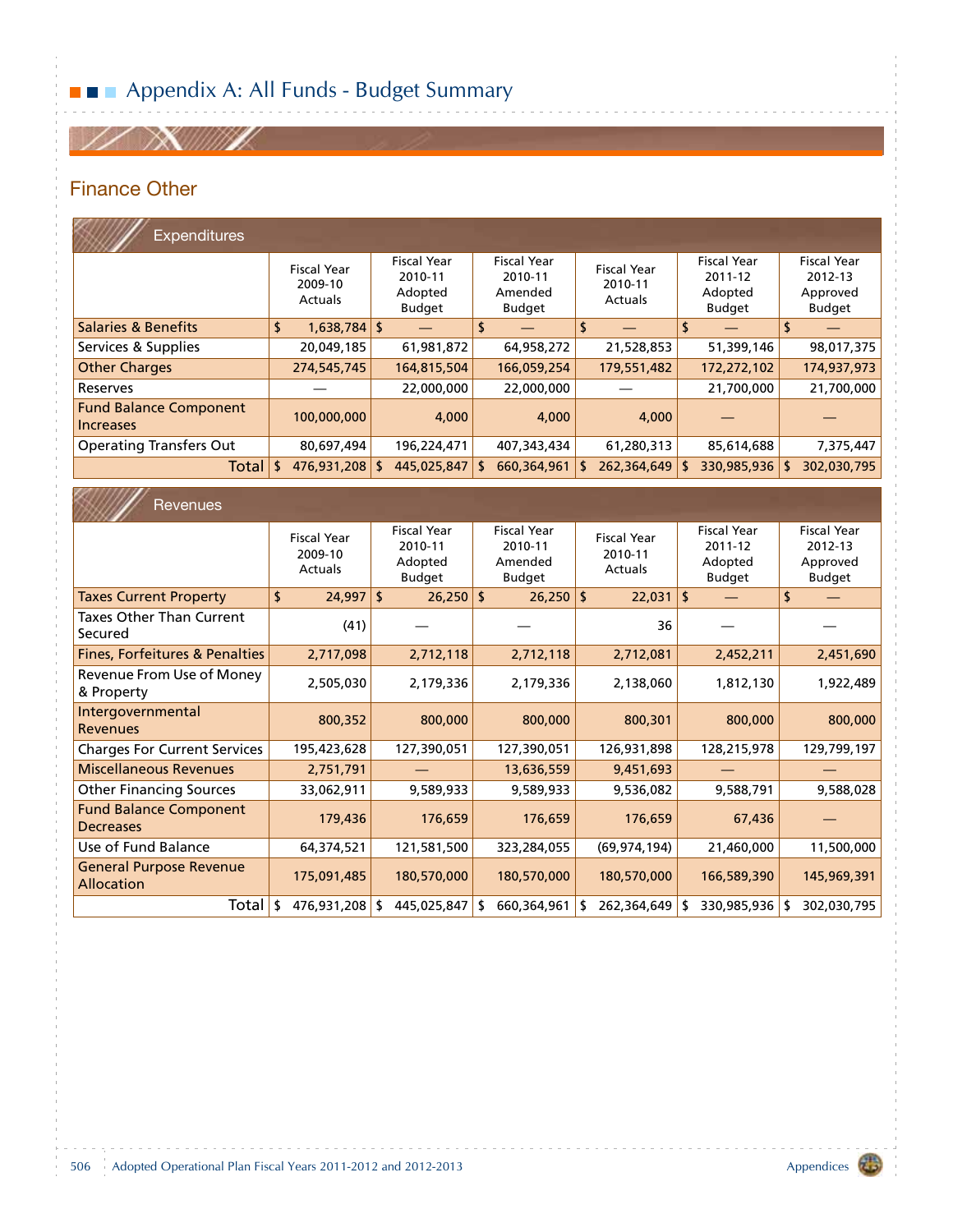#### Finance Other

| <b>Expenditures</b>                               |                                          |                                                           |                                                    |                                                 |                                                    |                                                            |
|---------------------------------------------------|------------------------------------------|-----------------------------------------------------------|----------------------------------------------------|-------------------------------------------------|----------------------------------------------------|------------------------------------------------------------|
|                                                   | <b>Fiscal Year</b><br>2009-10<br>Actuals | <b>Fiscal Year</b><br>2010-11<br>Adopted<br><b>Budget</b> | <b>Fiscal Year</b><br>2010-11<br>Amended<br>Budget | <b>Fiscal Year</b><br>2010-11<br><b>Actuals</b> | <b>Fiscal Year</b><br>2011-12<br>Adopted<br>Budget | <b>Fiscal Year</b><br>2012-13<br>Approved<br><b>Budget</b> |
| <b>Salaries &amp; Benefits</b>                    | \$<br>$1,638,784$ \$                     |                                                           |                                                    |                                                 |                                                    |                                                            |
| Services & Supplies                               | 20,049,185                               | 61,981,872                                                | 64,958,272                                         | 21,528,853                                      | 51,399,146                                         | 98,017,375                                                 |
| <b>Other Charges</b>                              | 274,545,745                              | 164,815,504                                               | 166,059,254                                        | 179,551,482                                     | 172,272,102                                        | 174,937,973                                                |
| Reserves                                          |                                          | 22,000,000                                                | 22,000,000                                         |                                                 | 21,700,000                                         | 21,700,000                                                 |
| <b>Fund Balance Component</b><br><b>Increases</b> | 100,000,000                              | 4,000                                                     | 4,000                                              | 4,000                                           |                                                    |                                                            |
| <b>Operating Transfers Out</b>                    | 80,697,494                               | 196,224,471                                               | 407,343,434                                        | 61,280,313                                      | 85,614,688                                         | 7,375,447                                                  |
| Total                                             | $476,931,208$ \$<br>\$                   | $445,025,847$ \$                                          | 660,364,961                                        | $262,364,649$ \$<br>S                           | 330,985,936                                        | 302,030,795                                                |
| Revenues                                          |                                          |                                                           |                                                    |                                                 |                                                    |                                                            |

|                                                   | <b>Fiscal Year</b><br>2009-10<br>Actuals | <b>Fiscal Year</b><br>2010-11<br>Adopted<br><b>Budget</b> | <b>Fiscal Year</b><br>2010-11<br>Amended<br>Budget | <b>Fiscal Year</b><br>2010-11<br><b>Actuals</b> | <b>Fiscal Year</b><br>2011-12<br>Adopted<br>Budget | <b>Fiscal Year</b><br>2012-13<br>Approved<br><b>Budget</b> |
|---------------------------------------------------|------------------------------------------|-----------------------------------------------------------|----------------------------------------------------|-------------------------------------------------|----------------------------------------------------|------------------------------------------------------------|
| <b>Taxes Current Property</b>                     | $24,997$ \$<br>\$                        | $26,250$ \$                                               | 26,250                                             | 22,031<br>\$                                    | $\vert$ \$                                         | \$                                                         |
| <b>Taxes Other Than Current</b><br>Secured        | (41)                                     |                                                           |                                                    | 36                                              |                                                    |                                                            |
| Fines, Forfeitures & Penalties                    | 2,717,098                                | 2,712,118                                                 | 2,712,118                                          | 2,712,081                                       | 2,452,211                                          | 2,451,690                                                  |
| Revenue From Use of Money<br>& Property           | 2,505,030                                | 2,179,336                                                 | 2,179,336                                          | 2,138,060                                       | 1,812,130                                          | 1,922,489                                                  |
| Intergovernmental<br><b>Revenues</b>              | 800,352                                  | 800,000                                                   | 800,000                                            | 800,301                                         | 800,000                                            | 800,000                                                    |
| <b>Charges For Current Services</b>               | 195,423,628                              | 127,390,051                                               | 127,390,051                                        | 126,931,898                                     | 128,215,978                                        | 129,799,197                                                |
| <b>Miscellaneous Revenues</b>                     | 2,751,791                                |                                                           | 13,636,559                                         | 9,451,693                                       |                                                    |                                                            |
| <b>Other Financing Sources</b>                    | 33,062,911                               | 9,589,933                                                 | 9,589,933                                          | 9,536,082                                       | 9,588,791                                          | 9,588,028                                                  |
| <b>Fund Balance Component</b><br><b>Decreases</b> | 179,436                                  | 176,659                                                   | 176,659                                            | 176,659                                         | 67,436                                             |                                                            |
| Use of Fund Balance                               | 64,374,521                               | 121,581,500                                               | 323,284,055                                        | (69, 974, 194)                                  | 21,460,000                                         | 11,500,000                                                 |
| <b>General Purpose Revenue</b><br>Allocation      | 175,091,485                              | 180,570,000                                               | 180,570,000                                        | 180,570,000                                     | 166,589,390                                        | 145,969,391                                                |
| Total                                             | \$<br>476,931,208                        | 445,025,847<br>\$                                         | 660,364,961                                        | 262,364,649<br>S                                | 330,985,936<br>-\$                                 | 302,030,795                                                |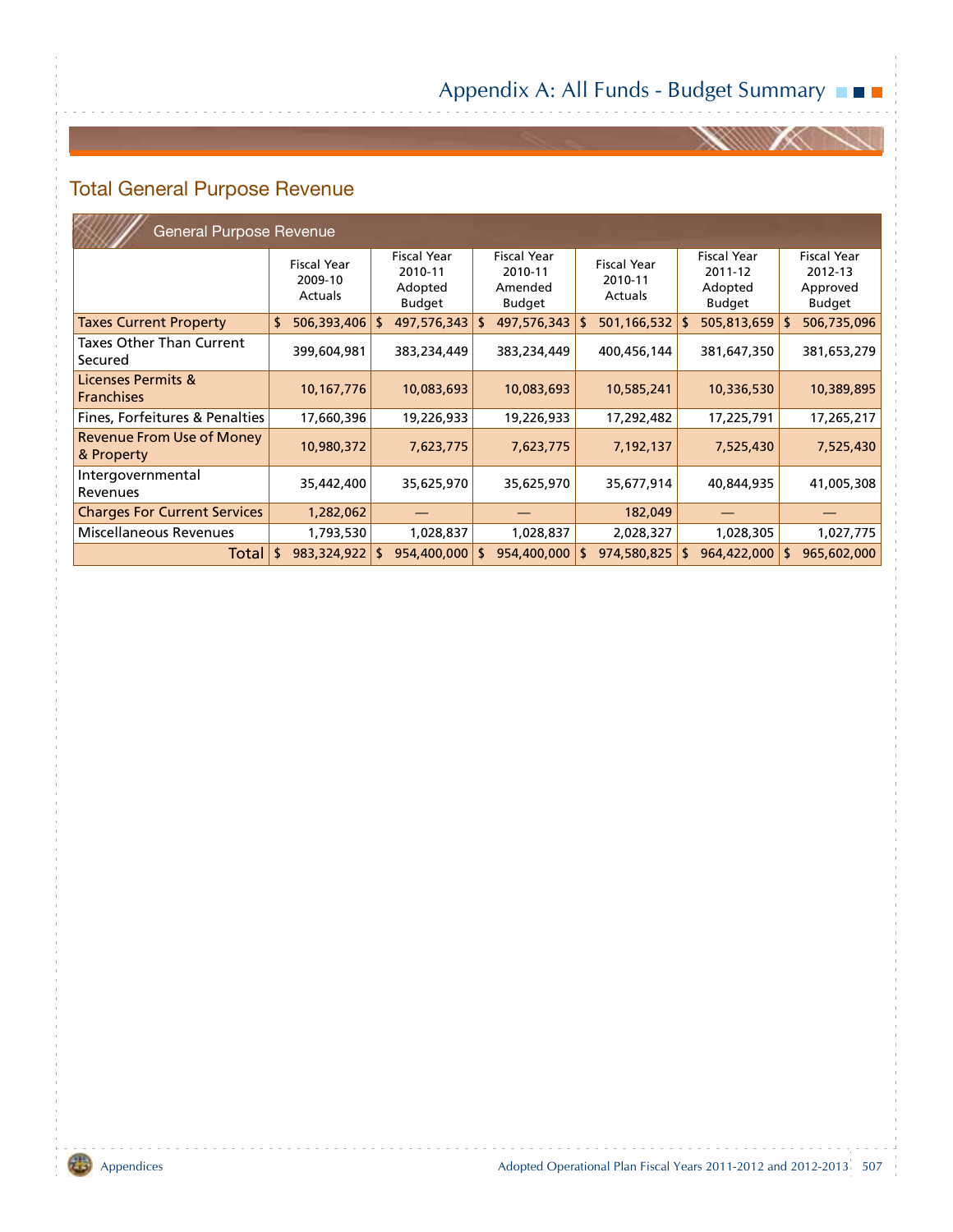#### Total General Purpose Revenue

| <b>General Purpose Revenue</b>                 |                                                 |                                                    |                                                    |                                          |                                                    |                                                            |  |  |
|------------------------------------------------|-------------------------------------------------|----------------------------------------------------|----------------------------------------------------|------------------------------------------|----------------------------------------------------|------------------------------------------------------------|--|--|
|                                                | <b>Fiscal Year</b><br>2009-10<br><b>Actuals</b> | <b>Fiscal Year</b><br>2010-11<br>Adopted<br>Budget | <b>Fiscal Year</b><br>2010-11<br>Amended<br>Budget | <b>Fiscal Year</b><br>2010-11<br>Actuals | <b>Fiscal Year</b><br>2011-12<br>Adopted<br>Budget | <b>Fiscal Year</b><br>2012-13<br>Approved<br><b>Budget</b> |  |  |
| <b>Taxes Current Property</b>                  | 506,393,406<br>\$.                              | 497,576,343<br>\$                                  | 497,576,343                                        | 501, 166, 532                            | 505,813,659                                        | 506,735,096<br>\$                                          |  |  |
| <b>Taxes Other Than Current</b><br>Secured     | 399,604,981                                     | 383,234,449                                        | 383,234,449                                        | 400,456,144                              | 381,647,350                                        | 381,653,279                                                |  |  |
| Licenses Permits &<br><b>Franchises</b>        | 10,167,776                                      | 10,083,693                                         | 10,083,693                                         | 10,585,241                               | 10,336,530                                         | 10,389,895                                                 |  |  |
| Fines, Forfeitures & Penalties                 | 17,660,396                                      | 19,226,933                                         | 19,226,933                                         | 17,292,482                               | 17,225,791                                         | 17,265,217                                                 |  |  |
| <b>Revenue From Use of Money</b><br>& Property | 10,980,372                                      | 7,623,775                                          | 7,623,775                                          | 7,192,137                                | 7,525,430                                          | 7,525,430                                                  |  |  |
| Intergovernmental<br>Revenues                  | 35,442,400                                      | 35,625,970                                         | 35,625,970                                         | 35,677,914                               | 40,844,935                                         | 41,005,308                                                 |  |  |
| <b>Charges For Current Services</b>            | 1,282,062                                       |                                                    |                                                    | 182,049                                  |                                                    |                                                            |  |  |
| <b>Miscellaneous Revenues</b>                  | 1,793,530                                       | 1,028,837                                          | 1,028,837                                          | 2,028,327                                | 1,028,305                                          | 1,027,775                                                  |  |  |
| Total                                          | 983,324,922<br>\$                               | 954,400,000                                        | 954,400,000                                        | 974,580,825                              | 964,422,000                                        | 965,602,000<br>\$                                          |  |  |

and a series of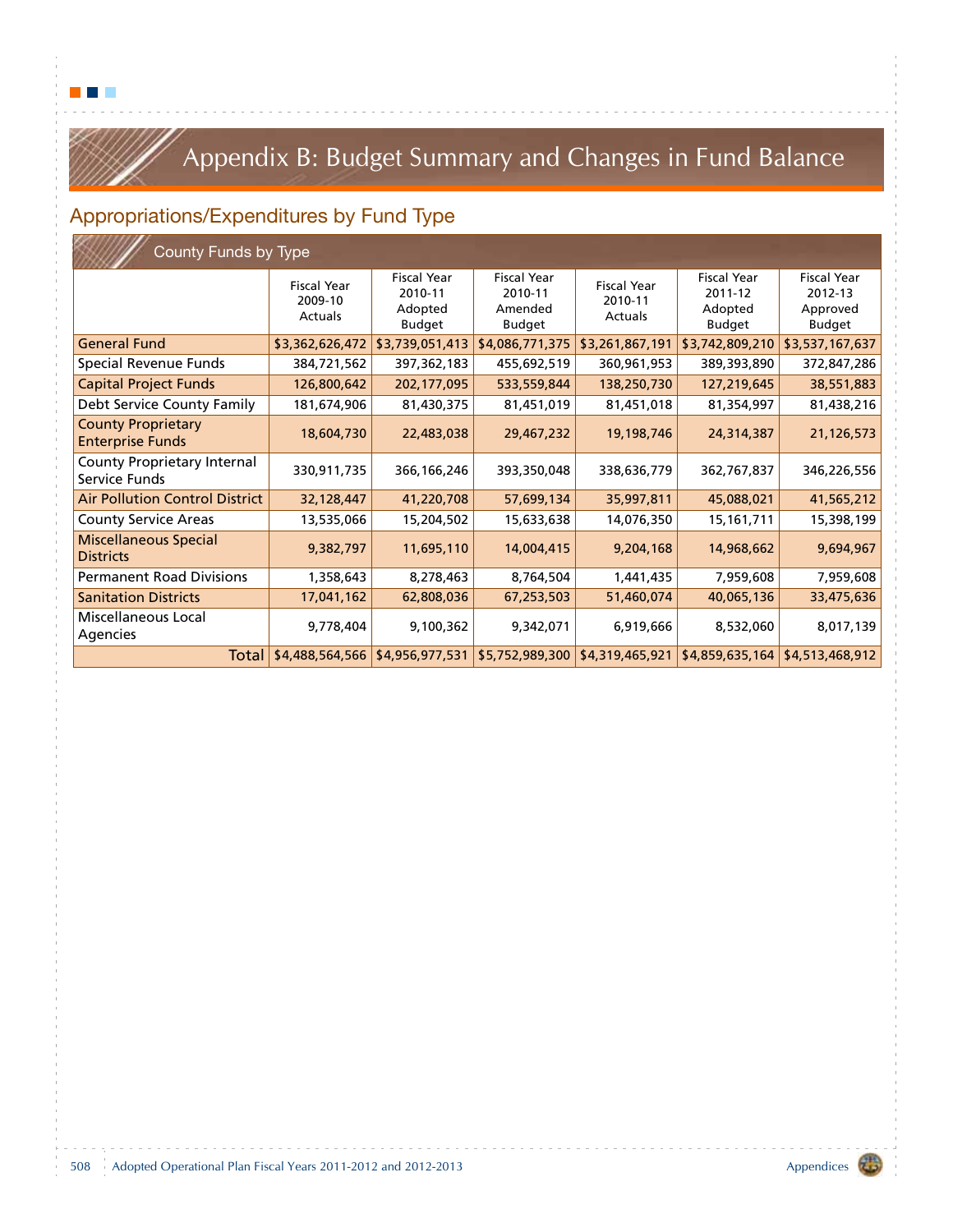# Appendix B: Budget Summary and Changes in Fund Balance

#### Appropriations/Expenditures by Fund Type

| County Funds by Type                                 |                                                 |                                                                     |                                                           |                                                 |                                                    |                                                     |
|------------------------------------------------------|-------------------------------------------------|---------------------------------------------------------------------|-----------------------------------------------------------|-------------------------------------------------|----------------------------------------------------|-----------------------------------------------------|
|                                                      | <b>Fiscal Year</b><br>2009-10<br><b>Actuals</b> | <b>Fiscal Year</b><br>2010-11<br>Adopted<br>Budget                  | <b>Fiscal Year</b><br>2010-11<br>Amended<br><b>Budget</b> | <b>Fiscal Year</b><br>2010-11<br><b>Actuals</b> | <b>Fiscal Year</b><br>2011-12<br>Adopted<br>Budget | <b>Fiscal Year</b><br>2012-13<br>Approved<br>Budget |
| <b>General Fund</b>                                  | \$3,362,626,472                                 | \$3,739,051,413                                                     | \$4,086,771,375                                           | \$3,261,867,191                                 | \$3,742,809,210                                    | \$3,537,167,637                                     |
| Special Revenue Funds                                | 384,721,562                                     | 397,362,183                                                         | 455,692,519                                               | 360,961,953                                     | 389,393,890                                        | 372,847,286                                         |
| <b>Capital Project Funds</b>                         | 126,800,642                                     | 202,177,095                                                         | 533,559,844                                               | 138,250,730                                     | 127,219,645                                        | 38,551,883                                          |
| Debt Service County Family                           | 181,674,906                                     | 81,430,375                                                          | 81,451,019                                                | 81,451,018                                      | 81,354,997                                         | 81,438,216                                          |
| <b>County Proprietary</b><br><b>Enterprise Funds</b> | 18,604,730                                      | 22,483,038                                                          | 29,467,232                                                | 19,198,746                                      | 24,314,387                                         | 21,126,573                                          |
| County Proprietary Internal<br>Service Funds         | 330,911,735                                     | 366,166,246                                                         | 393,350,048                                               | 338,636,779                                     | 362,767,837                                        | 346,226,556                                         |
| <b>Air Pollution Control District</b>                | 32,128,447                                      | 41,220,708                                                          | 57,699,134                                                | 35,997,811                                      | 45,088,021                                         | 41,565,212                                          |
| <b>County Service Areas</b>                          | 13,535,066                                      | 15,204,502                                                          | 15,633,638                                                | 14,076,350                                      | 15, 161, 711                                       | 15,398,199                                          |
| <b>Miscellaneous Special</b><br><b>Districts</b>     | 9,382,797                                       | 11,695,110                                                          | 14,004,415                                                | 9,204,168                                       | 14,968,662                                         | 9,694,967                                           |
| <b>Permanent Road Divisions</b>                      | 1,358,643                                       | 8,278,463                                                           | 8,764,504                                                 | 1,441,435                                       | 7,959,608                                          | 7,959,608                                           |
| <b>Sanitation Districts</b>                          | 17,041,162                                      | 62,808,036                                                          | 67,253,503                                                | 51,460,074                                      | 40,065,136                                         | 33,475,636                                          |
| Miscellaneous Local<br>Agencies                      | 9,778,404                                       | 9,100,362                                                           | 9,342,071                                                 | 6,919,666                                       | 8,532,060                                          | 8,017,139                                           |
| Total                                                |                                                 | $$4,488,564,566$ $$4,956,977,531$ $$5,752,989,300$ $$4,319,465,921$ |                                                           |                                                 |                                                    | $\frac{1}{2}$ \$4,859,635,164   \$4,513,468,912     |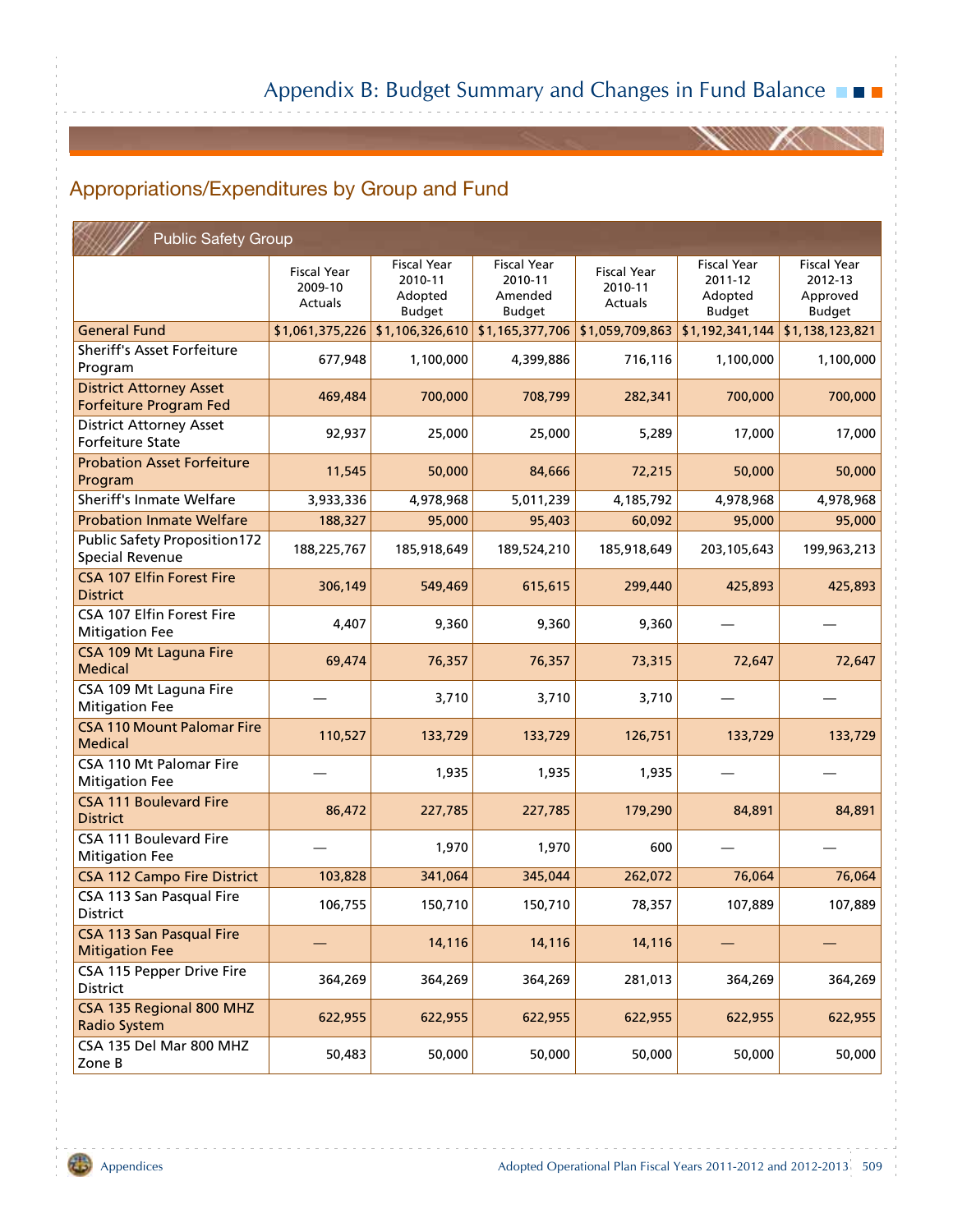#### Appropriations/Expenditures by Group and Fund

|                                                                 | <b>Public Safety Group</b>               |                                                           |                                                           |                                          |                                                           |                                                            |  |  |  |  |  |
|-----------------------------------------------------------------|------------------------------------------|-----------------------------------------------------------|-----------------------------------------------------------|------------------------------------------|-----------------------------------------------------------|------------------------------------------------------------|--|--|--|--|--|
|                                                                 | <b>Fiscal Year</b><br>2009-10<br>Actuals | <b>Fiscal Year</b><br>2010-11<br>Adopted<br><b>Budget</b> | <b>Fiscal Year</b><br>2010-11<br>Amended<br><b>Budget</b> | <b>Fiscal Year</b><br>2010-11<br>Actuals | <b>Fiscal Year</b><br>2011-12<br>Adopted<br><b>Budget</b> | <b>Fiscal Year</b><br>2012-13<br>Approved<br><b>Budget</b> |  |  |  |  |  |
| <b>General Fund</b>                                             | \$1,061,375,226                          | \$1,106,326,610                                           | \$1,165,377,706                                           | \$1,059,709,863                          | \$1,192,341,144                                           | \$1,138,123,821                                            |  |  |  |  |  |
| Sheriff's Asset Forfeiture<br>Program                           | 677,948                                  | 1,100,000                                                 | 4,399,886                                                 | 716,116                                  | 1,100,000                                                 | 1,100,000                                                  |  |  |  |  |  |
| <b>District Attorney Asset</b><br><b>Forfeiture Program Fed</b> | 469,484                                  | 700,000                                                   | 708,799                                                   | 282,341                                  | 700,000                                                   | 700,000                                                    |  |  |  |  |  |
| <b>District Attorney Asset</b><br>Forfeiture State              | 92,937                                   | 25,000                                                    | 25,000                                                    | 5,289                                    | 17,000                                                    | 17,000                                                     |  |  |  |  |  |
| <b>Probation Asset Forfeiture</b><br>Program                    | 11,545                                   | 50,000                                                    | 84,666                                                    | 72,215                                   | 50,000                                                    | 50,000                                                     |  |  |  |  |  |
| Sheriff's Inmate Welfare                                        | 3,933,336                                | 4,978,968                                                 | 5,011,239                                                 | 4,185,792                                | 4,978,968                                                 | 4,978,968                                                  |  |  |  |  |  |
| <b>Probation Inmate Welfare</b>                                 | 188,327                                  | 95,000                                                    | 95,403                                                    | 60,092                                   | 95,000                                                    | 95,000                                                     |  |  |  |  |  |
| <b>Public Safety Proposition172</b><br><b>Special Revenue</b>   | 188,225,767                              | 185,918,649                                               | 189,524,210                                               | 185,918,649                              | 203,105,643                                               | 199,963,213                                                |  |  |  |  |  |
| <b>CSA 107 Elfin Forest Fire</b><br><b>District</b>             | 306,149                                  | 549,469                                                   | 615,615                                                   | 299,440                                  | 425,893                                                   | 425,893                                                    |  |  |  |  |  |
| CSA 107 Elfin Forest Fire<br><b>Mitigation Fee</b>              | 4,407                                    | 9,360                                                     | 9,360                                                     | 9,360                                    |                                                           |                                                            |  |  |  |  |  |
| CSA 109 Mt Laguna Fire<br><b>Medical</b>                        | 69,474                                   | 76,357                                                    | 76,357                                                    | 73,315                                   | 72,647                                                    | 72,647                                                     |  |  |  |  |  |
| CSA 109 Mt Laguna Fire<br><b>Mitigation Fee</b>                 |                                          | 3,710                                                     | 3,710                                                     | 3,710                                    |                                                           |                                                            |  |  |  |  |  |
| <b>CSA 110 Mount Palomar Fire</b><br><b>Medical</b>             | 110,527                                  | 133,729                                                   | 133,729                                                   | 126,751                                  | 133,729                                                   | 133,729                                                    |  |  |  |  |  |
| CSA 110 Mt Palomar Fire<br><b>Mitigation Fee</b>                |                                          | 1,935                                                     | 1,935                                                     | 1,935                                    |                                                           |                                                            |  |  |  |  |  |
| <b>CSA 111 Boulevard Fire</b><br><b>District</b>                | 86,472                                   | 227,785                                                   | 227,785                                                   | 179,290                                  | 84,891                                                    | 84,891                                                     |  |  |  |  |  |
| CSA 111 Boulevard Fire<br><b>Mitigation Fee</b>                 |                                          | 1,970                                                     | 1,970                                                     | 600                                      |                                                           |                                                            |  |  |  |  |  |
| <b>CSA 112 Campo Fire District</b>                              | 103,828                                  | 341,064                                                   | 345,044                                                   | 262,072                                  | 76,064                                                    | 76,064                                                     |  |  |  |  |  |
| CSA 113 San Pasqual Fire<br>District                            | 106,755                                  | 150,710                                                   | 150,710                                                   | 78,357                                   | 107,889                                                   | 107,889                                                    |  |  |  |  |  |
| CSA 113 San Pasqual Fire<br><b>Mitigation Fee</b>               |                                          | 14,116                                                    | 14,116                                                    | 14,116                                   |                                                           |                                                            |  |  |  |  |  |
| CSA 115 Pepper Drive Fire<br>District                           | 364,269                                  | 364,269                                                   | 364,269                                                   | 281,013                                  | 364,269                                                   | 364,269                                                    |  |  |  |  |  |
| CSA 135 Regional 800 MHZ<br><b>Radio System</b>                 | 622,955                                  | 622,955                                                   | 622,955                                                   | 622,955                                  | 622,955                                                   | 622,955                                                    |  |  |  |  |  |
| CSA 135 Del Mar 800 MHZ<br>Zone B                               | 50,483                                   | 50,000                                                    | 50,000                                                    | 50,000                                   | 50,000                                                    | 50,000                                                     |  |  |  |  |  |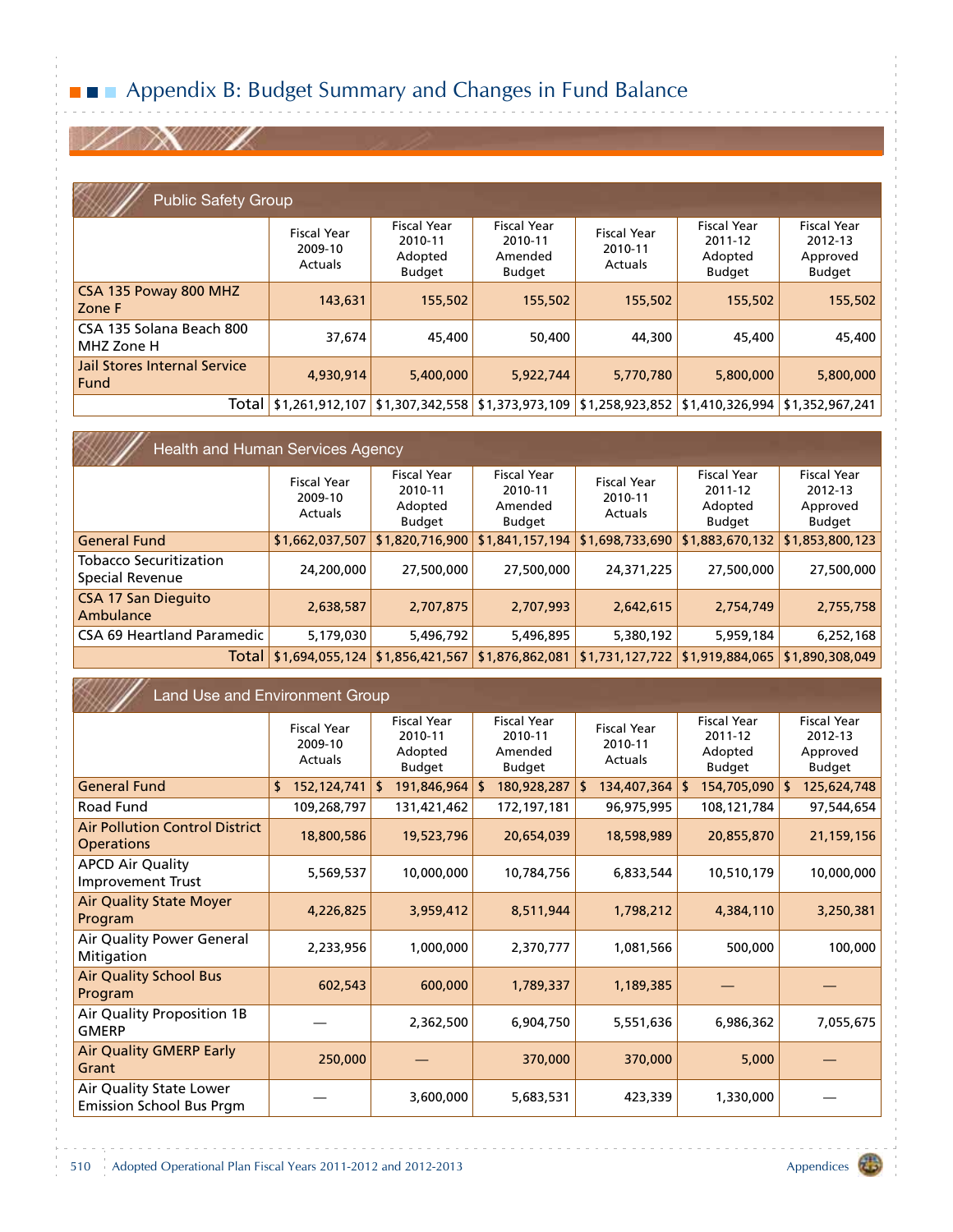## **Appendix B: Budget Summary and Changes in Fund Balance**

| <b>Public Safety Group</b>             |                                                 |                                                    |                                                    |                                                 |                                                    |                                                            |  |  |  |  |
|----------------------------------------|-------------------------------------------------|----------------------------------------------------|----------------------------------------------------|-------------------------------------------------|----------------------------------------------------|------------------------------------------------------------|--|--|--|--|
|                                        | <b>Fiscal Year</b><br>2009-10<br><b>Actuals</b> | <b>Fiscal Year</b><br>2010-11<br>Adopted<br>Budget | Fiscal Year<br>2010-11<br>Amended<br><b>Budget</b> | <b>Fiscal Year</b><br>2010-11<br><b>Actuals</b> | <b>Fiscal Year</b><br>2011-12<br>Adopted<br>Budget | <b>Fiscal Year</b><br>2012-13<br>Approved<br><b>Budget</b> |  |  |  |  |
| CSA 135 Poway 800 MHZ<br>Zone F        | 143,631                                         | 155,502                                            | 155,502                                            | 155,502                                         | 155,502                                            | 155,502                                                    |  |  |  |  |
| CSA 135 Solana Beach 800<br>MHZ Zone H | 37,674                                          | 45,400                                             | 50,400                                             | 44,300                                          | 45,400                                             | 45,400                                                     |  |  |  |  |
| Jail Stores Internal Service<br>Fund   | 4,930,914                                       | 5,400,000                                          | 5,922,744                                          | 5,770,780                                       | 5,800,000                                          | 5,800,000                                                  |  |  |  |  |
| Total l                                | \$1,261,912,107                                 |                                                    | $\frac{1}{2}$ \$1,307,342,558 \$1,373,973,109      |                                                 | <u>  \$1,258,923,852   \$1,410,326,994  </u>       | \$1,352,967,241                                            |  |  |  |  |

| Health and Human Services Agency                 |                                                             |                                                           |                                                               |                                                 |                                                    |                                                            |  |  |  |  |  |
|--------------------------------------------------|-------------------------------------------------------------|-----------------------------------------------------------|---------------------------------------------------------------|-------------------------------------------------|----------------------------------------------------|------------------------------------------------------------|--|--|--|--|--|
|                                                  | Fiscal Year<br>2009-10<br>Actuals                           | <b>Fiscal Year</b><br>2010-11<br>Adopted<br><b>Budget</b> | <b>Fiscal Year</b><br>2010-11<br>Amended<br><b>Budget</b>     | <b>Fiscal Year</b><br>2010-11<br><b>Actuals</b> | <b>Fiscal Year</b><br>2011-12<br>Adopted<br>Budget | <b>Fiscal Year</b><br>2012-13<br>Approved<br><b>Budget</b> |  |  |  |  |  |
| <b>General Fund</b>                              | \$1,662,037,507                                             |                                                           | $$1,820,716,900 \mid $1,841,157,194 \mid $1,698,733,690 \mid$ |                                                 | \$1,883,670,132                                    | \$1,853,800,123                                            |  |  |  |  |  |
| <b>Tobacco Securitization</b><br>Special Revenue | 24,200,000                                                  | 27,500,000                                                | 27,500,000                                                    | 24,371,225                                      | 27,500,000                                         | 27,500,000                                                 |  |  |  |  |  |
| <b>CSA 17 San Dieguito</b><br>Ambulance          | 2,638,587                                                   | 2,707,875                                                 | 2,707,993                                                     | 2,642,615                                       | 2,754,749                                          | 2,755,758                                                  |  |  |  |  |  |
| <b>CSA 69 Heartland Paramedic</b>                | 5,179,030                                                   | 5,496,792                                                 | 5,496,895                                                     | 5,380,192                                       | 5,959,184                                          | 6,252,168                                                  |  |  |  |  |  |
|                                                  | Total   \$1,694,055,124   \$1,856,421,567   \$1,876,862,081 |                                                           |                                                               |                                                 | $\frac{1}{2}$ \$1,731,127,722   \$1,919,884,065    | \$1,890,308,049                                            |  |  |  |  |  |

#### Land Use and Environment Group

| <b><i>CONSTRUCT</i></b>                                    | <b>Fiscal Year</b><br>2009-10<br>Actuals | <b>Fiscal Year</b><br>2010-11<br>Adopted<br>Budget | <b>Fiscal Year</b><br>2010-11<br>Amended<br><b>Budget</b> | <b>Fiscal Year</b><br>2010-11<br>Actuals | <b>Fiscal Year</b><br>2011-12<br>Adopted<br>Budget | <b>Fiscal Year</b><br>2012-13<br>Approved<br><b>Budget</b> |  |
|------------------------------------------------------------|------------------------------------------|----------------------------------------------------|-----------------------------------------------------------|------------------------------------------|----------------------------------------------------|------------------------------------------------------------|--|
| <b>General Fund</b>                                        | 152,124,741<br>\$                        | \$<br>$191,846,964$ \$                             | 180,928,287                                               | $134,407,364$ \$<br>\$                   | 154,705,090                                        | \$<br>125,624,748                                          |  |
| Road Fund                                                  | 109,268,797                              | 131,421,462                                        | 172, 197, 181                                             | 96,975,995                               | 108, 121, 784                                      | 97,544,654                                                 |  |
| <b>Air Pollution Control District</b><br><b>Operations</b> | 18,800,586                               | 19,523,796                                         | 20,654,039                                                | 18,598,989                               | 20,855,870                                         | 21,159,156                                                 |  |
| <b>APCD Air Quality</b><br><b>Improvement Trust</b>        | 5,569,537                                | 10,000,000                                         | 10,784,756                                                | 6,833,544                                | 10,510,179                                         | 10,000,000                                                 |  |
| <b>Air Quality State Moyer</b><br>Program                  | 4,226,825                                | 3,959,412                                          | 8,511,944                                                 | 1,798,212                                | 4,384,110                                          | 3,250,381                                                  |  |
| Air Quality Power General<br>Mitigation                    | 2,233,956                                | 1,000,000                                          | 2,370,777                                                 | 1,081,566                                | 500,000                                            | 100,000                                                    |  |
| <b>Air Quality School Bus</b><br>Program                   | 602,543                                  | 600,000                                            | 1,789,337                                                 | 1,189,385                                |                                                    |                                                            |  |
| Air Quality Proposition 1B<br><b>GMERP</b>                 |                                          | 2,362,500                                          | 6,904,750                                                 | 5,551,636                                | 6,986,362                                          | 7,055,675                                                  |  |
| <b>Air Quality GMERP Early</b><br>Grant                    | 250,000                                  |                                                    | 370,000                                                   | 370,000                                  | 5,000                                              |                                                            |  |
| Air Quality State Lower<br><b>Emission School Bus Prgm</b> |                                          | 3,600,000                                          | 5,683,531                                                 | 423,339                                  | 1,330,000                                          |                                                            |  |

---------

and a state of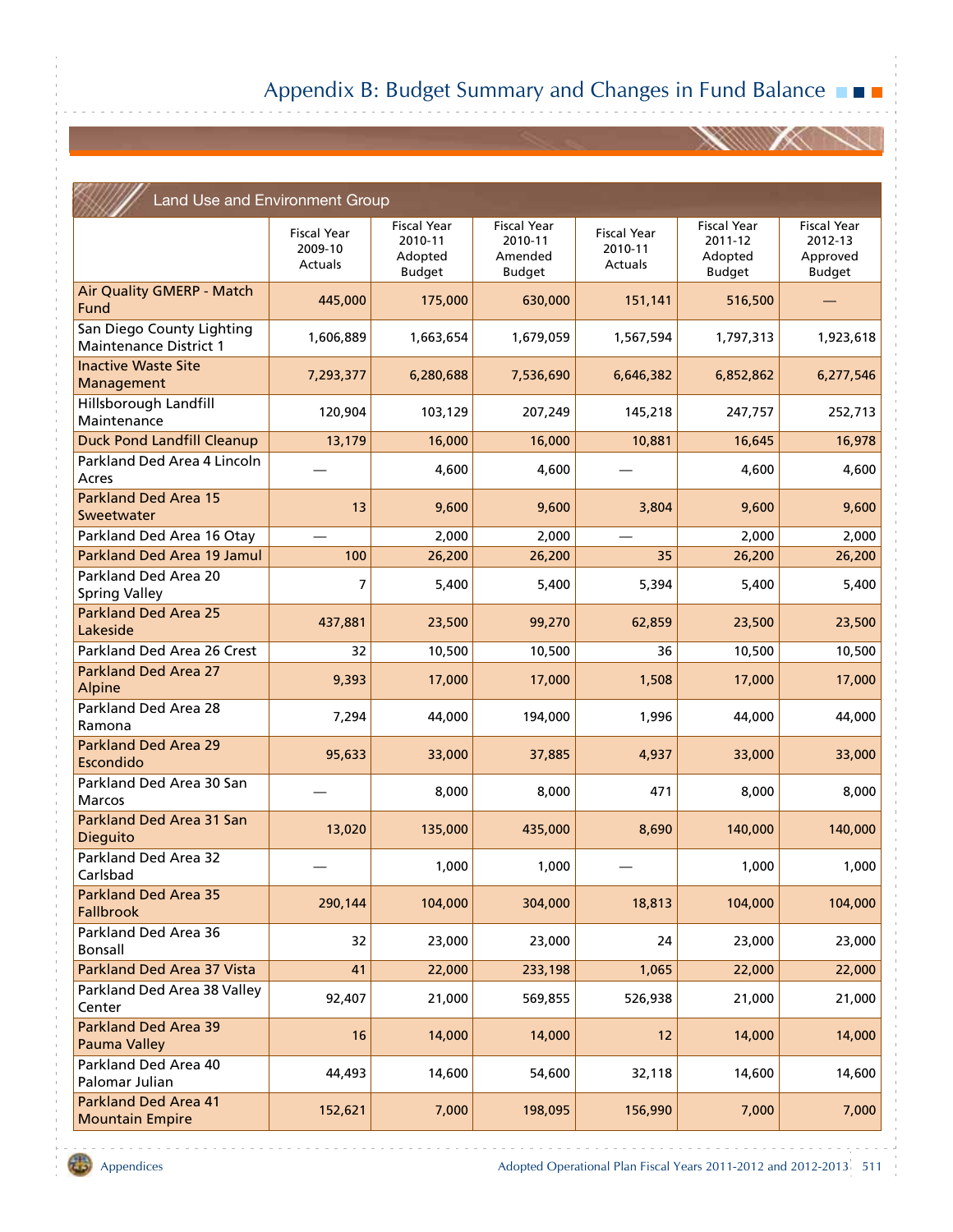| Land Use and Environment Group                             |                                          |                                                           |                                                           |                                          |                                                           |                                                            |  |  |
|------------------------------------------------------------|------------------------------------------|-----------------------------------------------------------|-----------------------------------------------------------|------------------------------------------|-----------------------------------------------------------|------------------------------------------------------------|--|--|
|                                                            | <b>Fiscal Year</b><br>2009-10<br>Actuals | <b>Fiscal Year</b><br>2010-11<br>Adopted<br><b>Budget</b> | <b>Fiscal Year</b><br>2010-11<br>Amended<br><b>Budget</b> | <b>Fiscal Year</b><br>2010-11<br>Actuals | <b>Fiscal Year</b><br>2011-12<br>Adopted<br><b>Budget</b> | <b>Fiscal Year</b><br>2012-13<br>Approved<br><b>Budget</b> |  |  |
| <b>Air Quality GMERP - Match</b><br>Fund                   | 445,000                                  | 175,000                                                   | 630,000                                                   | 151,141                                  | 516,500                                                   |                                                            |  |  |
| San Diego County Lighting<br><b>Maintenance District 1</b> | 1,606,889                                | 1,663,654                                                 | 1,679,059                                                 | 1,567,594                                | 1,797,313                                                 | 1,923,618                                                  |  |  |
| <b>Inactive Waste Site</b><br>Management                   | 7,293,377                                | 6,280,688                                                 | 7,536,690                                                 | 6,646,382                                | 6,852,862                                                 | 6,277,546                                                  |  |  |
| Hillsborough Landfill<br>Maintenance                       | 120,904                                  | 103,129                                                   | 207,249                                                   | 145,218                                  | 247,757                                                   | 252,713                                                    |  |  |
| <b>Duck Pond Landfill Cleanup</b>                          | 13,179                                   | 16,000                                                    | 16,000                                                    | 10,881                                   | 16,645                                                    | 16,978                                                     |  |  |
| Parkland Ded Area 4 Lincoln<br>Acres                       |                                          | 4,600                                                     | 4,600                                                     |                                          | 4,600                                                     | 4,600                                                      |  |  |
| <b>Parkland Ded Area 15</b><br>Sweetwater                  | 13                                       | 9,600                                                     | 9,600                                                     | 3,804                                    | 9,600                                                     | 9,600                                                      |  |  |
| Parkland Ded Area 16 Otay                                  |                                          | 2,000                                                     | 2,000                                                     |                                          | 2,000                                                     | 2,000                                                      |  |  |
| <b>Parkland Ded Area 19 Jamul</b>                          | 100                                      | 26,200                                                    | 26,200                                                    | 35                                       | 26,200                                                    | 26,200                                                     |  |  |
| Parkland Ded Area 20<br><b>Spring Valley</b>               | 7                                        | 5,400                                                     | 5,400                                                     | 5,394                                    | 5,400                                                     | 5,400                                                      |  |  |
| <b>Parkland Ded Area 25</b><br>Lakeside                    | 437,881                                  | 23,500                                                    | 99,270                                                    | 62,859                                   | 23,500                                                    | 23,500                                                     |  |  |
| Parkland Ded Area 26 Crest                                 | 32                                       | 10,500                                                    | 10,500                                                    | 36                                       | 10,500                                                    | 10,500                                                     |  |  |
| <b>Parkland Ded Area 27</b><br>Alpine                      | 9,393                                    | 17,000                                                    | 17,000                                                    | 1,508                                    | 17,000                                                    | 17,000                                                     |  |  |
| Parkland Ded Area 28<br>Ramona                             | 7,294                                    | 44,000                                                    | 194,000                                                   | 1,996                                    | 44,000                                                    | 44,000                                                     |  |  |
| <b>Parkland Ded Area 29</b><br>Escondido                   | 95,633                                   | 33,000                                                    | 37,885                                                    | 4,937                                    | 33,000                                                    | 33,000                                                     |  |  |
| Parkland Ded Area 30 San<br><b>Marcos</b>                  |                                          | 8,000                                                     | 8,000                                                     | 471                                      | 8,000                                                     | 8,000                                                      |  |  |
| Parkland Ded Area 31 San<br>Dieguito                       | 13,020                                   | 135,000                                                   | 435,000                                                   | 8,690                                    | 140,000                                                   | 140,000                                                    |  |  |
| Parkland Ded Area 32<br>Carlsbad                           |                                          | 1,000                                                     | 1,000                                                     |                                          | 1,000                                                     | 1,000                                                      |  |  |
| <b>Parkland Ded Area 35</b><br><b>Fallbrook</b>            | 290,144                                  | 104,000                                                   | 304,000                                                   | 18,813                                   | 104,000                                                   | 104,000                                                    |  |  |
| Parkland Ded Area 36<br>Bonsall                            | 32                                       | 23,000                                                    | 23,000                                                    | 24                                       | 23,000                                                    | 23,000                                                     |  |  |
| Parkland Ded Area 37 Vista                                 | 41                                       | 22,000                                                    | 233,198                                                   | 1,065                                    | 22,000                                                    | 22,000                                                     |  |  |
| Parkland Ded Area 38 Valley<br>Center                      | 92,407                                   | 21,000                                                    | 569,855                                                   | 526,938                                  | 21,000                                                    | 21,000                                                     |  |  |
| <b>Parkland Ded Area 39</b><br><b>Pauma Valley</b>         | 16                                       | 14,000                                                    | 14,000                                                    | 12                                       | 14,000                                                    | 14,000                                                     |  |  |
| Parkland Ded Area 40<br>Palomar Julian                     | 44,493                                   | 14,600                                                    | 54,600                                                    | 32,118                                   | 14,600                                                    | 14,600                                                     |  |  |
| <b>Parkland Ded Area 41</b><br><b>Mountain Empire</b>      | 152,621                                  | 7,000                                                     | 198,095                                                   | 156,990                                  | 7,000                                                     | 7,000                                                      |  |  |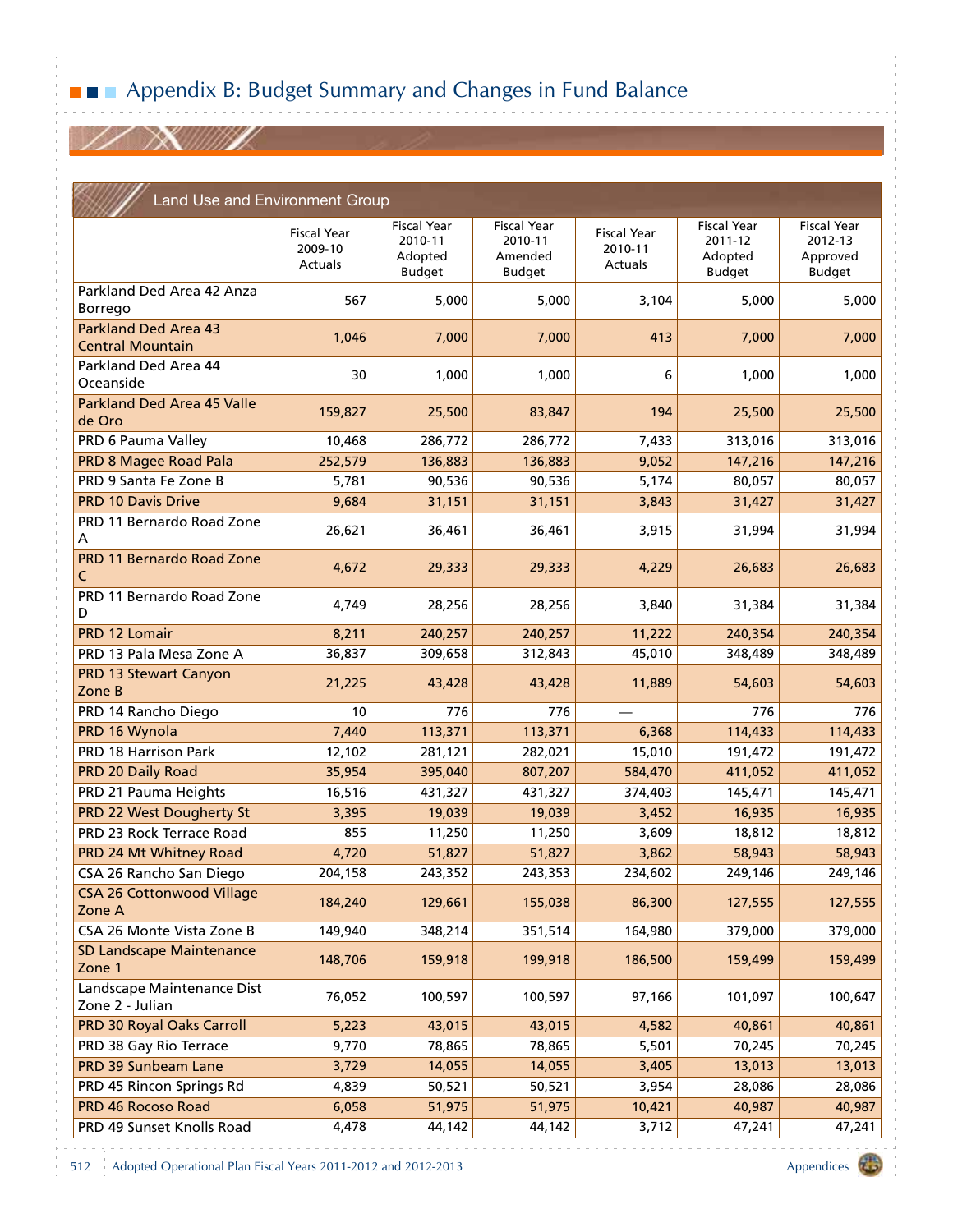| Land Use and Environment Group                         |                                          |                                                    |                                                           |                                          |                                                           |                                                            |  |  |  |  |
|--------------------------------------------------------|------------------------------------------|----------------------------------------------------|-----------------------------------------------------------|------------------------------------------|-----------------------------------------------------------|------------------------------------------------------------|--|--|--|--|
|                                                        | <b>Fiscal Year</b><br>2009-10<br>Actuals | Fiscal Year<br>2010-11<br>Adopted<br><b>Budget</b> | <b>Fiscal Year</b><br>2010-11<br>Amended<br><b>Budget</b> | <b>Fiscal Year</b><br>2010-11<br>Actuals | <b>Fiscal Year</b><br>2011-12<br>Adopted<br><b>Budget</b> | <b>Fiscal Year</b><br>2012-13<br>Approved<br><b>Budget</b> |  |  |  |  |
| Parkland Ded Area 42 Anza<br><b>Borrego</b>            | 567                                      | 5,000                                              | 5,000                                                     | 3,104                                    | 5,000                                                     | 5,000                                                      |  |  |  |  |
| <b>Parkland Ded Area 43</b><br><b>Central Mountain</b> | 1,046                                    | 7,000                                              | 7,000                                                     | 413                                      | 7,000                                                     | 7,000                                                      |  |  |  |  |
| Parkland Ded Area 44<br>Oceanside                      | 30                                       | 1,000                                              | 1,000                                                     | 6                                        | 1,000                                                     | 1,000                                                      |  |  |  |  |
| <b>Parkland Ded Area 45 Valle</b><br>de Oro            | 159,827                                  | 25,500                                             | 83,847                                                    | 194                                      | 25,500                                                    | 25,500                                                     |  |  |  |  |
| PRD 6 Pauma Valley                                     | 10,468                                   | 286,772                                            | 286,772                                                   | 7,433                                    | 313,016                                                   | 313,016                                                    |  |  |  |  |
| PRD 8 Magee Road Pala                                  | 252,579                                  | 136,883                                            | 136,883                                                   | 9,052                                    | 147,216                                                   | 147,216                                                    |  |  |  |  |
| PRD 9 Santa Fe Zone B                                  | 5,781                                    | 90,536                                             | 90,536                                                    | 5,174                                    | 80,057                                                    | 80,057                                                     |  |  |  |  |
| <b>PRD 10 Davis Drive</b>                              | 9,684                                    | 31,151                                             | 31,151                                                    | 3,843                                    | 31,427                                                    | 31,427                                                     |  |  |  |  |
| PRD 11 Bernardo Road Zone<br>А                         | 26,621                                   | 36,461                                             | 36,461                                                    | 3,915                                    | 31,994                                                    | 31,994                                                     |  |  |  |  |
| PRD 11 Bernardo Road Zone<br>C                         | 4,672                                    | 29,333                                             | 29,333                                                    | 4,229                                    | 26,683                                                    | 26,683                                                     |  |  |  |  |
| PRD 11 Bernardo Road Zone<br>D                         | 4.749                                    | 28,256                                             | 28,256                                                    | 3,840                                    | 31,384                                                    | 31,384                                                     |  |  |  |  |
| PRD 12 Lomair                                          | 8,211                                    | 240,257                                            | 240,257                                                   | 11,222                                   | 240,354                                                   | 240,354                                                    |  |  |  |  |
| PRD 13 Pala Mesa Zone A                                | 36,837                                   | 309,658                                            | 312,843                                                   | 45,010                                   | 348,489                                                   | 348,489                                                    |  |  |  |  |
| PRD 13 Stewart Canyon<br>Zone B                        | 21,225                                   | 43,428                                             | 43,428                                                    | 11,889                                   | 54,603                                                    | 54,603                                                     |  |  |  |  |
| PRD 14 Rancho Diego                                    | 10                                       | 776                                                | 776                                                       |                                          | 776                                                       | 776                                                        |  |  |  |  |
| PRD 16 Wynola                                          | 7,440                                    | 113,371                                            | 113,371                                                   | 6,368                                    | 114,433                                                   | 114,433                                                    |  |  |  |  |
| PRD 18 Harrison Park                                   | 12,102                                   | 281,121                                            | 282,021                                                   | 15,010                                   | 191,472                                                   | 191,472                                                    |  |  |  |  |
| PRD 20 Daily Road                                      | 35,954                                   | 395,040                                            | 807,207                                                   | 584,470                                  | 411,052                                                   | 411,052                                                    |  |  |  |  |
| PRD 21 Pauma Heights                                   | 16,516                                   | 431,327                                            | 431,327                                                   | 374,403                                  | 145,471                                                   | 145,471                                                    |  |  |  |  |
| PRD 22 West Dougherty St                               | 3,395                                    | 19,039                                             | 19,039                                                    | 3,452                                    | 16,935                                                    | 16,935                                                     |  |  |  |  |
| PRD 23 Rock Terrace Road                               | 855                                      | 11,250                                             | 11,250                                                    | 3,609                                    | 18,812                                                    | 18,812                                                     |  |  |  |  |
| PRD 24 Mt Whitney Road                                 | 4,720                                    | 51,827                                             | 51,827                                                    | 3,862                                    | 58,943                                                    | 58,943                                                     |  |  |  |  |
| CSA 26 Rancho San Diego                                | 204,158                                  | 243,352                                            | 243,353                                                   | 234,602                                  | 249,146                                                   | 249,146                                                    |  |  |  |  |
| <b>CSA 26 Cottonwood Village</b><br>Zone A             | 184,240                                  | 129,661                                            | 155,038                                                   | 86,300                                   | 127,555                                                   | 127,555                                                    |  |  |  |  |
| CSA 26 Monte Vista Zone B                              | 149,940                                  | 348,214                                            | 351,514                                                   | 164,980                                  | 379,000                                                   | 379,000                                                    |  |  |  |  |
| SD Landscape Maintenance<br>Zone 1                     | 148,706                                  | 159,918                                            | 199,918                                                   | 186,500                                  | 159,499                                                   | 159,499                                                    |  |  |  |  |
| Landscape Maintenance Dist<br>Zone 2 - Julian          | 76,052                                   | 100,597                                            | 100,597                                                   | 97,166                                   | 101,097                                                   | 100,647                                                    |  |  |  |  |
| PRD 30 Royal Oaks Carroll                              | 5,223                                    | 43,015                                             | 43,015                                                    | 4,582                                    | 40,861                                                    | 40,861                                                     |  |  |  |  |
| PRD 38 Gay Rio Terrace                                 | 9,770                                    | 78,865                                             | 78,865                                                    | 5,501                                    | 70,245                                                    | 70,245                                                     |  |  |  |  |
| PRD 39 Sunbeam Lane                                    | 3,729                                    | 14,055                                             | 14,055                                                    | 3,405                                    | 13,013                                                    | 13,013                                                     |  |  |  |  |
| PRD 45 Rincon Springs Rd                               | 4,839                                    | 50,521                                             | 50,521                                                    | 3,954                                    | 28,086                                                    | 28,086                                                     |  |  |  |  |
| PRD 46 Rocoso Road                                     | 6,058                                    | 51,975                                             | 51,975                                                    | 10,421                                   | 40,987                                                    | 40,987                                                     |  |  |  |  |
| PRD 49 Sunset Knolls Road                              | 4,478                                    | 44,142                                             | 44,142                                                    | 3,712                                    | 47,241                                                    | 47,241                                                     |  |  |  |  |

. . . . . . . . . . . . . . . . .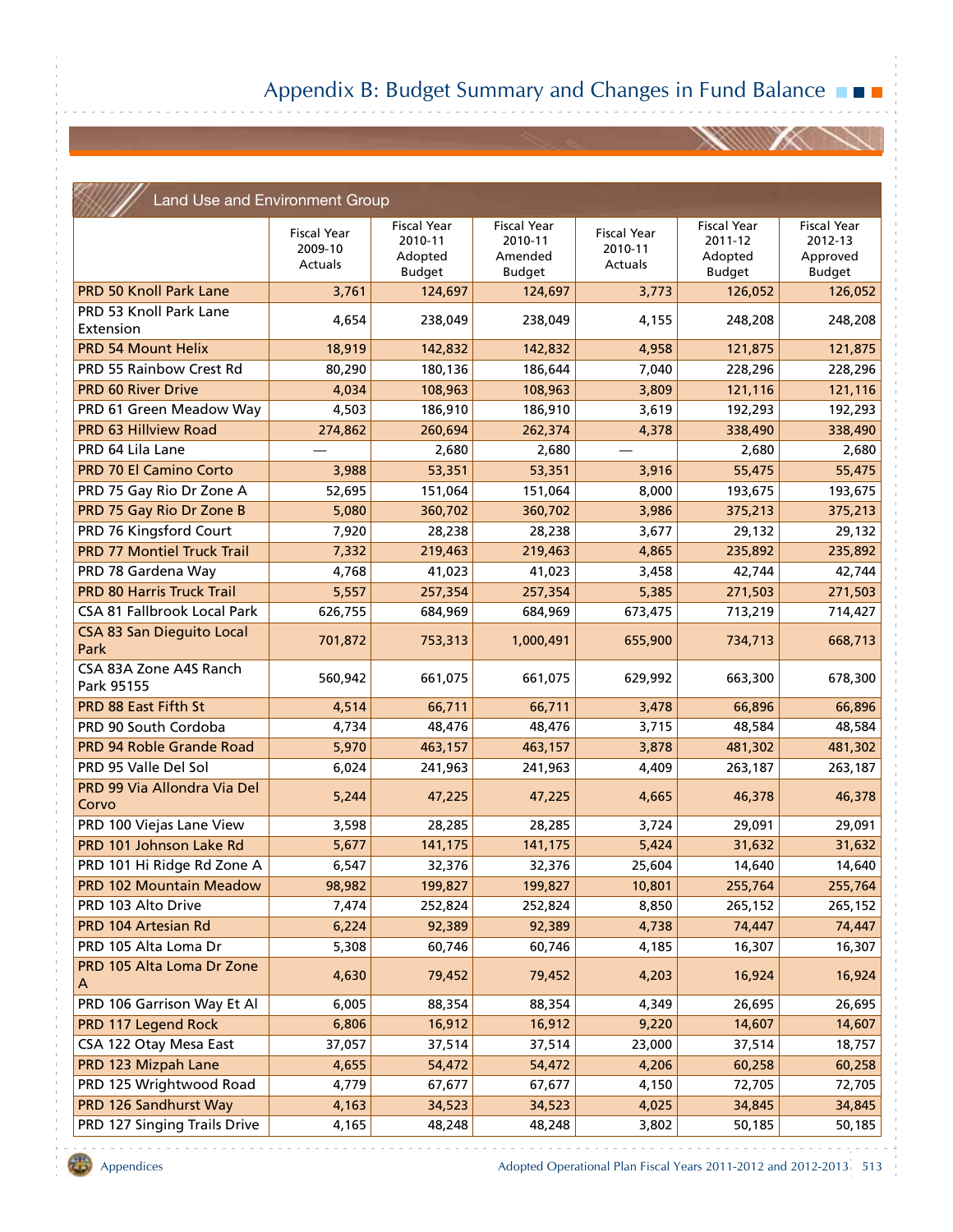| Land Use and Environment Group           |                                          |                                                    |                                                           |                                          |                                                           |                                                            |
|------------------------------------------|------------------------------------------|----------------------------------------------------|-----------------------------------------------------------|------------------------------------------|-----------------------------------------------------------|------------------------------------------------------------|
|                                          | <b>Fiscal Year</b><br>2009-10<br>Actuals | Fiscal Year<br>2010-11<br>Adopted<br><b>Budget</b> | <b>Fiscal Year</b><br>2010-11<br>Amended<br><b>Budget</b> | <b>Fiscal Year</b><br>2010-11<br>Actuals | <b>Fiscal Year</b><br>2011-12<br>Adopted<br><b>Budget</b> | <b>Fiscal Year</b><br>2012-13<br>Approved<br><b>Budget</b> |
| <b>PRD 50 Knoll Park Lane</b>            | 3,761                                    | 124,697                                            | 124,697                                                   | 3,773                                    | 126,052                                                   | 126,052                                                    |
| PRD 53 Knoll Park Lane<br>Extension      | 4,654                                    | 238,049                                            | 238,049                                                   | 4,155                                    | 248,208                                                   | 248,208                                                    |
| <b>PRD 54 Mount Helix</b>                | 18,919                                   | 142,832                                            | 142,832                                                   | 4,958                                    | 121,875                                                   | 121,875                                                    |
| PRD 55 Rainbow Crest Rd                  | 80,290                                   | 180,136                                            | 186,644                                                   | 7,040                                    | 228,296                                                   | 228,296                                                    |
| <b>PRD 60 River Drive</b>                | 4,034                                    | 108,963                                            | 108,963                                                   | 3,809                                    | 121,116                                                   | 121,116                                                    |
| PRD 61 Green Meadow Way                  | 4,503                                    | 186,910                                            | 186,910                                                   | 3,619                                    | 192,293                                                   | 192,293                                                    |
| PRD 63 Hillview Road                     | 274,862                                  | 260,694                                            | 262,374                                                   | 4,378                                    | 338,490                                                   | 338,490                                                    |
| PRD 64 Lila Lane                         |                                          | 2,680                                              | 2,680                                                     |                                          | 2,680                                                     | 2,680                                                      |
| PRD 70 El Camino Corto                   | 3,988                                    | 53,351                                             | 53,351                                                    | 3,916                                    | 55,475                                                    | 55,475                                                     |
| PRD 75 Gay Rio Dr Zone A                 | 52,695                                   | 151,064                                            | 151,064                                                   | 8,000                                    | 193,675                                                   | 193,675                                                    |
| PRD 75 Gay Rio Dr Zone B                 | 5,080                                    | 360,702                                            | 360,702                                                   | 3,986                                    | 375,213                                                   | 375,213                                                    |
| PRD 76 Kingsford Court                   | 7,920                                    | 28,238                                             | 28,238                                                    | 3,677                                    | 29,132                                                    | 29,132                                                     |
| <b>PRD 77 Montiel Truck Trail</b>        | 7,332                                    | 219,463                                            | 219,463                                                   | 4,865                                    | 235,892                                                   | 235,892                                                    |
| PRD 78 Gardena Way                       | 4,768                                    | 41,023                                             | 41,023                                                    | 3,458                                    | 42,744                                                    | 42,744                                                     |
| <b>PRD 80 Harris Truck Trail</b>         | 5,557                                    | 257,354                                            | 257,354                                                   | 5,385                                    | 271,503                                                   | 271,503                                                    |
| CSA 81 Fallbrook Local Park              | 626,755                                  | 684,969                                            | 684,969                                                   | 673,475                                  | 713,219                                                   | 714,427                                                    |
| <b>CSA 83 San Dieguito Local</b><br>Park | 701,872                                  | 753,313                                            | 1,000,491                                                 | 655,900                                  | 734,713                                                   | 668,713                                                    |
| CSA 83A Zone A4S Ranch<br>Park 95155     | 560,942                                  | 661,075                                            | 661,075                                                   | 629,992                                  | 663,300                                                   | 678,300                                                    |
| PRD 88 East Fifth St                     | 4,514                                    | 66,711                                             | 66,711                                                    | 3,478                                    | 66,896                                                    | 66,896                                                     |
| PRD 90 South Cordoba                     | 4,734                                    | 48,476                                             | 48,476                                                    | 3,715                                    | 48,584                                                    | 48,584                                                     |
| PRD 94 Roble Grande Road                 | 5,970                                    | 463,157                                            | 463,157                                                   | 3,878                                    | 481,302                                                   | 481,302                                                    |
| PRD 95 Valle Del Sol                     | 6,024                                    | 241,963                                            | 241,963                                                   | 4,409                                    | 263,187                                                   | 263,187                                                    |
| PRD 99 Via Allondra Via Del<br>Corvo     | 5,244                                    | 47,225                                             | 47,225                                                    | 4,665                                    | 46,378                                                    | 46,378                                                     |
| PRD 100 Viejas Lane View                 | 3,598                                    | 28,285                                             | 28,285                                                    | 3,724                                    | 29,091                                                    | 29,091                                                     |
| PRD 101 Johnson Lake Rd                  | 5,677                                    | 141,175                                            | 141,175                                                   | 5,424                                    | 31,632                                                    | 31,632                                                     |
| PRD 101 Hi Ridge Rd Zone A               | 6,547                                    | 32,376                                             | 32,376                                                    | 25,604                                   | 14,640                                                    | 14,640                                                     |
| PRD 102 Mountain Meadow                  | 98,982                                   | 199,827                                            | 199,827                                                   | 10,801                                   | 255,764                                                   | 255,764                                                    |
| PRD 103 Alto Drive                       | 7,474                                    | 252,824                                            | 252,824                                                   | 8,850                                    | 265,152                                                   | 265,152                                                    |
| PRD 104 Artesian Rd                      | 6,224                                    | 92,389                                             | 92,389                                                    | 4,738                                    | 74,447                                                    | 74,447                                                     |
| PRD 105 Alta Loma Dr                     | 5,308                                    | 60,746                                             | 60,746                                                    | 4,185                                    | 16,307                                                    | 16,307                                                     |
| PRD 105 Alta Loma Dr Zone<br>A           | 4,630                                    | 79,452                                             | 79,452                                                    | 4,203                                    | 16,924                                                    | 16,924                                                     |
| PRD 106 Garrison Way Et Al               | 6,005                                    | 88,354                                             | 88,354                                                    | 4,349                                    | 26,695                                                    | 26,695                                                     |
| PRD 117 Legend Rock                      | 6,806                                    | 16,912                                             | 16,912                                                    | 9,220                                    | 14,607                                                    | 14,607                                                     |
| CSA 122 Otay Mesa East                   | 37,057                                   | 37,514                                             | 37,514                                                    | 23,000                                   | 37,514                                                    | 18,757                                                     |
| PRD 123 Mizpah Lane                      | 4,655                                    | 54,472                                             | 54,472                                                    | 4,206                                    | 60,258                                                    | 60,258                                                     |
| PRD 125 Wrightwood Road                  | 4,779                                    | 67,677                                             | 67,677                                                    | 4,150                                    | 72,705                                                    | 72,705                                                     |
| PRD 126 Sandhurst Way                    | 4,163                                    | 34,523                                             | 34,523                                                    | 4,025                                    | 34,845                                                    | 34,845                                                     |
| PRD 127 Singing Trails Drive             | 4,165                                    | 48,248                                             | 48,248                                                    | 3,802                                    | 50,185                                                    | 50,185                                                     |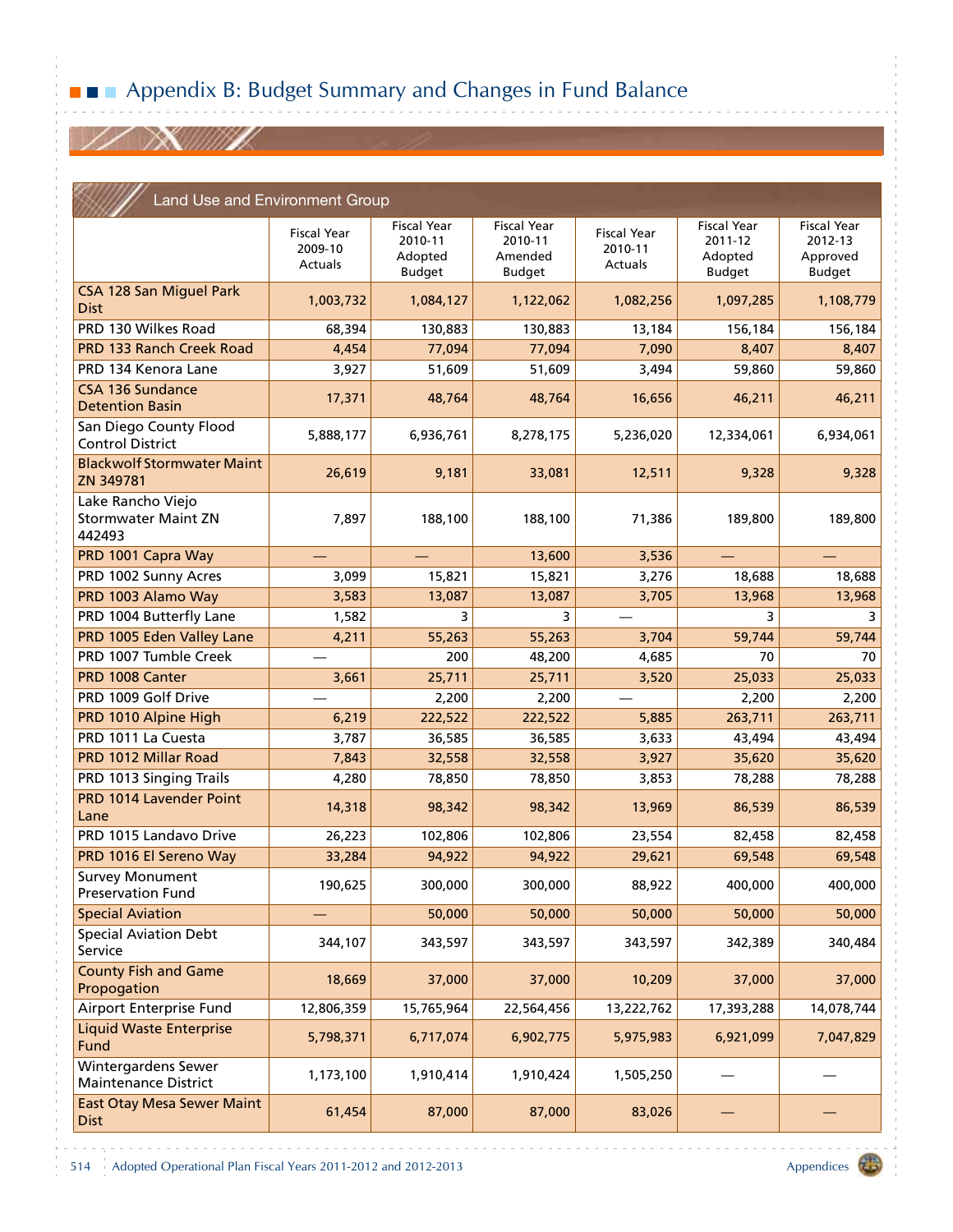**TANNAHAL** 

|                                                           | Land Use and Environment Group           |                                                           |                                                           |                                          |                                                           |                                                            |  |  |  |  |  |
|-----------------------------------------------------------|------------------------------------------|-----------------------------------------------------------|-----------------------------------------------------------|------------------------------------------|-----------------------------------------------------------|------------------------------------------------------------|--|--|--|--|--|
|                                                           | <b>Fiscal Year</b><br>2009-10<br>Actuals | <b>Fiscal Year</b><br>2010-11<br>Adopted<br><b>Budget</b> | <b>Fiscal Year</b><br>2010-11<br>Amended<br><b>Budget</b> | <b>Fiscal Year</b><br>2010-11<br>Actuals | <b>Fiscal Year</b><br>2011-12<br>Adopted<br><b>Budget</b> | <b>Fiscal Year</b><br>2012-13<br>Approved<br><b>Budget</b> |  |  |  |  |  |
| CSA 128 San Miguel Park<br><b>Dist</b>                    | 1,003,732                                | 1,084,127                                                 | 1,122,062                                                 | 1,082,256                                | 1,097,285                                                 | 1,108,779                                                  |  |  |  |  |  |
| PRD 130 Wilkes Road                                       | 68,394                                   | 130,883                                                   | 130,883                                                   | 13,184                                   | 156,184                                                   | 156,184                                                    |  |  |  |  |  |
| PRD 133 Ranch Creek Road                                  | 4,454                                    | 77,094                                                    | 77,094                                                    | 7,090                                    | 8,407                                                     | 8,407                                                      |  |  |  |  |  |
| PRD 134 Kenora Lane                                       | 3,927                                    | 51,609                                                    | 51,609                                                    | 3,494                                    | 59,860                                                    | 59,860                                                     |  |  |  |  |  |
| CSA 136 Sundance<br><b>Detention Basin</b>                | 17,371                                   | 48,764                                                    | 48,764                                                    | 16,656                                   | 46,211                                                    | 46,211                                                     |  |  |  |  |  |
| San Diego County Flood<br><b>Control District</b>         | 5,888,177                                | 6,936,761                                                 | 8,278,175                                                 | 5,236,020                                | 12,334,061                                                | 6,934,061                                                  |  |  |  |  |  |
| <b>Blackwolf Stormwater Maint</b><br>ZN 349781            | 26,619                                   | 9,181                                                     | 33,081                                                    | 12,511                                   | 9,328                                                     | 9,328                                                      |  |  |  |  |  |
| Lake Rancho Viejo<br><b>Stormwater Maint ZN</b><br>442493 | 7,897                                    | 188,100                                                   | 188,100                                                   | 71,386                                   | 189,800                                                   | 189,800                                                    |  |  |  |  |  |
| PRD 1001 Capra Way                                        |                                          |                                                           | 13,600                                                    | 3,536                                    |                                                           |                                                            |  |  |  |  |  |
| PRD 1002 Sunny Acres                                      | 3,099                                    | 15,821                                                    | 15,821                                                    | 3,276                                    | 18,688                                                    | 18,688                                                     |  |  |  |  |  |
| PRD 1003 Alamo Way                                        | 3,583                                    | 13,087                                                    | 13,087                                                    | 3,705                                    | 13,968                                                    | 13,968                                                     |  |  |  |  |  |
| PRD 1004 Butterfly Lane                                   | 1,582                                    | 3                                                         | 3                                                         |                                          | 3                                                         | 3                                                          |  |  |  |  |  |
| PRD 1005 Eden Valley Lane                                 | 4,211                                    | 55,263                                                    | 55,263                                                    | 3,704                                    | 59,744                                                    | 59,744                                                     |  |  |  |  |  |
| PRD 1007 Tumble Creek                                     |                                          | 200                                                       | 48,200                                                    | 4,685                                    | 70                                                        | 70                                                         |  |  |  |  |  |
| PRD 1008 Canter                                           | 3,661                                    | 25,711                                                    | 25,711                                                    | 3,520                                    | 25,033                                                    | 25,033                                                     |  |  |  |  |  |
| PRD 1009 Golf Drive                                       | $\overline{\phantom{0}}$                 | 2,200                                                     | 2,200                                                     |                                          | 2,200                                                     | 2,200                                                      |  |  |  |  |  |
| PRD 1010 Alpine High                                      | 6,219                                    | 222,522                                                   | 222,522                                                   | 5,885                                    | 263,711                                                   | 263,711                                                    |  |  |  |  |  |
| PRD 1011 La Cuesta                                        | 3,787                                    | 36,585                                                    | 36,585                                                    | 3,633                                    | 43,494                                                    | 43,494                                                     |  |  |  |  |  |
| PRD 1012 Millar Road                                      | 7,843                                    | 32,558                                                    | 32,558                                                    | 3,927                                    | 35,620                                                    | 35,620                                                     |  |  |  |  |  |
| PRD 1013 Singing Trails                                   | 4,280                                    | 78,850                                                    | 78,850                                                    | 3,853                                    | 78,288                                                    | 78,288                                                     |  |  |  |  |  |
| PRD 1014 Lavender Point<br>Lane                           | 14,318                                   | 98,342                                                    | 98,342                                                    | 13,969                                   | 86,539                                                    | 86,539                                                     |  |  |  |  |  |
| PRD 1015 Landavo Drive                                    | 26,223                                   | 102,806                                                   | 102,806                                                   | 23,554                                   | 82,458                                                    | 82,458                                                     |  |  |  |  |  |
| PRD 1016 El Sereno Way                                    | 33,284                                   | 94,922                                                    | 94,922                                                    | 29,621                                   | 69,548                                                    | 69,548                                                     |  |  |  |  |  |
| <b>Survey Monument</b><br><b>Preservation Fund</b>        | 190,625                                  | 300,000                                                   | 300,000                                                   | 88,922                                   | 400,000                                                   | 400,000                                                    |  |  |  |  |  |
| <b>Special Aviation</b>                                   |                                          | 50,000                                                    | 50,000                                                    | 50,000                                   | 50,000                                                    | 50,000                                                     |  |  |  |  |  |
| <b>Special Aviation Debt</b><br>Service                   | 344,107                                  | 343,597                                                   | 343,597                                                   | 343,597                                  | 342,389                                                   | 340,484                                                    |  |  |  |  |  |
| <b>County Fish and Game</b><br>Propogation                | 18,669                                   | 37,000                                                    | 37,000                                                    | 10,209                                   | 37,000                                                    | 37,000                                                     |  |  |  |  |  |
| Airport Enterprise Fund                                   | 12,806,359                               | 15,765,964                                                | 22,564,456                                                | 13,222,762                               | 17,393,288                                                | 14,078,744                                                 |  |  |  |  |  |
| <b>Liquid Waste Enterprise</b><br>Fund                    | 5,798,371                                | 6,717,074                                                 | 6,902,775                                                 | 5,975,983                                | 6,921,099                                                 | 7,047,829                                                  |  |  |  |  |  |
| Wintergardens Sewer<br><b>Maintenance District</b>        | 1,173,100                                | 1,910,414                                                 | 1,910,424                                                 | 1,505,250                                |                                                           |                                                            |  |  |  |  |  |
| <b>East Otay Mesa Sewer Maint</b><br><b>Dist</b>          | 61,454                                   | 87,000                                                    | 87,000                                                    | 83,026                                   |                                                           |                                                            |  |  |  |  |  |

and a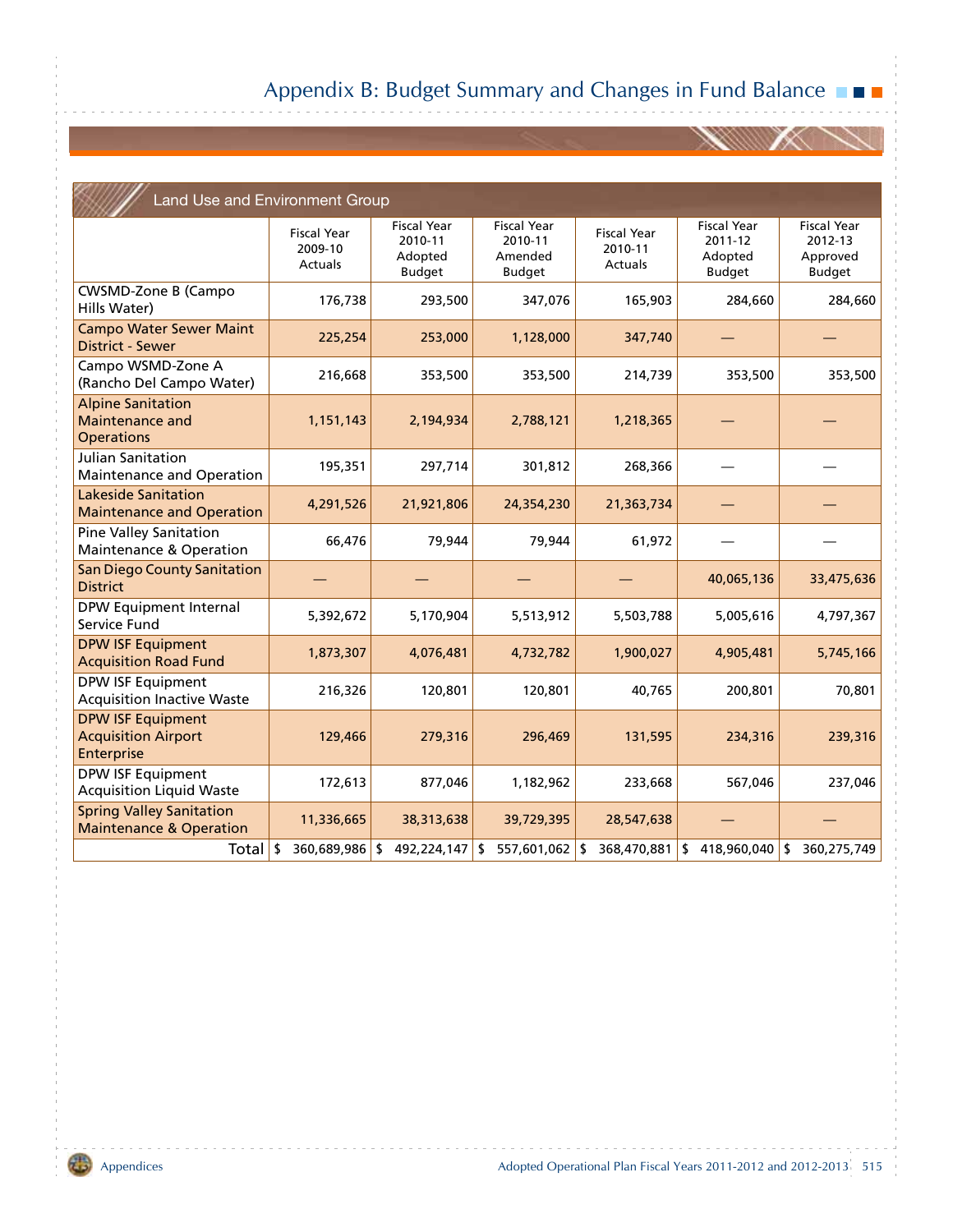| Land Use and Environment Group                                          |                                                 |                                                           |                                                           |                                          |                                                           |                                                            |  |  |  |  |
|-------------------------------------------------------------------------|-------------------------------------------------|-----------------------------------------------------------|-----------------------------------------------------------|------------------------------------------|-----------------------------------------------------------|------------------------------------------------------------|--|--|--|--|
|                                                                         | <b>Fiscal Year</b><br>2009-10<br><b>Actuals</b> | <b>Fiscal Year</b><br>2010-11<br>Adopted<br><b>Budget</b> | <b>Fiscal Year</b><br>2010-11<br>Amended<br><b>Budget</b> | <b>Fiscal Year</b><br>2010-11<br>Actuals | <b>Fiscal Year</b><br>2011-12<br>Adopted<br><b>Budget</b> | <b>Fiscal Year</b><br>2012-13<br>Approved<br><b>Budget</b> |  |  |  |  |
| <b>CWSMD-Zone B (Campo</b><br>Hills Water)                              | 176,738                                         | 293,500                                                   | 347,076                                                   | 165,903                                  | 284,660                                                   | 284,660                                                    |  |  |  |  |
| <b>Campo Water Sewer Maint</b><br><b>District - Sewer</b>               | 225,254                                         | 253,000                                                   | 1,128,000                                                 | 347,740                                  |                                                           |                                                            |  |  |  |  |
| Campo WSMD-Zone A<br>(Rancho Del Campo Water)                           | 216,668                                         | 353,500                                                   | 353,500                                                   | 214,739                                  | 353,500                                                   | 353,500                                                    |  |  |  |  |
| <b>Alpine Sanitation</b><br><b>Maintenance and</b><br><b>Operations</b> | 1,151,143                                       | 2,194,934                                                 | 2,788,121                                                 | 1,218,365                                |                                                           |                                                            |  |  |  |  |
| Julian Sanitation<br>Maintenance and Operation                          | 195,351                                         | 297,714                                                   | 301,812                                                   | 268,366                                  |                                                           |                                                            |  |  |  |  |
| <b>Lakeside Sanitation</b><br><b>Maintenance and Operation</b>          | 4,291,526                                       | 21,921,806                                                | 24,354,230                                                | 21,363,734                               |                                                           |                                                            |  |  |  |  |
| <b>Pine Valley Sanitation</b><br><b>Maintenance &amp; Operation</b>     | 66,476                                          | 79,944                                                    | 79,944<br>61,972                                          |                                          |                                                           |                                                            |  |  |  |  |
| <b>San Diego County Sanitation</b><br><b>District</b>                   |                                                 |                                                           |                                                           |                                          | 40,065,136                                                | 33,475,636                                                 |  |  |  |  |
| <b>DPW Equipment Internal</b><br>Service Fund                           | 5,392,672                                       | 5,170,904                                                 | 5,513,912                                                 | 5,503,788                                | 5,005,616                                                 | 4,797,367                                                  |  |  |  |  |
| <b>DPW ISF Equipment</b><br><b>Acquisition Road Fund</b>                | 1,873,307                                       | 4,076,481                                                 | 4,732,782                                                 | 1,900,027                                | 4,905,481                                                 | 5,745,166                                                  |  |  |  |  |
| <b>DPW ISF Equipment</b><br><b>Acquisition Inactive Waste</b>           | 216,326                                         | 120,801                                                   | 120,801                                                   | 40,765                                   | 200,801                                                   | 70,801                                                     |  |  |  |  |
| <b>DPW ISF Equipment</b><br><b>Acquisition Airport</b><br>Enterprise    | 129,466                                         | 279,316                                                   | 296,469                                                   | 131,595                                  | 234,316                                                   | 239,316                                                    |  |  |  |  |
| <b>DPW ISF Equipment</b><br><b>Acquisition Liquid Waste</b>             | 172,613                                         | 877,046                                                   | 1,182,962                                                 | 233,668                                  | 567,046                                                   | 237,046                                                    |  |  |  |  |
| <b>Spring Valley Sanitation</b><br><b>Maintenance &amp; Operation</b>   | 11,336,665                                      | 38,313,638                                                | 39,729,395                                                | 28,547,638                               |                                                           |                                                            |  |  |  |  |
| Total                                                                   | 360,689,986 \$<br>\$                            | 492,224,147                                               | 557,601,062 \$<br>$\vert$ \$                              | $368,470,881$ \$                         | 418,960,040 \$                                            | 360,275,749                                                |  |  |  |  |

 $\label{eq:2.1} \begin{array}{lllllllllllllll} \alpha & \alpha & \alpha & \alpha & \alpha & \alpha \\ \end{array}$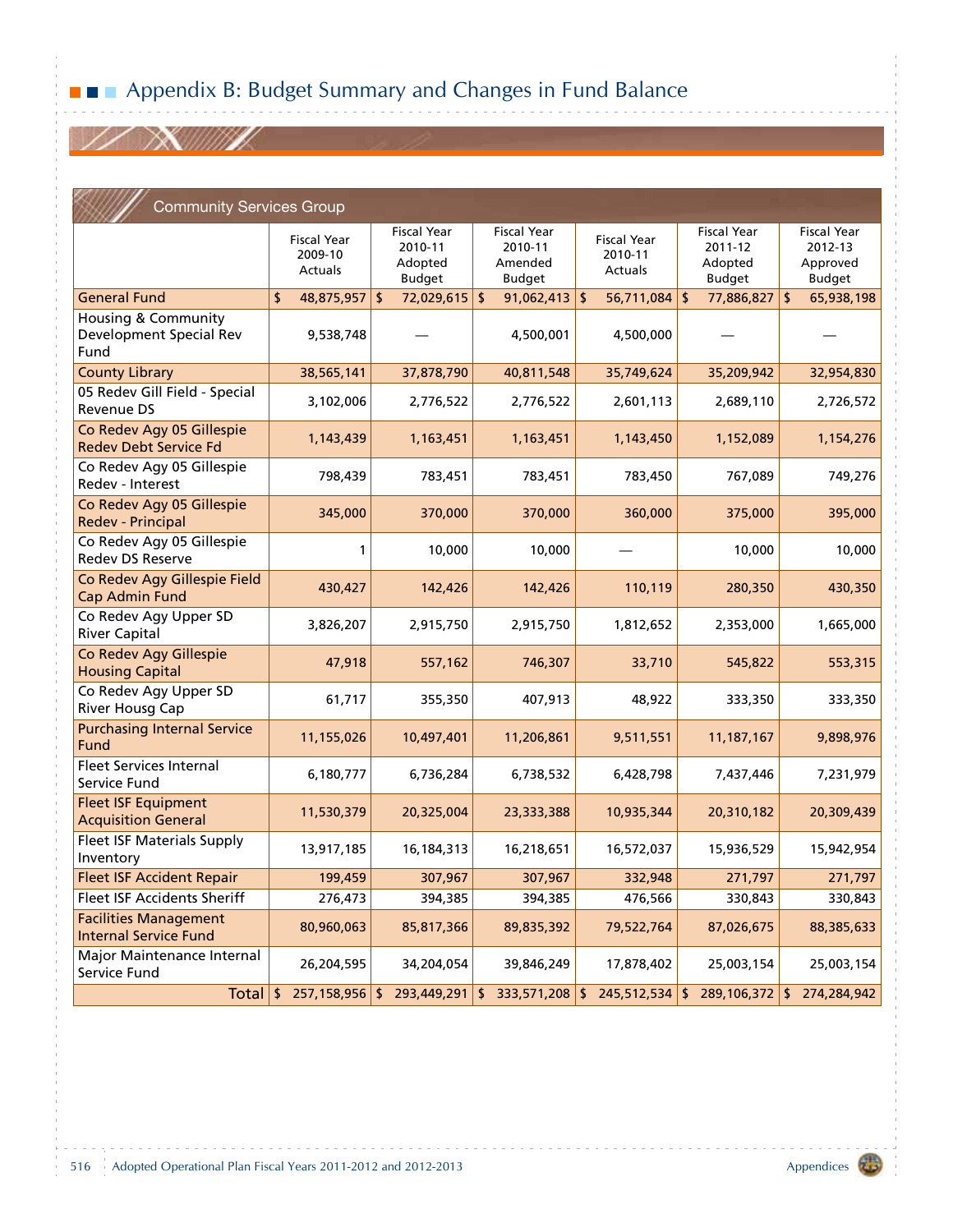| <b>Community Services Group</b>                                          |                                                 |                                                                                                   |                                                           |                                                 |                                                           |                                                            |  |  |  |  |
|--------------------------------------------------------------------------|-------------------------------------------------|---------------------------------------------------------------------------------------------------|-----------------------------------------------------------|-------------------------------------------------|-----------------------------------------------------------|------------------------------------------------------------|--|--|--|--|
|                                                                          | <b>Fiscal Year</b><br>2009-10<br><b>Actuals</b> | <b>Fiscal Year</b><br>2010-11<br>Adopted<br><b>Budget</b>                                         | <b>Fiscal Year</b><br>2010-11<br>Amended<br><b>Budget</b> | <b>Fiscal Year</b><br>2010-11<br><b>Actuals</b> | <b>Fiscal Year</b><br>2011-12<br>Adopted<br><b>Budget</b> | <b>Fiscal Year</b><br>2012-13<br>Approved<br><b>Budget</b> |  |  |  |  |
| <b>General Fund</b>                                                      | \$<br>48,875,957                                | $\sqrt{2}$<br>72,029,615                                                                          | \$<br>91,062,413                                          | \$<br>$56,711,084$ \$                           | 77,886,827                                                | \$<br>65,938,198                                           |  |  |  |  |
| <b>Housing &amp; Community</b><br><b>Development Special Rev</b><br>Fund | 9,538,748                                       |                                                                                                   | 4,500,001                                                 | 4,500,000                                       |                                                           |                                                            |  |  |  |  |
| <b>County Library</b>                                                    | 38,565,141                                      | 37,878,790                                                                                        | 40,811,548                                                | 35,749,624                                      | 35,209,942                                                | 32,954,830                                                 |  |  |  |  |
| 05 Redev Gill Field - Special<br><b>Revenue DS</b>                       | 3,102,006                                       | 2,776,522                                                                                         | 2,776,522                                                 | 2,601,113                                       | 2,689,110                                                 | 2,726,572                                                  |  |  |  |  |
| Co Redev Agy 05 Gillespie<br><b>Redev Debt Service Fd</b>                | 1,143,439                                       | 1,163,451                                                                                         | 1,163,451                                                 | 1,143,450                                       | 1,152,089                                                 | 1,154,276                                                  |  |  |  |  |
| Co Redev Agy 05 Gillespie<br>Redev - Interest                            | 798,439                                         | 783,451                                                                                           | 783,451                                                   | 783,450                                         | 767,089                                                   | 749,276                                                    |  |  |  |  |
| Co Redev Agy 05 Gillespie<br><b>Redev - Principal</b>                    | 345,000                                         | 370,000                                                                                           | 370,000                                                   | 360,000                                         | 375,000                                                   | 395,000                                                    |  |  |  |  |
| Co Redev Agy 05 Gillespie<br>Redev DS Reserve                            | 1                                               | 10,000                                                                                            | 10,000                                                    |                                                 | 10,000                                                    | 10,000                                                     |  |  |  |  |
| Co Redev Agy Gillespie Field<br><b>Cap Admin Fund</b>                    | 430,427                                         | 142,426                                                                                           | 142,426                                                   | 110,119                                         | 280,350                                                   | 430,350                                                    |  |  |  |  |
| Co Redev Agy Upper SD<br><b>River Capital</b>                            | 3,826,207                                       | 2,915,750                                                                                         | 2,915,750                                                 | 1,812,652                                       | 2,353,000                                                 | 1,665,000                                                  |  |  |  |  |
| Co Redev Agy Gillespie<br><b>Housing Capital</b>                         | 47,918                                          | 557,162                                                                                           | 746,307                                                   | 33,710                                          | 545,822                                                   | 553,315                                                    |  |  |  |  |
| Co Redev Agy Upper SD<br><b>River Housg Cap</b>                          | 61,717                                          | 355,350                                                                                           | 407,913                                                   | 48,922                                          | 333,350                                                   | 333,350                                                    |  |  |  |  |
| <b>Purchasing Internal Service</b><br>Fund                               | 11,155,026                                      | 10,497,401                                                                                        | 11,206,861                                                | 9,511,551                                       | 11,187,167                                                | 9,898,976                                                  |  |  |  |  |
| <b>Fleet Services Internal</b><br>Service Fund                           | 6,180,777                                       | 6,736,284                                                                                         | 6,738,532                                                 | 6,428,798                                       | 7,437,446                                                 | 7,231,979                                                  |  |  |  |  |
| <b>Fleet ISF Equipment</b><br><b>Acquisition General</b>                 | 11,530,379                                      | 20,325,004                                                                                        | 23,333,388                                                | 10,935,344                                      | 20,310,182                                                | 20,309,439                                                 |  |  |  |  |
| <b>Fleet ISF Materials Supply</b><br>Inventory                           | 13,917,185                                      | 16,184,313                                                                                        | 16,218,651                                                | 16,572,037                                      | 15,936,529                                                | 15,942,954                                                 |  |  |  |  |
| <b>Fleet ISF Accident Repair</b>                                         | 199,459                                         | 307,967                                                                                           | 307,967                                                   | 332,948                                         | 271,797                                                   | 271,797                                                    |  |  |  |  |
| <b>Fleet ISF Accidents Sheriff</b>                                       | 276,473                                         | 394,385                                                                                           | 394,385                                                   | 476,566                                         | 330,843                                                   | 330,843                                                    |  |  |  |  |
| <b>Facilities Management</b><br><b>Internal Service Fund</b>             | 80,960,063                                      | 85,817,366                                                                                        | 89,835,392                                                | 79,522,764                                      | 87,026,675                                                | 88,385,633                                                 |  |  |  |  |
| Major Maintenance Internal<br>Service Fund                               | 26,204,595                                      | 34,204,054                                                                                        | 39,846,249                                                | 17,878,402                                      | 25,003,154                                                | 25,003,154                                                 |  |  |  |  |
|                                                                          |                                                 | Total $\frac{1}{2}$ 257,158,956 $\frac{1}{2}$ 293,449,291 $\frac{1}{2}$ 333,571,208 $\frac{1}{2}$ |                                                           | $245,512,534$ \$                                |                                                           | 289,106,372 \$ 274,284,942                                 |  |  |  |  |

 $\alpha$  ,  $\alpha$  ,  $\alpha$  ,  $\alpha$  ,  $\alpha$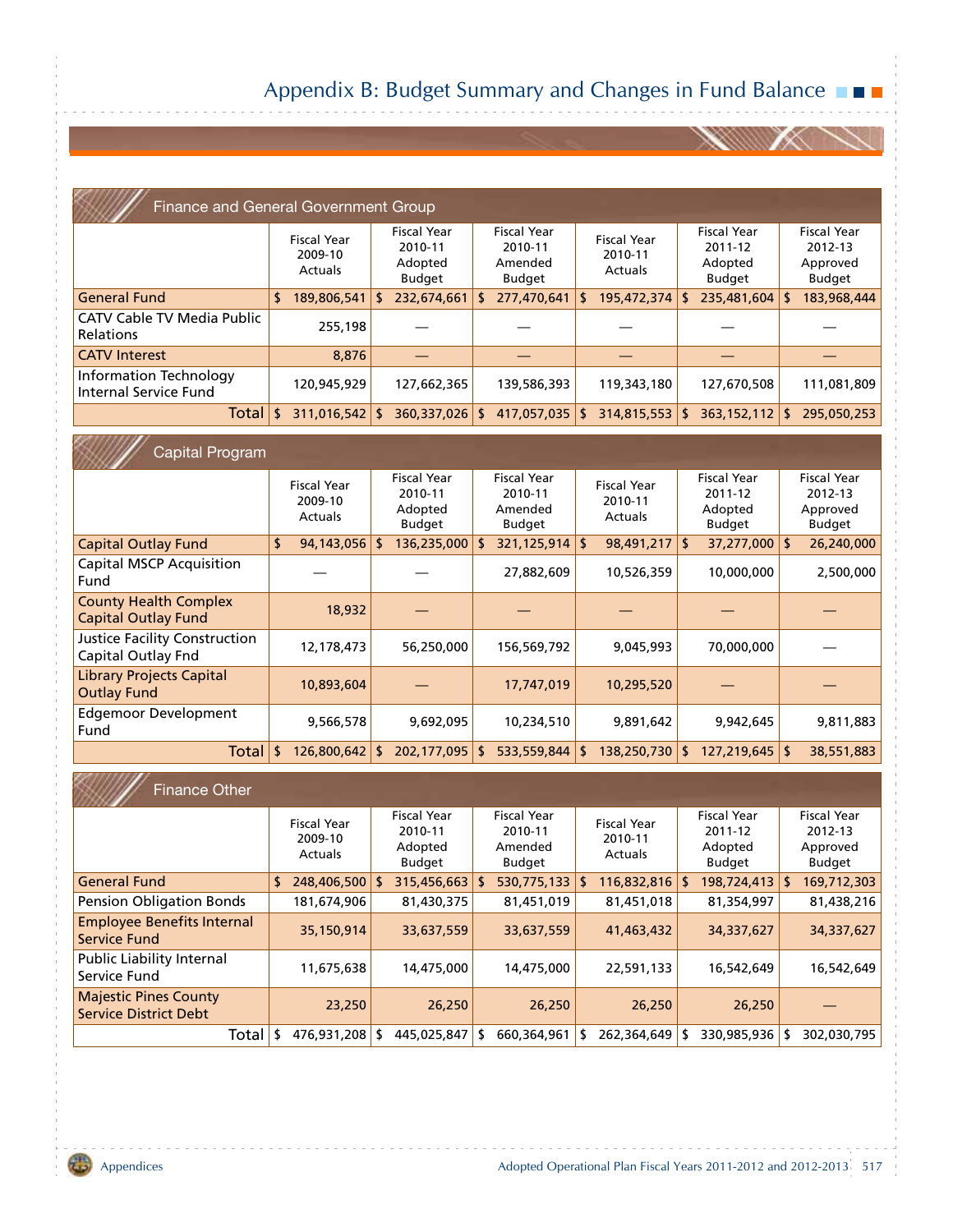| Finance and General Government Group                          |               |                                                 |     |                                                           |    |                                                           |                    |                                                 |    |                                                           |               |                                                            |
|---------------------------------------------------------------|---------------|-------------------------------------------------|-----|-----------------------------------------------------------|----|-----------------------------------------------------------|--------------------|-------------------------------------------------|----|-----------------------------------------------------------|---------------|------------------------------------------------------------|
|                                                               |               | <b>Fiscal Year</b><br>2009-10<br>Actuals        |     | Fiscal Year<br>2010-11<br>Adopted<br><b>Budget</b>        |    | <b>Fiscal Year</b><br>2010-11<br>Amended<br><b>Budget</b> |                    | <b>Fiscal Year</b><br>2010-11<br><b>Actuals</b> |    | Fiscal Year<br>2011-12<br>Adopted<br><b>Budget</b>        |               | <b>Fiscal Year</b><br>2012-13<br>Approved<br><b>Budget</b> |
| <b>General Fund</b>                                           | $\mathsf{\$}$ | 189,806,541                                     | \$  | 232,674,661                                               |    | \$277,470,641                                             | \$                 | 195,472,374                                     | \$ | 235,481,604                                               | $\frac{1}{2}$ | 183,968,444                                                |
| <b>CATV Cable TV Media Public</b><br>Relations                |               | 255,198                                         |     |                                                           |    |                                                           |                    |                                                 |    |                                                           |               |                                                            |
| <b>CATV Interest</b>                                          |               | 8,876                                           |     |                                                           |    |                                                           |                    |                                                 |    |                                                           |               |                                                            |
| <b>Information Technology</b><br><b>Internal Service Fund</b> |               | 120,945,929                                     |     | 127,662,365                                               |    | 139,586,393                                               |                    | 119,343,180                                     |    | 127,670,508                                               |               | 111,081,809                                                |
| <b>Total</b>                                                  | \$            | 311,016,542                                     | \$. | 360,337,026                                               | S  | 417,057,035                                               | \$                 | 314,815,553                                     | \$ | 363, 152, 112                                             | \$            | 295,050,253                                                |
| Capital Program                                               |               |                                                 |     |                                                           |    |                                                           |                    |                                                 |    |                                                           |               |                                                            |
|                                                               |               | <b>Fiscal Year</b><br>2009-10<br>Actuals        |     | <b>Fiscal Year</b><br>2010-11<br>Adopted<br><b>Budget</b> |    | <b>Fiscal Year</b><br>2010-11<br>Amended<br>Budget        |                    | <b>Fiscal Year</b><br>2010-11<br>Actuals        |    | <b>Fiscal Year</b><br>2011-12<br>Adopted<br>Budget        |               | <b>Fiscal Year</b><br>2012-13<br>Approved<br><b>Budget</b> |
| <b>Capital Outlay Fund</b>                                    | \$            | 94,143,056                                      | \$  | 136,235,000                                               | \$ | 321,125,914                                               | \$                 | $98,491,217$ \$                                 |    | 37,277,000                                                | $\sqrt{2}$    | 26,240,000                                                 |
| <b>Capital MSCP Acquisition</b><br>Fund                       |               |                                                 |     |                                                           |    | 27,882,609                                                |                    | 10,526,359                                      |    | 10,000,000                                                |               | 2,500,000                                                  |
| <b>County Health Complex</b><br><b>Capital Outlay Fund</b>    |               | 18,932                                          |     |                                                           |    |                                                           |                    |                                                 |    |                                                           |               |                                                            |
| <b>Justice Facility Construction</b><br>Capital Outlay Fnd    |               | 12,178,473                                      |     | 56,250,000                                                |    | 156,569,792                                               |                    | 9,045,993                                       |    | 70,000,000                                                |               |                                                            |
| <b>Library Projects Capital</b><br><b>Outlay Fund</b>         |               | 10,893,604                                      |     |                                                           |    | 17,747,019                                                |                    | 10,295,520                                      |    |                                                           |               |                                                            |
| <b>Edgemoor Development</b><br>Fund                           |               | 9,566,578                                       |     | 9,692,095                                                 |    | 10,234,510                                                |                    | 9,891,642                                       |    | 9,942,645                                                 |               | 9,811,883                                                  |
| <b>Total</b>                                                  | \$            | 126,800,642                                     | \$  | 202,177,095                                               | \$ | 533,559,844                                               | $\mathbf{\hat{S}}$ | 138,250,730                                     | \$ | 127,219,645                                               | \$            | 38,551,883                                                 |
| <b>Finance Other</b>                                          |               |                                                 |     |                                                           |    |                                                           |                    |                                                 |    |                                                           |               |                                                            |
|                                                               |               | <b>Fiscal Year</b><br>2009-10<br><b>Actuals</b> |     | <b>Fiscal Year</b><br>2010-11<br>Adopted<br><b>Budget</b> |    | <b>Fiscal Year</b><br>2010-11<br>Amended<br>Budget        |                    | <b>Fiscal Year</b><br>2010-11<br><b>Actuals</b> |    | <b>Fiscal Year</b><br>2011-12<br>Adopted<br><b>Budget</b> |               | <b>Fiscal Year</b><br>2012-13<br>Approved<br><b>Budget</b> |
| <b>General Fund</b>                                           |               | 248,406,500                                     | \$  | $315,456,663$ \$                                          |    | $530,775,133$ \$                                          |                    | $116,832,816$ \$                                |    | 198,724,413                                               | \$            | 169,712,303                                                |
| <b>Pension Obligation Bonds</b>                               |               | 181,674,906                                     |     | 81,430,375                                                |    | 81,451,019                                                |                    | 81,451,018                                      |    | 81,354,997                                                |               | 81,438,216                                                 |
| <b>Employee Benefits Internal</b><br><b>Service Fund</b>      |               | 35,150,914                                      |     | 33,637,559                                                |    | 33,637,559                                                |                    | 41,463,432                                      |    | 34,337,627                                                |               | 34,337,627                                                 |
| <b>Public Liability Internal</b><br>Service Fund              |               | 11,675,638                                      |     | 14,475,000                                                |    | 14,475,000                                                |                    | 22,591,133                                      |    | 16,542,649                                                |               | 16,542,649                                                 |
| <b>Majestic Pines County</b><br><b>Service District Debt</b>  |               | 23,250                                          |     | 26,250                                                    |    | 26,250                                                    |                    | 26,250                                          |    | 26,250                                                    |               |                                                            |
| Total $\frac{1}{2}$                                           |               | 476,931,208 \$                                  |     | $445,025,847$ \$                                          |    | $660,364,961$ \$                                          |                    | $262,364,649$ \$                                |    | $330,985,936$ \$                                          |               | 302,030,795                                                |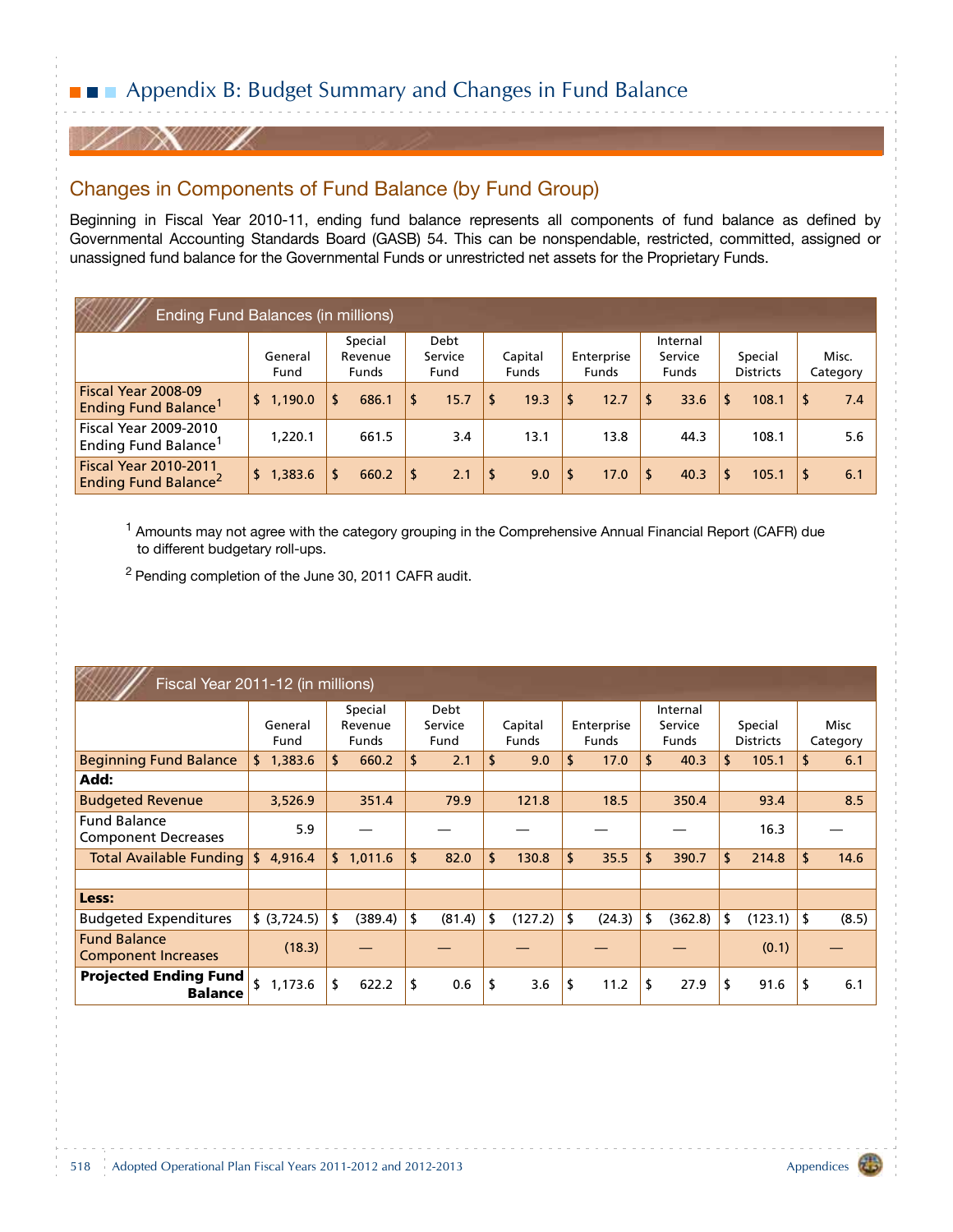#### Changes in Components of Fund Balance (by Fund Group)

Beginning in Fiscal Year 2010-11, ending fund balance represents all components of fund balance as defined by Governmental Accounting Standards Board (GASB) 54. This can be nonspendable, restricted, committed, assigned or unassigned fund balance for the Governmental Funds or unrestricted net assets for the Proprietary Funds.

| <b>Ending Fund Balances (in millions)</b>                              |                 |                                    |                         |                         |                            |                                     |                             |                   |  |  |  |  |
|------------------------------------------------------------------------|-----------------|------------------------------------|-------------------------|-------------------------|----------------------------|-------------------------------------|-----------------------------|-------------------|--|--|--|--|
|                                                                        | General<br>Fund | Special<br>Revenue<br><b>Funds</b> | Debt<br>Service<br>Fund | Capital<br><b>Funds</b> | Enterprise<br><b>Funds</b> | Internal<br>Service<br><b>Funds</b> | Special<br><b>Districts</b> | Misc.<br>Category |  |  |  |  |
| Fiscal Year 2008-09<br>Ending Fund Balance <sup>1</sup>                | 1,190.0         | 686.1                              | 15.7<br>\$              | 19.3<br>-S              | 12.7<br>-S                 | 33.6                                | 108.1                       | \$<br>7.4         |  |  |  |  |
| <b>Fiscal Year 2009-2010</b><br>Ending Fund Balance <sup>1</sup>       | 1,220.1         | 661.5                              | 3.4                     | 13.1                    | 13.8                       | 44.3                                | 108.1                       | 5.6               |  |  |  |  |
| <b>Fiscal Year 2010-2011</b><br><b>Ending Fund Balance<sup>2</sup></b> | 1,383.6<br>\$.  | 660.2                              | 2.1                     | 9.0                     | 17.0                       | 40.3                                | 105.1                       | ا 1<br>6.1        |  |  |  |  |

1 Amounts may not agree with the category grouping in the Comprehensive Annual Financial Report (CAFR) due to different budgetary roll-ups.

2 Pending completion of the June 30, 2011 CAFR audit.

| Fiscal Year 2011-12 (in millions)                 |                 |                             |                                |                         |                            |                                     |                             |                         |  |  |  |
|---------------------------------------------------|-----------------|-----------------------------|--------------------------------|-------------------------|----------------------------|-------------------------------------|-----------------------------|-------------------------|--|--|--|
|                                                   | General<br>Fund | Special<br>Revenue<br>Funds | <b>Debt</b><br>Service<br>Fund | Capital<br><b>Funds</b> | Enterprise<br><b>Funds</b> | Internal<br>Service<br><b>Funds</b> | Special<br><b>Districts</b> | <b>Misc</b><br>Category |  |  |  |
| <b>Beginning Fund Balance</b>                     | 1,383.6<br>\$   | \$<br>660.2                 | 2.1<br>\$.                     | \$<br>9.0               | $\mathsf{\$}$<br>17.0      | \$<br>40.3                          | 105.1<br>\$                 | \$<br>6.1               |  |  |  |
| Add:                                              |                 |                             |                                |                         |                            |                                     |                             |                         |  |  |  |
| <b>Budgeted Revenue</b>                           | 3,526.9         | 351.4                       | 79.9                           | 121.8                   | 18.5                       | 350.4                               | 93.4                        | 8.5                     |  |  |  |
| <b>Fund Balance</b><br><b>Component Decreases</b> | 5.9             |                             |                                |                         |                            |                                     | 16.3                        |                         |  |  |  |
| Total Available Funding                           | \$<br>4,916.4   | \$1,011.6                   | \$<br>82.0                     | \$<br>130.8             | \$<br>35.5                 | \$<br>390.7                         | \$<br>214.8                 | \$<br>14.6              |  |  |  |
|                                                   |                 |                             |                                |                         |                            |                                     |                             |                         |  |  |  |
| Less:                                             |                 |                             |                                |                         |                            |                                     |                             |                         |  |  |  |
| <b>Budgeted Expenditures</b>                      | $$$ (3,724.5)   | \$<br>(389.4)               | \$<br>(81.4)                   | \$<br>(127.2)           | \$<br>(24.3)               | \$<br>(362.8)                       | \$<br>(123.1)               | \$<br>(8.5)             |  |  |  |
| <b>Fund Balance</b><br><b>Component Increases</b> | (18.3)          |                             |                                |                         |                            |                                     | (0.1)                       |                         |  |  |  |
| <b>Projected Ending Fund</b><br><b>Balance</b>    | 1,173.6         | \$<br>622.2                 | \$<br>0.6                      | \$<br>3.6               | 11.2                       | \$<br>27.9                          | \$<br>91.6                  | 6.1<br>\$               |  |  |  |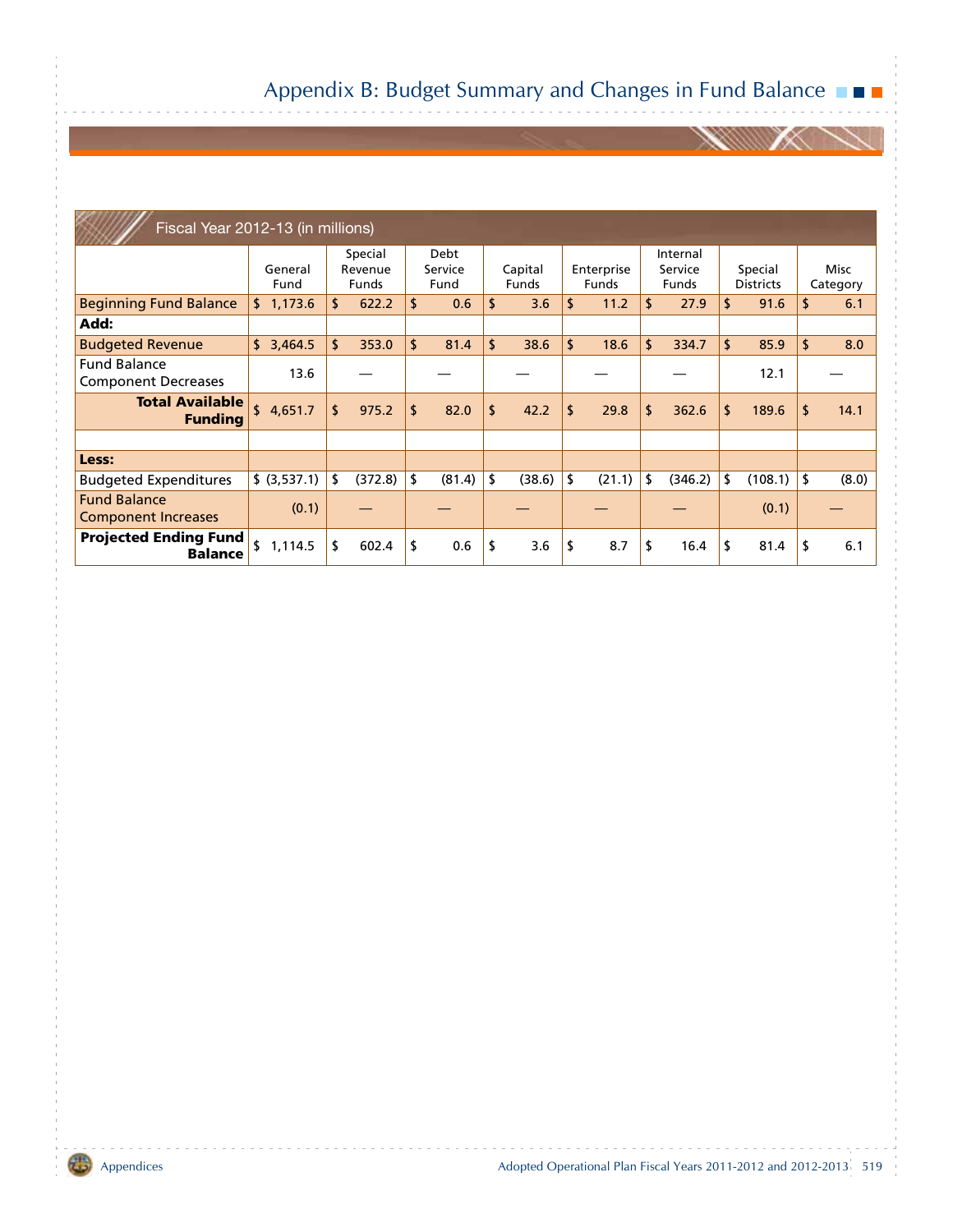| Fiscal Year 2012-13 (in millions)                 |                         |                                    |    |                         |    |                         |    |                            |    |                                     |    |                             |                  |
|---------------------------------------------------|-------------------------|------------------------------------|----|-------------------------|----|-------------------------|----|----------------------------|----|-------------------------------------|----|-----------------------------|------------------|
|                                                   | General<br>Fund         | Special<br>Revenue<br><b>Funds</b> |    | Debt<br>Service<br>Fund |    | Capital<br><b>Funds</b> |    | Enterprise<br><b>Funds</b> |    | Internal<br>Service<br><b>Funds</b> |    | Special<br><b>Districts</b> | Misc<br>Category |
| <b>Beginning Fund Balance</b>                     | \$1,173.6               | \$<br>622.2                        | \$ | 0.6                     | \$ | 3.6                     | \$ | 11.2                       | \$ | 27.9                                | \$ | 91.6                        | \$<br>6.1        |
| Add:                                              |                         |                                    |    |                         |    |                         |    |                            |    |                                     |    |                             |                  |
| <b>Budgeted Revenue</b>                           | $\mathsf{s}$<br>3,464.5 | \$<br>353.0                        | \$ | 81.4                    | \$ | 38.6                    | \$ | 18.6                       | \$ | 334.7                               | \$ | 85.9                        | \$<br>8.0        |
| <b>Fund Balance</b><br><b>Component Decreases</b> | 13.6                    |                                    |    |                         |    |                         |    |                            |    |                                     |    | 12.1                        |                  |
| <b>Total Available</b><br><b>Fundina</b>          | \$<br>4,651.7           | \$<br>975.2                        | \$ | 82.0                    | \$ | 42.2                    | \$ | 29.8                       | \$ | 362.6                               | \$ | 189.6                       | \$<br>14.1       |
|                                                   |                         |                                    |    |                         |    |                         |    |                            |    |                                     |    |                             |                  |
| Less:                                             |                         |                                    |    |                         |    |                         |    |                            |    |                                     |    |                             |                  |
| <b>Budgeted Expenditures</b>                      | $$$ (3,537.1)           | \$<br>(372.8)                      | \$ | (81.4)                  | \$ | (38.6)                  | \$ | (21.1)                     | \$ | (346.2)                             | \$ | (108.1)                     | \$<br>(8.0)      |
| <b>Fund Balance</b><br><b>Component Increases</b> | (0.1)                   |                                    |    |                         |    |                         |    |                            |    |                                     |    | (0.1)                       |                  |
| <b>Projected Ending Fund</b><br><b>Balance</b>    | 1,114.5                 | \$<br>602.4                        | \$ | 0.6                     | \$ | 3.6                     | \$ | 8.7                        | \$ | 16.4                                | \$ | 81.4                        | \$<br>6.1        |

 $\label{eq:2.1} \begin{array}{lllllllllllllllll} \alpha_{11} & \alpha_{22} & \alpha_{33} & \alpha_{44} & \alpha_{55} & \alpha_{66} \end{array}$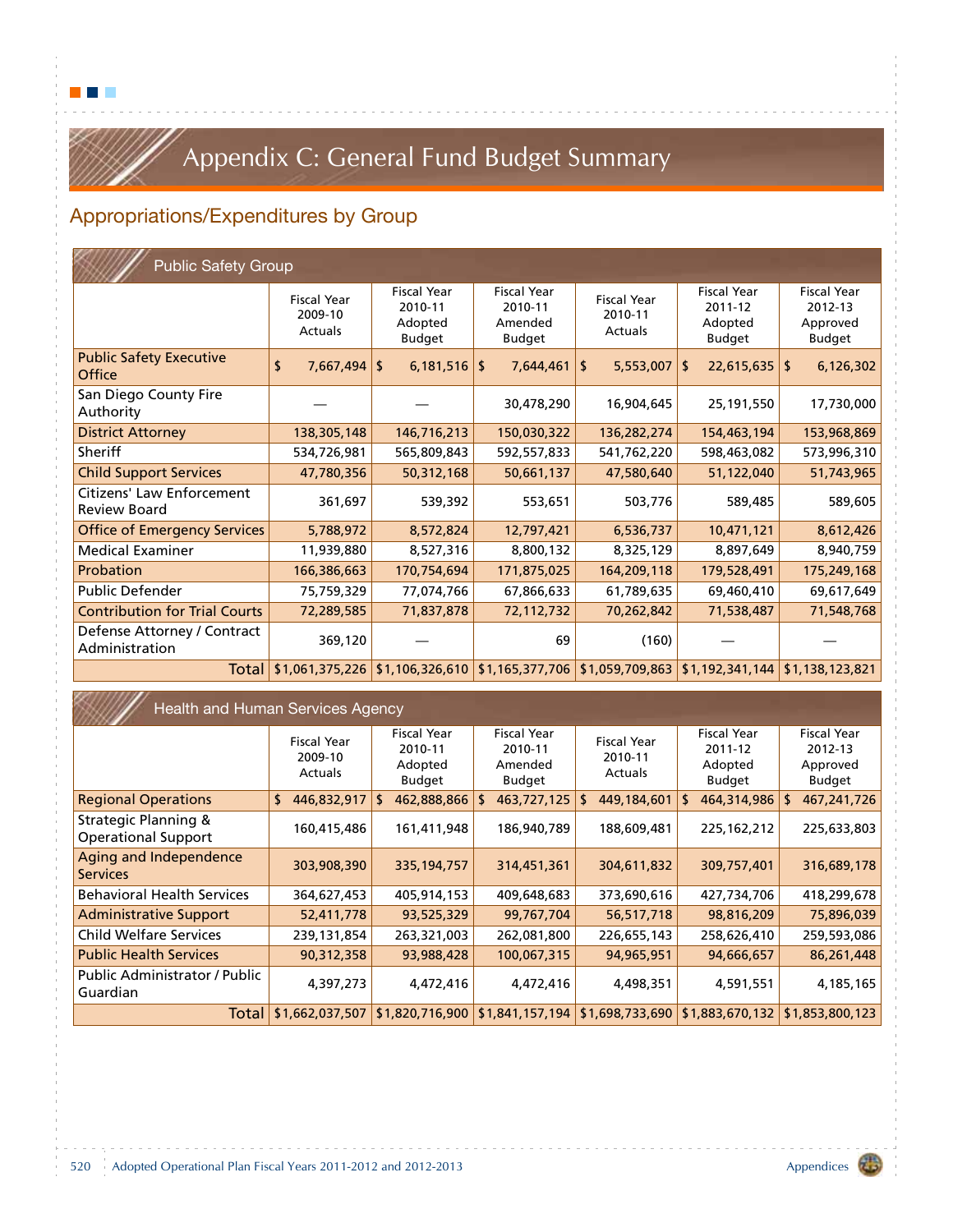# Appendix C: General Fund Budget Summary

#### Appropriations/Expenditures by Group

| <b>Public Safety Group</b>                       |                                                      |                                                           |                                                           |                                                    |                                                    |                                                            |
|--------------------------------------------------|------------------------------------------------------|-----------------------------------------------------------|-----------------------------------------------------------|----------------------------------------------------|----------------------------------------------------|------------------------------------------------------------|
|                                                  | <b>Fiscal Year</b><br>2009-10<br>Actuals             | <b>Fiscal Year</b><br>2010-11<br>Adopted<br><b>Budget</b> | <b>Fiscal Year</b><br>2010-11<br>Amended<br><b>Budget</b> | <b>Fiscal Year</b><br>2010-11<br><b>Actuals</b>    | <b>Fiscal Year</b><br>2011-12<br>Adopted<br>Budget | <b>Fiscal Year</b><br>2012-13<br>Approved<br><b>Budget</b> |
| <b>Public Safety Executive</b><br>Office         | \$<br>$7,667,494$ \$                                 | $6,181,516$ \$                                            | 7,644,461                                                 | $5,553,007$ \$<br>S                                | 22,615,635                                         | 6,126,302<br>\$                                            |
| San Diego County Fire<br>Authority               |                                                      |                                                           | 30,478,290                                                | 16,904,645                                         | 25,191,550                                         | 17,730,000                                                 |
| <b>District Attorney</b>                         | 138,305,148                                          | 146,716,213                                               | 150,030,322                                               | 136,282,274                                        | 154,463,194                                        | 153,968,869                                                |
| <b>Sheriff</b>                                   | 534,726,981                                          | 565,809,843                                               | 592,557,833                                               | 541,762,220                                        | 598,463,082                                        | 573,996,310                                                |
| <b>Child Support Services</b>                    | 47,780,356                                           | 50,312,168                                                | 50,661,137                                                | 47,580,640                                         | 51,122,040                                         | 51,743,965                                                 |
| Citizens' Law Enforcement<br><b>Review Board</b> | 361,697                                              | 539,392                                                   | 553,651                                                   | 503,776                                            | 589,485                                            | 589,605                                                    |
| <b>Office of Emergency Services</b>              | 5,788,972                                            | 8,572,824                                                 | 12,797,421                                                | 6,536,737                                          | 10,471,121                                         | 8,612,426                                                  |
| <b>Medical Examiner</b>                          | 11,939,880                                           | 8,527,316                                                 | 8,800,132                                                 | 8,325,129                                          | 8,897,649                                          | 8,940,759                                                  |
| Probation                                        | 166,386,663                                          | 170,754,694                                               | 171,875,025                                               | 164,209,118                                        | 179,528,491                                        | 175,249,168                                                |
| <b>Public Defender</b>                           | 75,759,329                                           | 77,074,766                                                | 67,866,633                                                | 61,789,635                                         | 69,460,410                                         | 69,617,649                                                 |
| <b>Contribution for Trial Courts</b>             | 72,289,585                                           | 71,837,878                                                | 72,112,732                                                | 70,262,842                                         | 71,538,487                                         | 71,548,768                                                 |
| Defense Attorney / Contract<br>Administration    | 369,120                                              |                                                           | 69                                                        | (160)                                              |                                                    |                                                            |
|                                                  | $Total \mid $1,061,375,226 \mid $1,106,326,610 \mid$ |                                                           |                                                           | $$1,165,377,706$ $$1,059,709,863$ $$1,192,341,144$ |                                                    | \$1,138,123,821                                            |

| n<br>Health and Human Services Agency |  |
|---------------------------------------|--|
|---------------------------------------|--|

| <b><i>CONSTRUCTION CONTINUES</i></b>                          |                                          |                                                    |                                             |                                          |                                                    |                                                                                                                   |
|---------------------------------------------------------------|------------------------------------------|----------------------------------------------------|---------------------------------------------|------------------------------------------|----------------------------------------------------|-------------------------------------------------------------------------------------------------------------------|
|                                                               | <b>Fiscal Year</b><br>2009-10<br>Actuals | <b>Fiscal Year</b><br>2010-11<br>Adopted<br>Budget | Fiscal Year<br>2010-11<br>Amended<br>Budget | <b>Fiscal Year</b><br>2010-11<br>Actuals | <b>Fiscal Year</b><br>2011-12<br>Adopted<br>Budget | <b>Fiscal Year</b><br>2012-13<br>Approved<br>Budget                                                               |
| <b>Regional Operations</b>                                    | 446,832,917<br>S                         | 462,888,866<br>\$                                  | 463,727,125                                 | 449,184,601<br>\$                        | 464,314,986<br>\$                                  | 467,241,726                                                                                                       |
| <b>Strategic Planning &amp;</b><br><b>Operational Support</b> | 160,415,486                              | 161,411,948                                        | 186,940,789                                 | 188,609,481                              | 225, 162, 212                                      | 225,633,803                                                                                                       |
| Aging and Independence<br><b>Services</b>                     | 303,908,390                              | 335, 194, 757                                      | 314,451,361                                 | 304,611,832                              | 309,757,401                                        | 316,689,178                                                                                                       |
| <b>Behavioral Health Services</b>                             | 364,627,453                              | 405,914,153                                        | 409,648,683                                 | 373,690,616                              | 427,734,706                                        | 418,299,678                                                                                                       |
| Administrative Support                                        | 52,411,778                               | 93,525,329                                         | 99,767,704                                  | 56,517,718                               | 98,816,209                                         | 75,896,039                                                                                                        |
| <b>Child Welfare Services</b>                                 | 239,131,854                              | 263,321,003                                        | 262,081,800                                 | 226,655,143                              | 258,626,410                                        | 259,593,086                                                                                                       |
| <b>Public Health Services</b>                                 | 90,312,358                               | 93,988,428                                         | 100,067,315                                 | 94,965,951                               | 94,666,657                                         | 86,261,448                                                                                                        |
| Public Administrator / Public<br>Guardian                     | 4,397,273                                | 4,472,416                                          | 4,472,416                                   | 4,498,351                                | 4,591,551                                          | 4,185,165                                                                                                         |
|                                                               |                                          |                                                    |                                             |                                          |                                                    | Total   \$1,662,037,507   \$1,820,716,900   \$1,841,157,194   \$1,698,733,690   \$1,883,670,132   \$1,853,800,123 |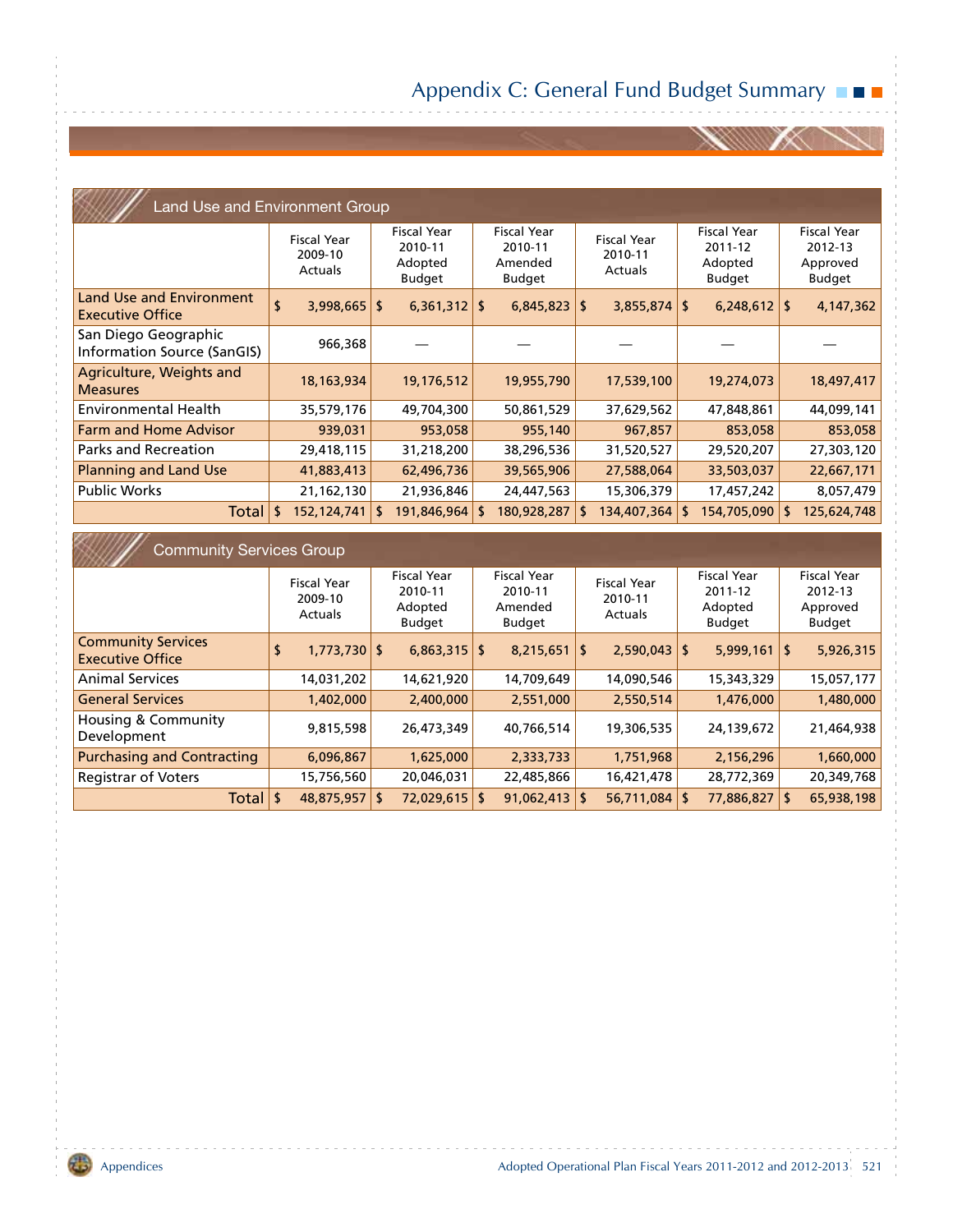| <b>Land Use and Environment Group</b>                      |                                          |                                                    |                                                    |                                          |                                                    |                                                            |  |  |  |  |
|------------------------------------------------------------|------------------------------------------|----------------------------------------------------|----------------------------------------------------|------------------------------------------|----------------------------------------------------|------------------------------------------------------------|--|--|--|--|
|                                                            | <b>Fiscal Year</b><br>2009-10<br>Actuals | <b>Fiscal Year</b><br>2010-11<br>Adopted<br>Budget | <b>Fiscal Year</b><br>2010-11<br>Amended<br>Budget | <b>Fiscal Year</b><br>2010-11<br>Actuals | <b>Fiscal Year</b><br>2011-12<br>Adopted<br>Budget | <b>Fiscal Year</b><br>2012-13<br>Approved<br><b>Budget</b> |  |  |  |  |
| <b>Land Use and Environment</b><br><b>Executive Office</b> | 3,998,665                                | $6,361,312$ \$<br>\$                               | $6,845,823$ \$                                     | $3,855,874$ \$                           | 6,248,612                                          | 4,147,362<br>\$                                            |  |  |  |  |
| San Diego Geographic<br>Information Source (SanGIS)        | 966,368                                  |                                                    |                                                    |                                          |                                                    |                                                            |  |  |  |  |
| Agriculture, Weights and<br><b>Measures</b>                | 18,163,934                               | 19,176,512                                         | 19,955,790                                         | 17,539,100                               | 19,274,073                                         | 18,497,417                                                 |  |  |  |  |
| <b>Environmental Health</b>                                | 35,579,176                               | 49,704,300                                         | 50,861,529                                         | 37,629,562                               | 47,848,861                                         | 44,099,141                                                 |  |  |  |  |
| <b>Farm and Home Advisor</b>                               | 939,031                                  | 953,058                                            | 955,140                                            | 967,857                                  | 853,058                                            | 853,058                                                    |  |  |  |  |
| <b>Parks and Recreation</b>                                | 29,418,115                               | 31,218,200                                         | 38,296,536                                         | 31,520,527                               | 29,520,207                                         | 27,303,120                                                 |  |  |  |  |
| <b>Planning and Land Use</b>                               | 41,883,413                               | 62,496,736                                         | 39,565,906                                         | 27,588,064                               | 33,503,037                                         | 22,667,171                                                 |  |  |  |  |
| <b>Public Works</b>                                        | 21,162,130                               | 21,936,846                                         | 24,447,563                                         | 15,306,379                               | 17,457,242                                         | 8,057,479                                                  |  |  |  |  |
| Total                                                      | 152, 124, 741                            | 191,846,964<br>\$.                                 | 180,928,287                                        | 134,407,364                              | 154,705,090                                        | 125,624,748                                                |  |  |  |  |

#### munity Services Gr

| softmightly softwased andapt                         |    |                                          |                                                           |                                                    |                                          |     |                                                           |                                                            |
|------------------------------------------------------|----|------------------------------------------|-----------------------------------------------------------|----------------------------------------------------|------------------------------------------|-----|-----------------------------------------------------------|------------------------------------------------------------|
|                                                      |    | <b>Fiscal Year</b><br>2009-10<br>Actuals | <b>Fiscal Year</b><br>2010-11<br>Adopted<br><b>Budget</b> | <b>Fiscal Year</b><br>2010-11<br>Amended<br>Budget | <b>Fiscal Year</b><br>2010-11<br>Actuals |     | <b>Fiscal Year</b><br>2011-12<br>Adopted<br><b>Budget</b> | <b>Fiscal Year</b><br>2012-13<br>Approved<br><b>Budget</b> |
| <b>Community Services</b><br><b>Executive Office</b> | \$ | $1,773,730$ \$                           | $6,863,315$ \$                                            | $8,215,651$ \$                                     | 2,590,043                                | -S  | $5,999,161$ \$                                            | 5,926,315                                                  |
| <b>Animal Services</b>                               |    | 14,031,202                               | 14,621,920                                                | 14,709,649                                         | 14,090,546                               |     | 15,343,329                                                | 15,057,177                                                 |
| <b>General Services</b>                              |    | 1,402,000                                | 2,400,000                                                 | 2,551,000                                          | 2,550,514                                |     | 1,476,000                                                 | 1,480,000                                                  |
| Housing & Community<br>Development                   |    | 9,815,598                                | 26,473,349                                                | 40,766,514                                         | 19,306,535                               |     | 24,139,672                                                | 21,464,938                                                 |
| <b>Purchasing and Contracting</b>                    |    | 6,096,867                                | 1,625,000                                                 | 2,333,733                                          | 1,751,968                                |     | 2,156,296                                                 | 1,660,000                                                  |
| <b>Registrar of Voters</b>                           |    | 15,756,560                               | 20,046,031                                                | 22,485,866                                         | 16,421,478                               |     | 28,772,369                                                | 20,349,768                                                 |
| Total   \$                                           |    | 48,875,957                               | $72,029,615$ \$                                           | $91,062,413$ \$                                    | 56,711,084                               | -\$ | 77,886,827                                                | 65,938,198                                                 |

 $\label{eq:2.1} \begin{array}{lllllllllllllll} \alpha & \alpha & \alpha & \alpha & \alpha & \alpha \\ \end{array}$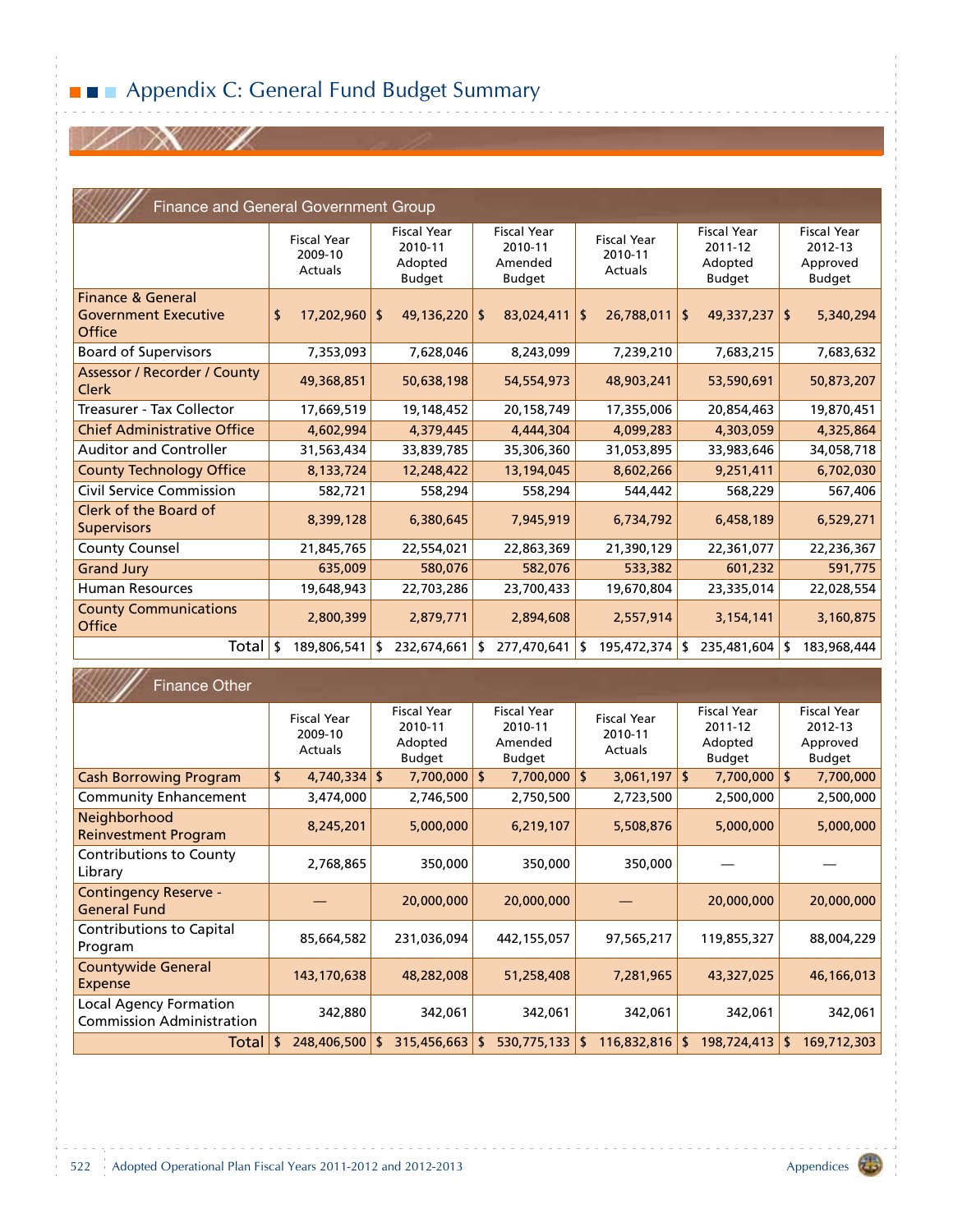|                                                                       | <b>Finance and General Government Group</b>     |                                                           |                                                           |                                                 |                                                           |                                                            |  |  |  |  |  |  |
|-----------------------------------------------------------------------|-------------------------------------------------|-----------------------------------------------------------|-----------------------------------------------------------|-------------------------------------------------|-----------------------------------------------------------|------------------------------------------------------------|--|--|--|--|--|--|
|                                                                       | <b>Fiscal Year</b><br>2009-10<br><b>Actuals</b> | <b>Fiscal Year</b><br>2010-11<br>Adopted<br><b>Budget</b> | <b>Fiscal Year</b><br>2010-11<br>Amended<br><b>Budget</b> | <b>Fiscal Year</b><br>2010-11<br><b>Actuals</b> | <b>Fiscal Year</b><br>2011-12<br>Adopted<br><b>Budget</b> | <b>Fiscal Year</b><br>2012-13<br>Approved<br><b>Budget</b> |  |  |  |  |  |  |
| <b>Finance &amp; General</b><br><b>Government Executive</b><br>Office | $17,202,960$ \$<br>S                            | 49,136,220                                                | $83,024,411$ \$<br><sup>\$</sup>                          | 26,788,011                                      | $49,337,237$ \$<br>\$                                     | 5,340,294                                                  |  |  |  |  |  |  |
| <b>Board of Supervisors</b>                                           | 7,353,093                                       | 7,628,046                                                 | 8,243,099                                                 | 7,239,210                                       | 7,683,215                                                 | 7,683,632                                                  |  |  |  |  |  |  |
| Assessor / Recorder / County<br>Clerk                                 | 49,368,851                                      | 50,638,198                                                | 54,554,973                                                | 48,903,241                                      | 53,590,691                                                | 50,873,207                                                 |  |  |  |  |  |  |
| <b>Treasurer - Tax Collector</b>                                      | 17,669,519                                      | 19,148,452                                                | 20,158,749                                                | 17,355,006                                      | 20,854,463                                                | 19,870,451                                                 |  |  |  |  |  |  |
| <b>Chief Administrative Office</b>                                    | 4,602,994                                       | 4,379,445                                                 | 4,444,304                                                 | 4,099,283                                       | 4,303,059                                                 | 4,325,864                                                  |  |  |  |  |  |  |
| <b>Auditor and Controller</b>                                         | 31,563,434                                      | 33,839,785                                                | 35,306,360                                                | 31,053,895                                      | 33,983,646                                                | 34,058,718                                                 |  |  |  |  |  |  |
| <b>County Technology Office</b>                                       | 8,133,724                                       | 12,248,422                                                | 13,194,045                                                | 8,602,266                                       | 9,251,411                                                 | 6,702,030                                                  |  |  |  |  |  |  |
| <b>Civil Service Commission</b>                                       | 582,721                                         | 558,294                                                   | 558,294                                                   | 544,442                                         | 568,229                                                   | 567,406                                                    |  |  |  |  |  |  |
| Clerk of the Board of<br><b>Supervisors</b>                           | 8,399,128                                       | 6,380,645                                                 | 7,945,919                                                 | 6,734,792                                       | 6,458,189                                                 | 6,529,271                                                  |  |  |  |  |  |  |
| <b>County Counsel</b>                                                 | 21,845,765                                      | 22,554,021                                                | 22,863,369                                                | 21,390,129                                      | 22,361,077                                                | 22,236,367                                                 |  |  |  |  |  |  |
| <b>Grand Jury</b>                                                     | 635,009                                         | 580,076                                                   | 582,076                                                   | 533,382                                         | 601,232                                                   | 591,775                                                    |  |  |  |  |  |  |
| <b>Human Resources</b>                                                | 19,648,943                                      | 22,703,286                                                | 23,700,433                                                | 19,670,804                                      | 23,335,014                                                | 22,028,554                                                 |  |  |  |  |  |  |
| <b>County Communications</b><br>Office                                | 2,800,399                                       | 2,879,771                                                 | 2,894,608                                                 | 2,557,914                                       | 3,154,141                                                 | 3,160,875                                                  |  |  |  |  |  |  |
| Total                                                                 | \$<br>189,806,541                               | l \$<br>232,674,661                                       | 277,470,641<br>s.                                         | \$<br>195,472,374                               | 235,481,604                                               | l \$<br>183,968,444                                        |  |  |  |  |  |  |

| <b>Finance Other</b>                                       |                                          |                                                    |                                                    |                                          |                                                    |                                                            |
|------------------------------------------------------------|------------------------------------------|----------------------------------------------------|----------------------------------------------------|------------------------------------------|----------------------------------------------------|------------------------------------------------------------|
|                                                            | <b>Fiscal Year</b><br>2009-10<br>Actuals | <b>Fiscal Year</b><br>2010-11<br>Adopted<br>Budget | <b>Fiscal Year</b><br>2010-11<br>Amended<br>Budget | <b>Fiscal Year</b><br>2010-11<br>Actuals | <b>Fiscal Year</b><br>2011-12<br>Adopted<br>Budget | <b>Fiscal Year</b><br>2012-13<br>Approved<br><b>Budget</b> |
| <b>Cash Borrowing Program</b>                              | $4,740,334$ \$<br>\$                     | $7,700,000$ \$                                     | 7,700,000                                          | \$<br>$3,061,197$ \$                     | 7,700,000                                          | \$<br>7,700,000                                            |
| <b>Community Enhancement</b>                               | 3,474,000                                | 2,746,500                                          | 2,750,500                                          | 2,723,500                                | 2,500,000                                          | 2,500,000                                                  |
| <b>Neighborhood</b><br><b>Reinvestment Program</b>         | 8,245,201                                | 5,000,000                                          | 6,219,107                                          | 5,508,876                                | 5,000,000                                          | 5,000,000                                                  |
| Contributions to County<br>Library                         | 2,768,865                                | 350,000                                            | 350,000                                            | 350,000                                  |                                                    |                                                            |
| <b>Contingency Reserve -</b><br><b>General Fund</b>        |                                          | 20,000,000                                         | 20,000,000                                         |                                          | 20,000,000                                         | 20,000,000                                                 |
| Contributions to Capital<br>Program                        | 85,664,582                               | 231,036,094                                        | 442, 155, 057                                      | 97,565,217                               | 119,855,327                                        | 88,004,229                                                 |
| <b>Countywide General</b><br><b>Expense</b>                | 143,170,638                              | 48,282,008                                         | 51,258,408                                         | 7,281,965                                | 43,327,025                                         | 46,166,013                                                 |
| Local Agency Formation<br><b>Commission Administration</b> | 342,880                                  | 342,061                                            | 342,061                                            | 342,061                                  | 342,061                                            | 342,061                                                    |
| Total                                                      | 248,406,500                              | 315,456,663<br>\$                                  | $530,775,133$ \$                                   | $116,832,816$ \$                         | 198,724,413                                        | 169,712,303<br>\$                                          |

 $\alpha$  ,  $\alpha$  ,  $\alpha$  ,  $\alpha$  ,  $\alpha$  ,  $\alpha$ 

**TANNING**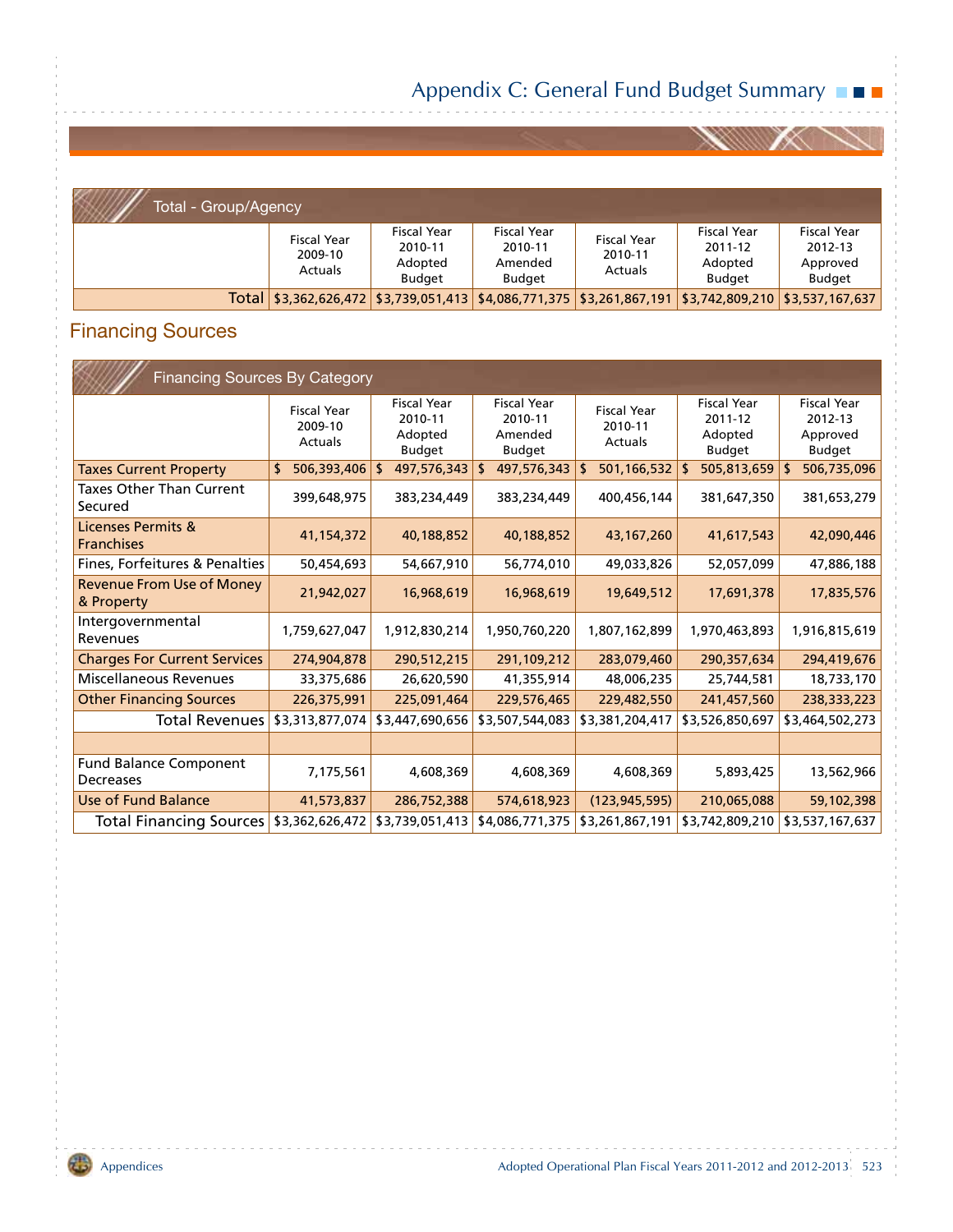## Appendix C: General Fund Budget Summary

| Total - Group/Agency |                                          |                                                                                                                   |                                                    |                                                 |                                                           |                                                            |  |  |  |  |  |  |
|----------------------|------------------------------------------|-------------------------------------------------------------------------------------------------------------------|----------------------------------------------------|-------------------------------------------------|-----------------------------------------------------------|------------------------------------------------------------|--|--|--|--|--|--|
|                      | <b>Fiscal Year</b><br>2009-10<br>Actuals | <b>Fiscal Year</b><br>2010-11<br>Adopted<br>Budget                                                                | <b>Fiscal Year</b><br>2010-11<br>Amended<br>Budget | <b>Fiscal Year</b><br>2010-11<br><b>Actuals</b> | <b>Fiscal Year</b><br>2011-12<br>Adopted<br><b>Budget</b> | <b>Fiscal Year</b><br>2012-13<br>Approved<br><b>Budget</b> |  |  |  |  |  |  |
|                      |                                          | Total   \$3,362,626,472   \$3,739,051,413   \$4,086,771,375   \$3,261,867,191   \$3,742,809,210   \$3,537,167,637 |                                                    |                                                 |                                                           |                                                            |  |  |  |  |  |  |

#### Financing Sources

| <b>Financing Sources By Category</b>               |                                          |                                                           |                                                           |                                                 |                                                           |                                                            |  |  |  |  |  |
|----------------------------------------------------|------------------------------------------|-----------------------------------------------------------|-----------------------------------------------------------|-------------------------------------------------|-----------------------------------------------------------|------------------------------------------------------------|--|--|--|--|--|
|                                                    | <b>Fiscal Year</b><br>2009-10<br>Actuals | <b>Fiscal Year</b><br>2010-11<br>Adopted<br><b>Budget</b> | <b>Fiscal Year</b><br>2010-11<br>Amended<br><b>Budget</b> | <b>Fiscal Year</b><br>2010-11<br><b>Actuals</b> | <b>Fiscal Year</b><br>2011-12<br>Adopted<br><b>Budget</b> | <b>Fiscal Year</b><br>2012-13<br>Approved<br><b>Budget</b> |  |  |  |  |  |
| <b>Taxes Current Property</b>                      | 506,393,406<br>\$                        | 497,576,343<br>\$                                         | 497,576,343                                               | $501, 166, 532$ \$<br>\$                        | 505,813,659                                               | 506,735,096<br>\$                                          |  |  |  |  |  |
| Taxes Other Than Current<br>Secured                | 399,648,975                              | 383,234,449                                               | 383,234,449                                               | 400,456,144                                     | 381,647,350                                               | 381,653,279                                                |  |  |  |  |  |
| <b>Licenses Permits &amp;</b><br><b>Franchises</b> | 41,154,372                               | 40,188,852                                                | 40,188,852                                                | 43, 167, 260                                    | 41,617,543                                                | 42,090,446                                                 |  |  |  |  |  |
| Fines, Forfeitures & Penalties                     | 50,454,693                               | 54,667,910                                                | 56,774,010                                                | 49,033,826                                      | 52,057,099                                                | 47,886,188                                                 |  |  |  |  |  |
| <b>Revenue From Use of Money</b><br>& Property     | 21,942,027                               | 16,968,619                                                | 16,968,619                                                | 19,649,512                                      | 17,691,378                                                | 17,835,576                                                 |  |  |  |  |  |
| Intergovernmental<br>Revenues                      | 1,759,627,047                            | 1,912,830,214                                             | 1,950,760,220                                             | 1,807,162,899                                   | 1,970,463,893                                             | 1,916,815,619                                              |  |  |  |  |  |
| <b>Charges For Current Services</b>                | 274,904,878                              | 290,512,215                                               | 291,109,212                                               | 283,079,460                                     | 290,357,634                                               | 294,419,676                                                |  |  |  |  |  |
| <b>Miscellaneous Revenues</b>                      | 33,375,686                               | 26,620,590                                                | 41,355,914                                                | 48,006,235                                      | 25,744,581                                                | 18,733,170                                                 |  |  |  |  |  |
| <b>Other Financing Sources</b>                     | 226,375,991                              | 225,091,464                                               | 229,576,465                                               | 229,482,550                                     | 241,457,560                                               | 238,333,223                                                |  |  |  |  |  |
| <b>Total Revenues</b>                              | \$3,313,877,074                          | \$3,447,690,656                                           | \$3,507,544,083                                           | \$3,381,204,417                                 | \$3,526,850,697                                           | \$3,464,502,273                                            |  |  |  |  |  |
|                                                    |                                          |                                                           |                                                           |                                                 |                                                           |                                                            |  |  |  |  |  |
| <b>Fund Balance Component</b><br>Decreases         | 7,175,561                                | 4,608,369                                                 | 4,608,369                                                 | 4,608,369                                       | 5,893,425                                                 | 13,562,966                                                 |  |  |  |  |  |
| <b>Use of Fund Balance</b>                         | 41,573,837                               | 286,752,388                                               | 574,618,923                                               | (123, 945, 595)                                 | 210,065,088                                               | 59,102,398                                                 |  |  |  |  |  |
| Total Financing Sources \$3,362,626,472            |                                          | \$3,739,051,413                                           |                                                           | $$4,086,771,375$ $$3,261,867,191$               | \$3,742,809,210                                           | \$3,537,167,637                                            |  |  |  |  |  |

 $\alpha$  ,  $\alpha$  ,  $\alpha$  ,  $\alpha$  ,  $\alpha$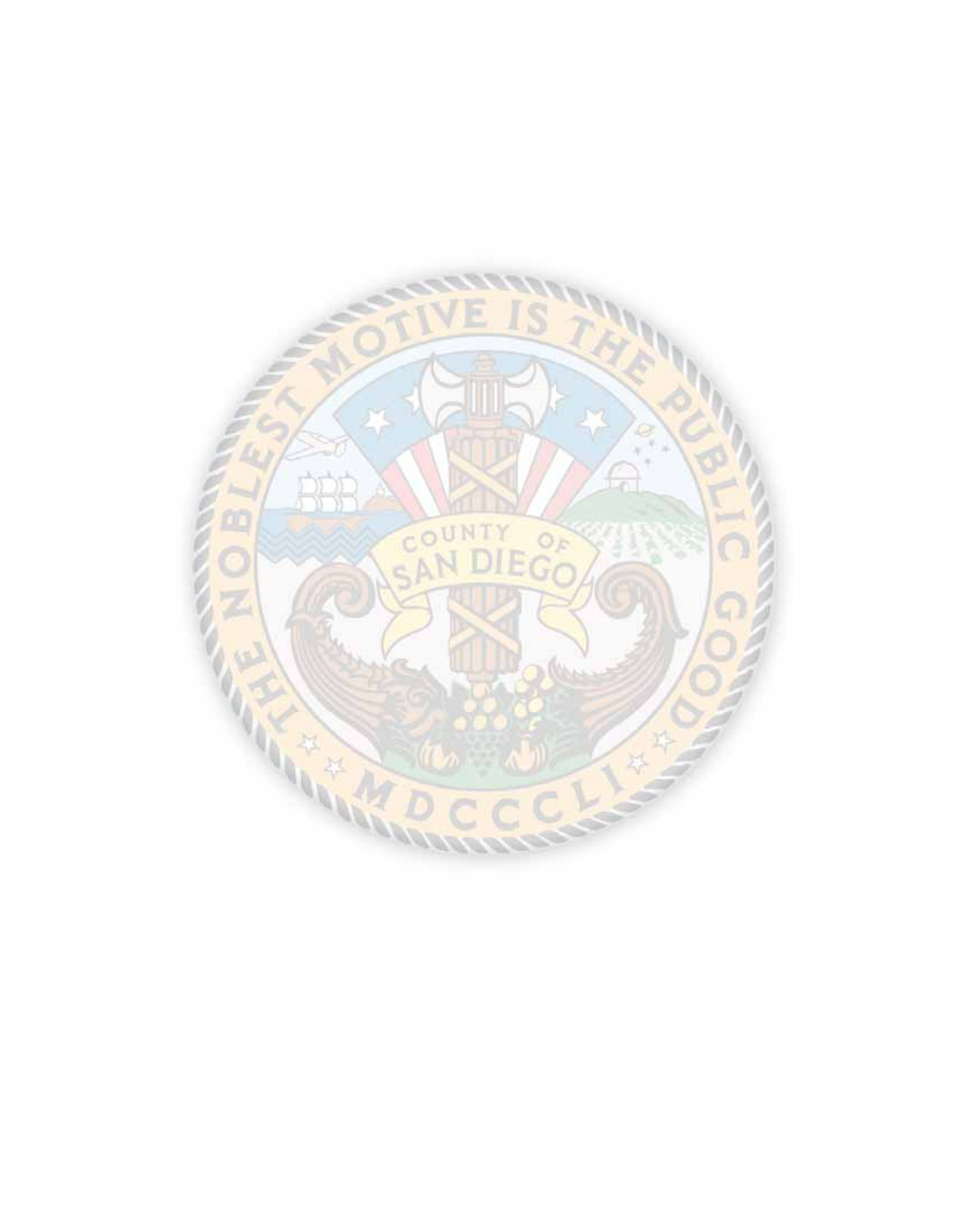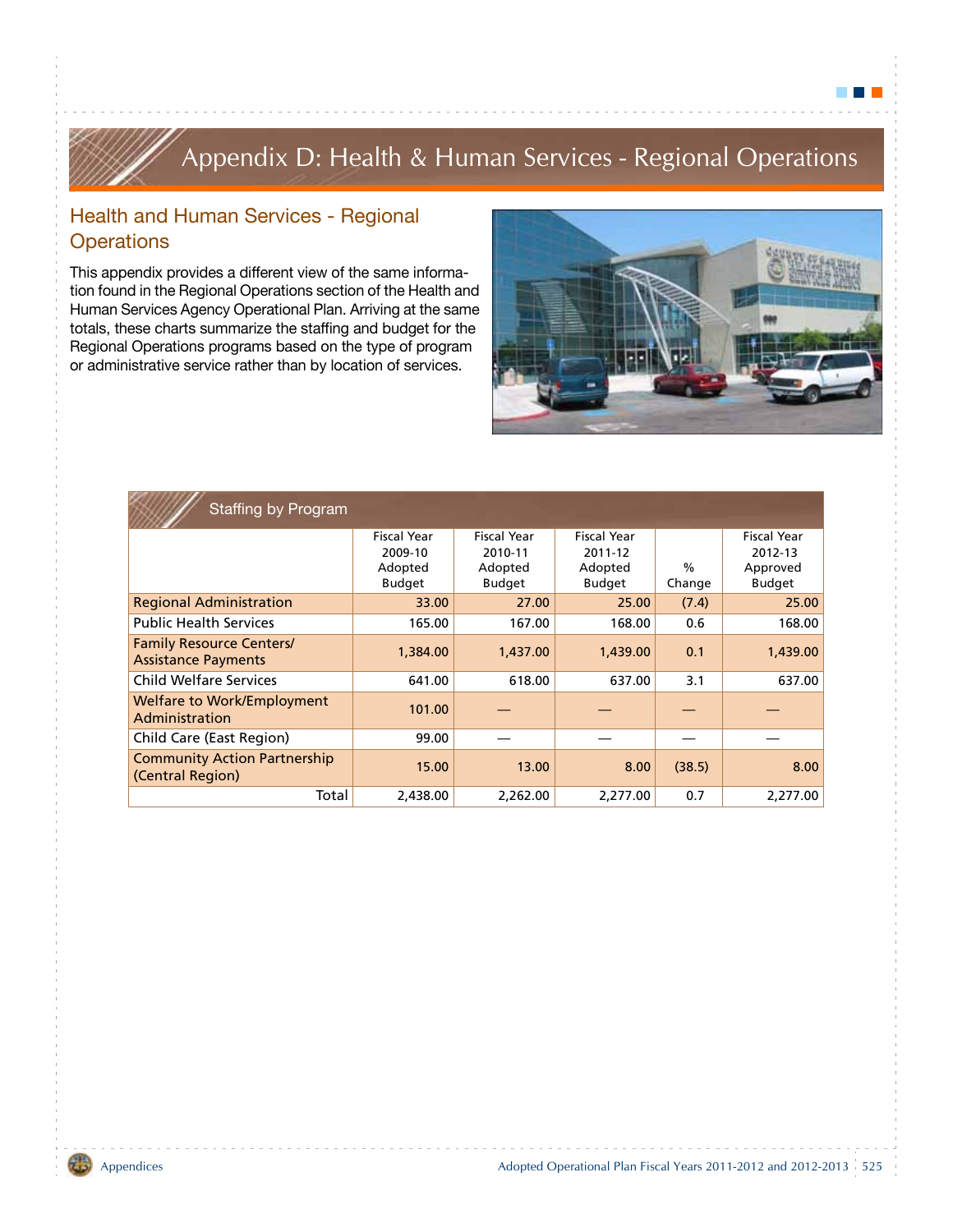# Appendix D: Health & Human Services - Regional Operations

#### Health and Human Services - Regional **Operations**

This appendix provides a different view of the same information found in the Regional Operations section of the Health and Human Services Agency Operational Plan. Arriving at the same totals, these charts summarize the staffing and budget for the Regional Operations programs based on the type of program or administrative service rather than by location of services.



**TIME** 

| <b>Staffing by Program</b>                                    |                    |                    |                    |               |                    |
|---------------------------------------------------------------|--------------------|--------------------|--------------------|---------------|--------------------|
|                                                               | <b>Fiscal Year</b> | <b>Fiscal Year</b> | <b>Fiscal Year</b> |               | <b>Fiscal Year</b> |
|                                                               | 2009-10            | 2010-11            | 2011-12            |               | 2012-13            |
|                                                               | Adopted            | Adopted            | Adopted            | $\frac{0}{n}$ | Approved           |
|                                                               | <b>Budget</b>      | Budget             | <b>Budget</b>      | Change        | <b>Budget</b>      |
| <b>Regional Administration</b>                                | 33.00              | 27.00              | 25.00              | (7.4)         | 25.00              |
| <b>Public Health Services</b>                                 | 165.00             | 167.00             | 168.00             | 0.6           | 168.00             |
| <b>Family Resource Centers/</b><br><b>Assistance Payments</b> | 1,384.00           | 1,437.00           | 1,439.00           | 0.1           | 1,439.00           |
| <b>Child Welfare Services</b>                                 | 641.00             | 618.00             | 637.00             | 3.1           | 637.00             |
| <b>Welfare to Work/Employment</b><br>Administration           | 101.00             |                    |                    |               |                    |
| Child Care (East Region)                                      | 99.00              |                    |                    |               |                    |
| <b>Community Action Partnership</b><br>(Central Region)       | 15.00              | 13.00              | 8.00               | (38.5)        | 8.00               |
| Total                                                         | 2,438.00           | 2,262.00           | 2,277.00           | 0.7           | 2,277.00           |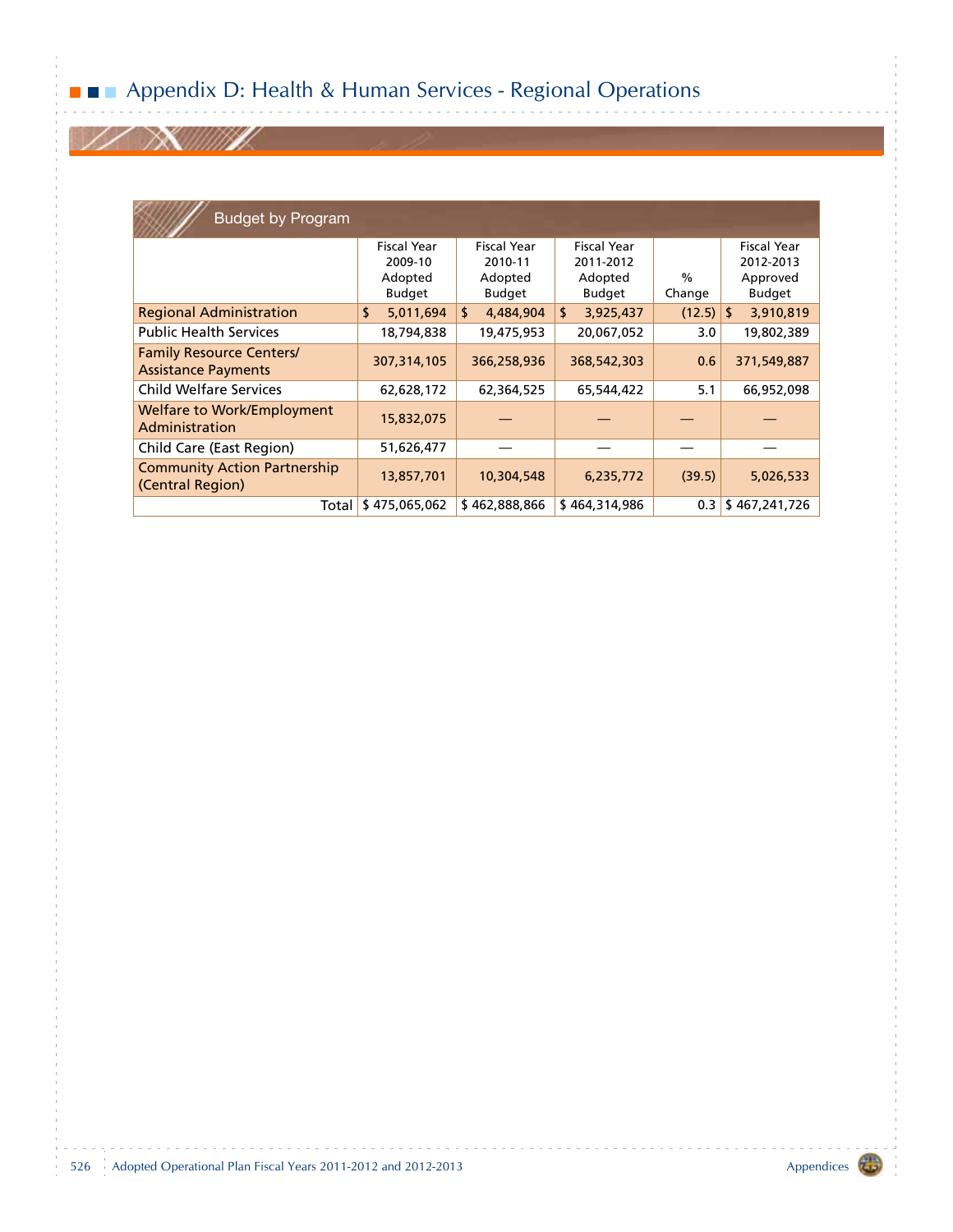**Budget by Program** 

|                                                               | <b>Fiscal Year</b><br>2009-10 | <b>Fiscal Year</b><br>2010-11 | Fiscal Year<br>2011-2012 |                         | <b>Fiscal Year</b><br>2012-2013 |
|---------------------------------------------------------------|-------------------------------|-------------------------------|--------------------------|-------------------------|---------------------------------|
|                                                               | Adopted<br><b>Budget</b>      | Adopted<br><b>Budget</b>      | Adopted<br><b>Budget</b> | $\frac{0}{0}$<br>Change | Approved<br>Budget              |
| <b>Regional Administration</b>                                | \$<br>5,011,694               | \$<br>4,484,904               | \$<br>3,925,437          | $(12.5)$ \$             | 3,910,819                       |
| <b>Public Health Services</b>                                 | 18,794,838                    | 19,475,953                    | 20,067,052               | 3.0                     | 19,802,389                      |
| <b>Family Resource Centers/</b><br><b>Assistance Payments</b> | 307,314,105                   | 366,258,936                   | 368,542,303              | 0.6                     | 371,549,887                     |
| <b>Child Welfare Services</b>                                 | 62,628,172                    | 62,364,525                    | 65,544,422               | 5.1                     | 66,952,098                      |
| Welfare to Work/Employment<br>Administration                  | 15,832,075                    |                               |                          |                         |                                 |
| Child Care (East Region)                                      | 51,626,477                    |                               |                          |                         |                                 |
| <b>Community Action Partnership</b><br>(Central Region)       | 13,857,701                    | 10,304,548                    | 6,235,772                | (39.5)                  | 5,026,533                       |
| Total                                                         | \$475,065,062                 | \$462,888,866                 | \$464,314,986            | 0.3                     | \$467,241,726                   |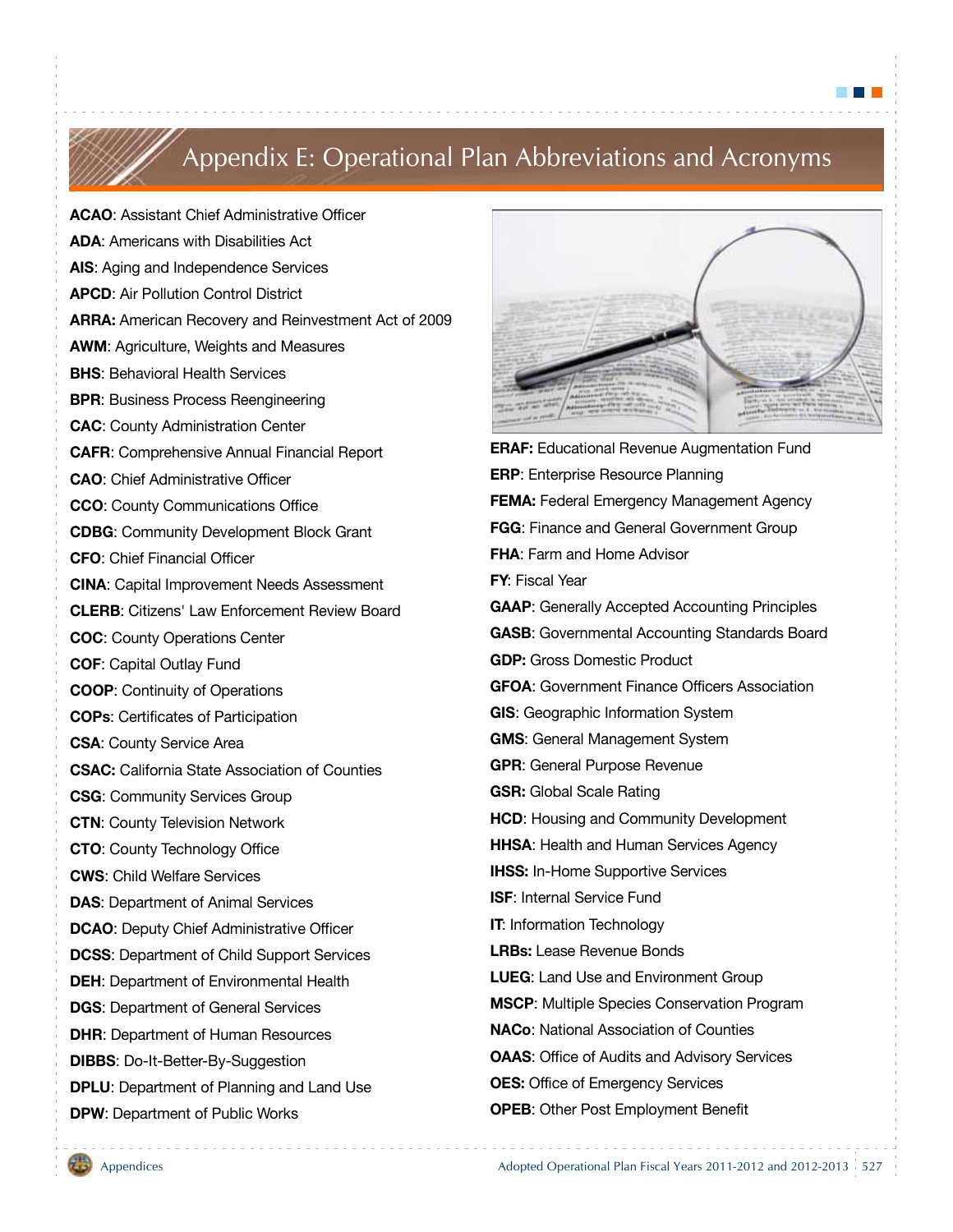## Appendix E: Operational Plan Abbreviations and Acronyms

**ACAO**: Assistant Chief Administrative Officer **ADA**: Americans with Disabilities Act **AIS**: Aging and Independence Services **APCD**: Air Pollution Control District **ARRA:** American Recovery and Reinvestment Act of 2009 **AWM**: Agriculture, Weights and Measures **BHS: Behavioral Health Services BPR: Business Process Reengineering CAC**: County Administration Center **CAFR**: Comprehensive Annual Financial Report **CAO**: Chief Administrative Officer **CCO**: County Communications Office **CDBG**: Community Development Block Grant **CFO**: Chief Financial Officer **CINA**: Capital Improvement Needs Assessment **CLERB**: Citizens' Law Enforcement Review Board **COC**: County Operations Center **COF**: Capital Outlay Fund **COOP**: Continuity of Operations **COPs**: Certificates of Participation **CSA**: County Service Area **CSAC:** California State Association of Counties **CSG**: Community Services Group **CTN**: County Television Network **CTO**: County Technology Office **CWS**: Child Welfare Services **DAS: Department of Animal Services DCAO**: Deputy Chief Administrative Officer **DCSS**: Department of Child Support Services **DEH**: Department of Environmental Health **DGS**: Department of General Services **DHR: Department of Human Resources DIBBS**: Do-It-Better-By-Suggestion **DPLU**: Department of Planning and Land Use **DPW**: Department of Public Works



**The Figure** 

**ERAF:** Educational Revenue Augmentation Fund **ERP**: Enterprise Resource Planning **FEMA:** Federal Emergency Management Agency **FGG**: Finance and General Government Group **FHA**: Farm and Home Advisor **FY**: Fiscal Year **GAAP**: Generally Accepted Accounting Principles **GASB**: Governmental Accounting Standards Board **GDP:** Gross Domestic Product **GFOA**: Government Finance Officers Association **GIS**: Geographic Information System **GMS**: General Management System **GPR**: General Purpose Revenue **GSR:** Global Scale Rating **HCD**: Housing and Community Development **HHSA**: Health and Human Services Agency **IHSS:** In-Home Supportive Services **ISF**: Internal Service Fund **IT:** Information Technology **LRBs:** Lease Revenue Bonds **LUEG**: Land Use and Environment Group **MSCP**: Multiple Species Conservation Program **NACo**: National Association of Counties **OAAS**: Office of Audits and Advisory Services **OES:** Office of Emergency Services **OPEB**: Other Post Employment Benefit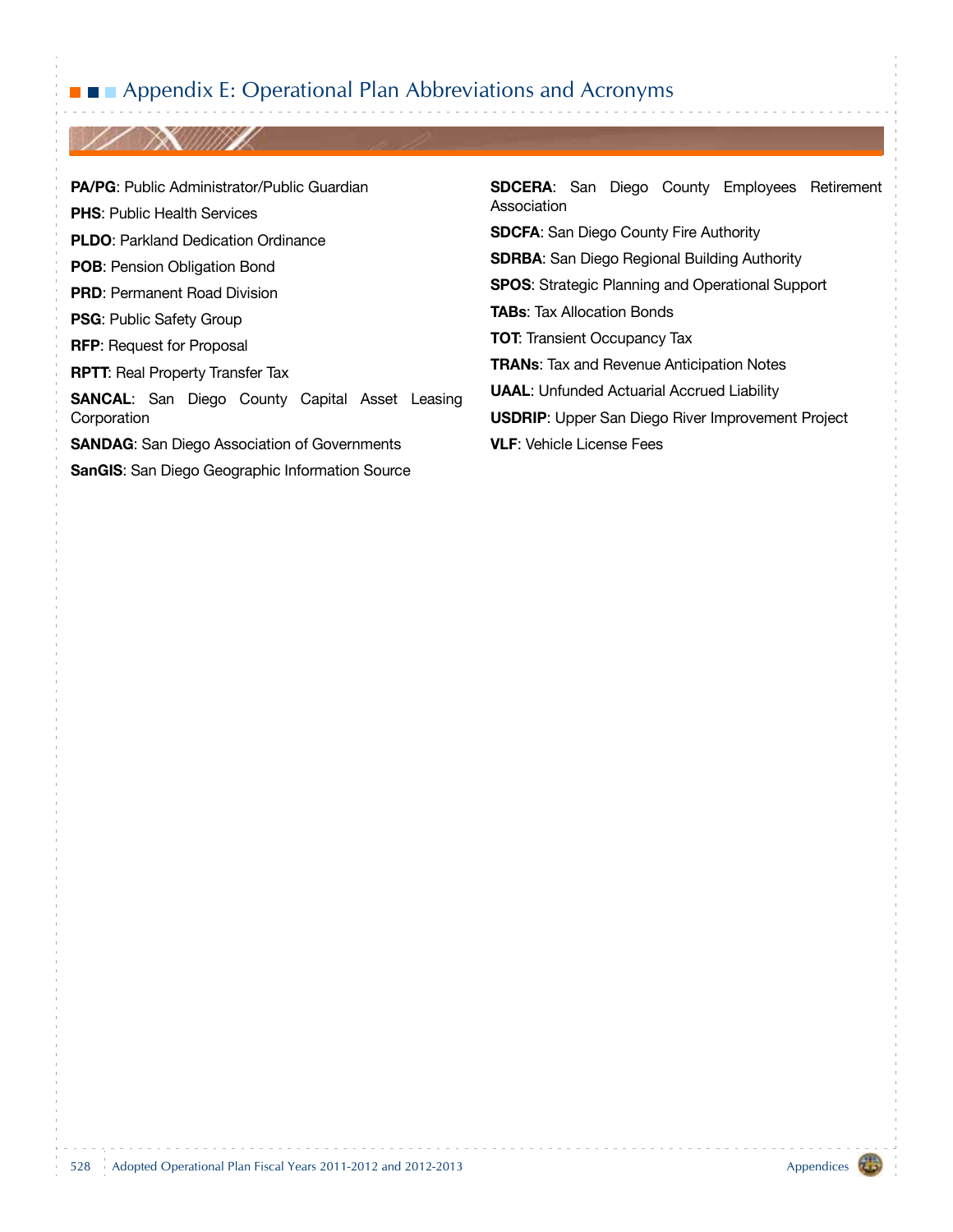#### **Appendix E: Operational Plan Abbreviations and Acronyms**

**PA/PG**: Public Administrator/Public Guardian **PHS**: Public Health Services **PLDO: Parkland Dedication Ordinance POB**: Pension Obligation Bond **PRD: Permanent Road Division PSG**: Public Safety Group **RFP**: Request for Proposal **RPTT**: Real Property Transfer Tax **SANCAL**: San Diego County Capital Asset Leasing Corporation **SANDAG**: San Diego Association of Governments **SanGIS**: San Diego Geographic Information Source **SDCERA**: San Diego County Employees Retirement Association **SDCFA**: San Diego County Fire Authority **SDRBA**: San Diego Regional Building Authority **SPOS**: Strategic Planning and Operational Support **TABs**: Tax Allocation Bonds **TOT: Transient Occupancy Tax TRANs**: Tax and Revenue Anticipation Notes **UAAL**: Unfunded Actuarial Accrued Liability **USDRIP**: Upper San Diego River Improvement Project **VLF**: Vehicle License Fees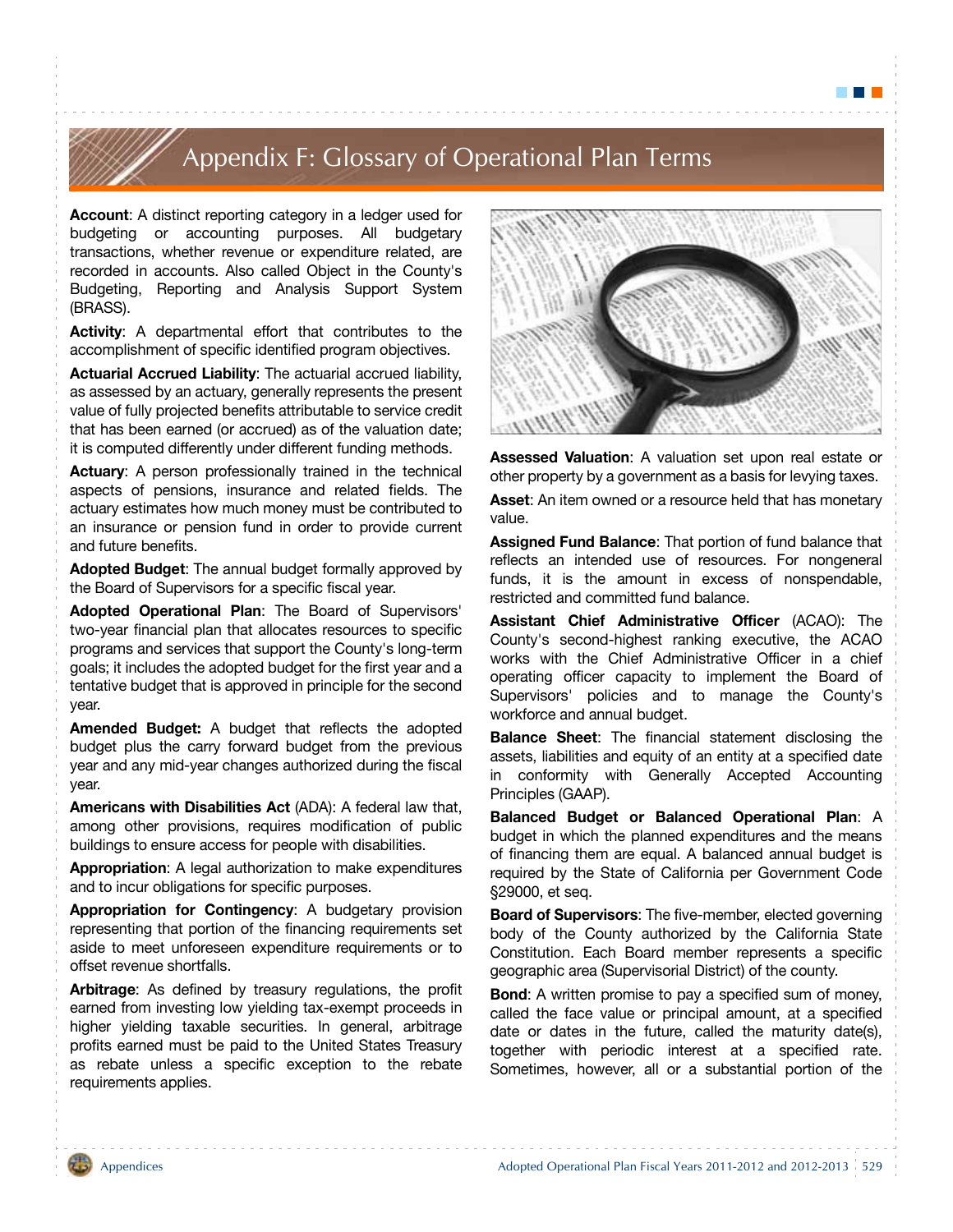## Appendix F: Glossary of Operational Plan Terms

**Account**: A distinct reporting category in a ledger used for budgeting or accounting purposes. All budgetary transactions, whether revenue or expenditure related, are recorded in accounts. Also called Object in the County's Budgeting, Reporting and Analysis Support System (BRASS).

**Activity**: A departmental effort that contributes to the accomplishment of specific identified program objectives.

**Actuarial Accrued Liability**: The actuarial accrued liability, as assessed by an actuary, generally represents the present value of fully projected benefits attributable to service credit that has been earned (or accrued) as of the valuation date; it is computed differently under different funding methods.

**Actuary**: A person professionally trained in the technical aspects of pensions, insurance and related fields. The actuary estimates how much money must be contributed to an insurance or pension fund in order to provide current and future benefits.

**Adopted Budget**: The annual budget formally approved by the Board of Supervisors for a specific fiscal year.

**Adopted Operational Plan**: The Board of Supervisors' two-year financial plan that allocates resources to specific programs and services that support the County's long-term goals; it includes the adopted budget for the first year and a tentative budget that is approved in principle for the second year.

**Amended Budget:** A budget that reflects the adopted budget plus the carry forward budget from the previous year and any mid-year changes authorized during the fiscal year.

**Americans with Disabilities Act** (ADA): A federal law that, among other provisions, requires modification of public buildings to ensure access for people with disabilities.

**Appropriation**: A legal authorization to make expenditures and to incur obligations for specific purposes.

**Appropriation for Contingency**: A budgetary provision representing that portion of the financing requirements set aside to meet unforeseen expenditure requirements or to offset revenue shortfalls.

**Arbitrage**: As defined by treasury regulations, the profit earned from investing low yielding tax-exempt proceeds in higher yielding taxable securities. In general, arbitrage profits earned must be paid to the United States Treasury as rebate unless a specific exception to the rebate requirements applies.



a a m

**Assessed Valuation**: A valuation set upon real estate or other property by a government as a basis for levying taxes.

**Asset**: An item owned or a resource held that has monetary value.

**Assigned Fund Balance**: That portion of fund balance that reflects an intended use of resources. For nongeneral funds, it is the amount in excess of nonspendable, restricted and committed fund balance.

**Assistant Chief Administrative Officer** (ACAO): The County's second-highest ranking executive, the ACAO works with the Chief Administrative Officer in a chief operating officer capacity to implement the Board of Supervisors' policies and to manage the County's workforce and annual budget.

**Balance Sheet**: The financial statement disclosing the assets, liabilities and equity of an entity at a specified date in conformity with Generally Accepted Accounting Principles (GAAP).

**Balanced Budget or Balanced Operational Plan**: A budget in which the planned expenditures and the means of financing them are equal. A balanced annual budget is required by the State of California per Government Code §29000, et seq.

**Board of Supervisors**: The five-member, elected governing body of the County authorized by the California State Constitution. Each Board member represents a specific geographic area (Supervisorial District) of the county.

**Bond**: A written promise to pay a specified sum of money, called the face value or principal amount, at a specified date or dates in the future, called the maturity date(s), together with periodic interest at a specified rate. Sometimes, however, all or a substantial portion of the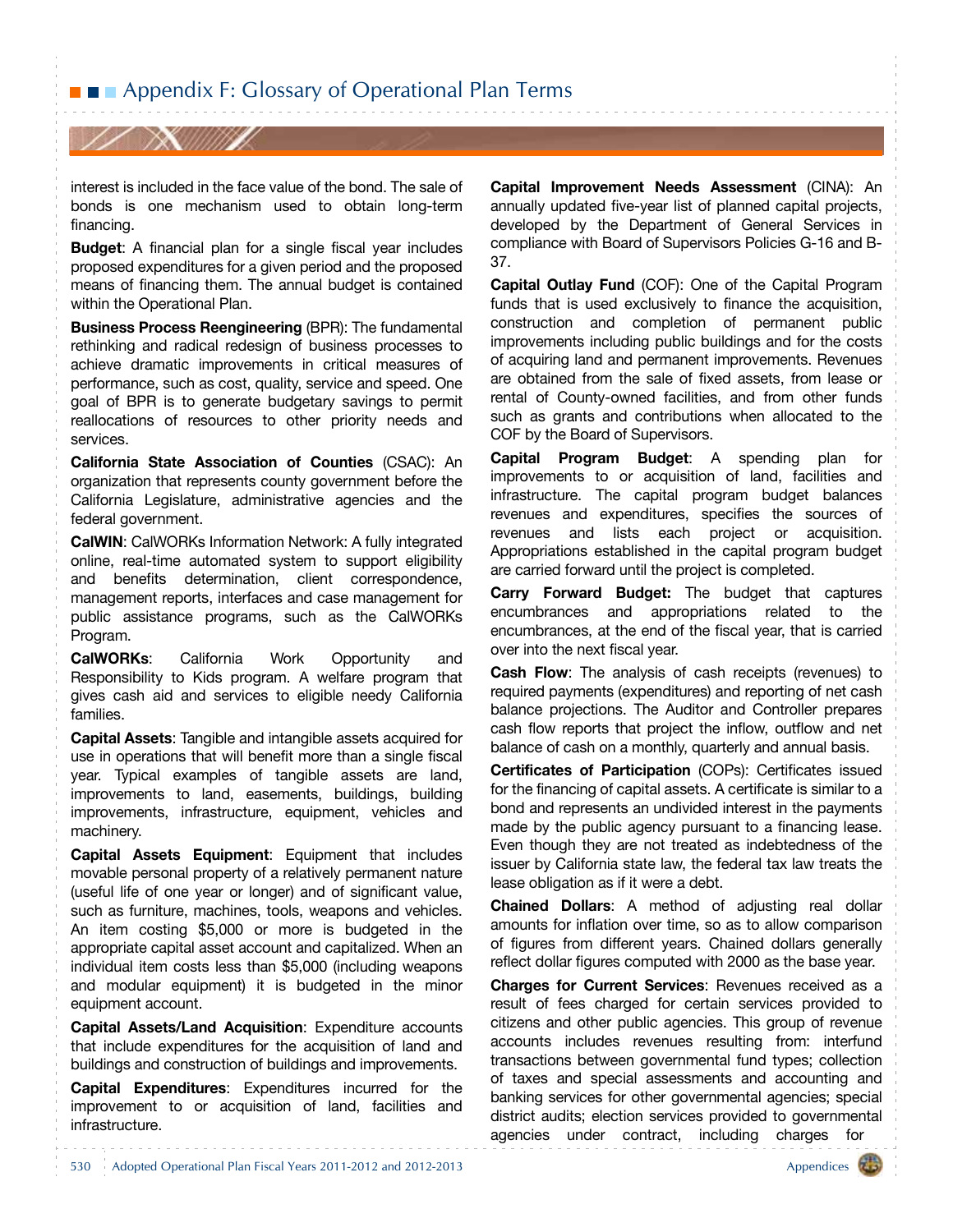interest is included in the face value of the bond. The sale of bonds is one mechanism used to obtain long-term financing.

**Budget**: A financial plan for a single fiscal year includes proposed expenditures for a given period and the proposed means of financing them. The annual budget is contained within the Operational Plan.

**Business Process Reengineering** (BPR): The fundamental rethinking and radical redesign of business processes to achieve dramatic improvements in critical measures of performance, such as cost, quality, service and speed. One goal of BPR is to generate budgetary savings to permit reallocations of resources to other priority needs and services.

**California State Association of Counties** (CSAC): An organization that represents county government before the California Legislature, administrative agencies and the federal government.

**CalWIN**: CalWORKs Information Network: A fully integrated online, real-time automated system to support eligibility and benefits determination, client correspondence, management reports, interfaces and case management for public assistance programs, such as the CalWORKs Program.

**CalWORKs**: California Work Opportunity and Responsibility to Kids program. A welfare program that gives cash aid and services to eligible needy California families.

**Capital Assets**: Tangible and intangible assets acquired for use in operations that will benefit more than a single fiscal year. Typical examples of tangible assets are land, improvements to land, easements, buildings, building improvements, infrastructure, equipment, vehicles and machinery.

**Capital Assets Equipment**: Equipment that includes movable personal property of a relatively permanent nature (useful life of one year or longer) and of significant value, such as furniture, machines, tools, weapons and vehicles. An item costing \$5,000 or more is budgeted in the appropriate capital asset account and capitalized. When an individual item costs less than \$5,000 (including weapons and modular equipment) it is budgeted in the minor equipment account.

**Capital Assets/Land Acquisition**: Expenditure accounts that include expenditures for the acquisition of land and buildings and construction of buildings and improvements.

**Capital Expenditures**: Expenditures incurred for the improvement to or acquisition of land, facilities and infrastructure.

**Capital Improvement Needs Assessment** (CINA): An annually updated five-year list of planned capital projects, developed by the Department of General Services in compliance with Board of Supervisors Policies G-16 and B-37.

**Capital Outlay Fund** (COF): One of the Capital Program funds that is used exclusively to finance the acquisition, construction and completion of permanent public improvements including public buildings and for the costs of acquiring land and permanent improvements. Revenues are obtained from the sale of fixed assets, from lease or rental of County-owned facilities, and from other funds such as grants and contributions when allocated to the COF by the Board of Supervisors.

**Capital Program Budget**: A spending plan for improvements to or acquisition of land, facilities and infrastructure. The capital program budget balances revenues and expenditures, specifies the sources of revenues and lists each project or acquisition. Appropriations established in the capital program budget are carried forward until the project is completed.

**Carry Forward Budget:** The budget that captures encumbrances and appropriations related to the encumbrances, at the end of the fiscal year, that is carried over into the next fiscal year.

**Cash Flow**: The analysis of cash receipts (revenues) to required payments (expenditures) and reporting of net cash balance projections. The Auditor and Controller prepares cash flow reports that project the inflow, outflow and net balance of cash on a monthly, quarterly and annual basis.

**Certificates of Participation** (COPs): Certificates issued for the financing of capital assets. A certificate is similar to a bond and represents an undivided interest in the payments made by the public agency pursuant to a financing lease. Even though they are not treated as indebtedness of the issuer by California state law, the federal tax law treats the lease obligation as if it were a debt.

**Chained Dollars**: A method of adjusting real dollar amounts for inflation over time, so as to allow comparison of figures from different years. Chained dollars generally reflect dollar figures computed with 2000 as the base year.

**Charges for Current Services**: Revenues received as a result of fees charged for certain services provided to citizens and other public agencies. This group of revenue accounts includes revenues resulting from: interfund transactions between governmental fund types; collection of taxes and special assessments and accounting and banking services for other governmental agencies; special district audits; election services provided to governmental agencies under contract, including charges for

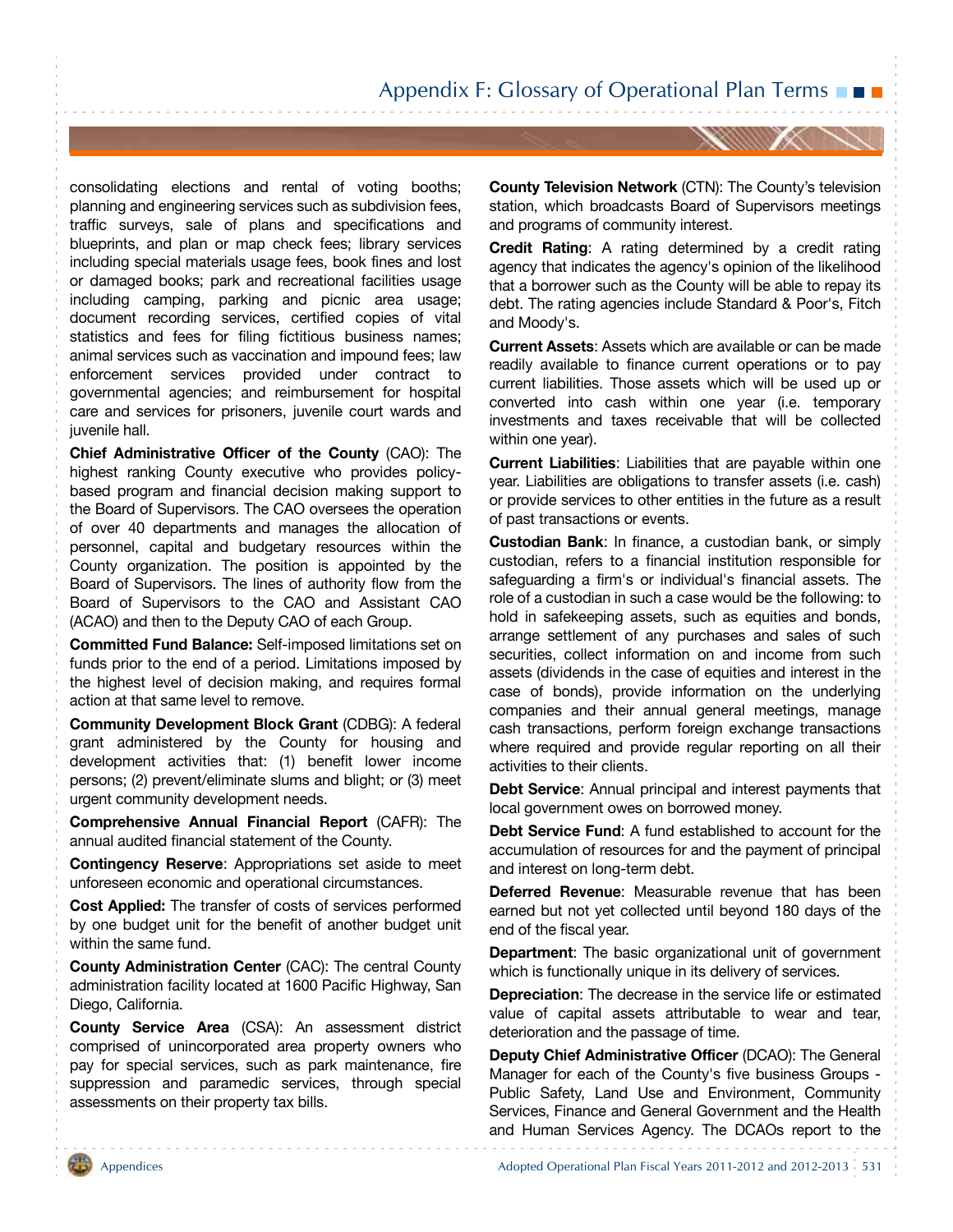consolidating elections and rental of voting booths; planning and engineering services such as subdivision fees, traffic surveys, sale of plans and specifications and blueprints, and plan or map check fees; library services including special materials usage fees, book fines and lost or damaged books; park and recreational facilities usage including camping, parking and picnic area usage; document recording services, certified copies of vital statistics and fees for filing fictitious business names; animal services such as vaccination and impound fees; law enforcement services provided under contract to governmental agencies; and reimbursement for hospital care and services for prisoners, juvenile court wards and juvenile hall.

**Chief Administrative Officer of the County** (CAO): The highest ranking County executive who provides policybased program and financial decision making support to the Board of Supervisors. The CAO oversees the operation of over 40 departments and manages the allocation of personnel, capital and budgetary resources within the County organization. The position is appointed by the Board of Supervisors. The lines of authority flow from the Board of Supervisors to the CAO and Assistant CAO (ACAO) and then to the Deputy CAO of each Group.

**Committed Fund Balance:** Self-imposed limitations set on funds prior to the end of a period. Limitations imposed by the highest level of decision making, and requires formal action at that same level to remove.

**Community Development Block Grant** (CDBG): A federal grant administered by the County for housing and development activities that: (1) benefit lower income persons; (2) prevent/eliminate slums and blight; or (3) meet urgent community development needs.

**Comprehensive Annual Financial Report** (CAFR): The annual audited financial statement of the County.

**Contingency Reserve**: Appropriations set aside to meet unforeseen economic and operational circumstances.

**Cost Applied:** The transfer of costs of services performed by one budget unit for the benefit of another budget unit within the same fund.

**County Administration Center** (CAC): The central County administration facility located at 1600 Pacific Highway, San Diego, California.

**County Service Area** (CSA): An assessment district comprised of unincorporated area property owners who pay for special services, such as park maintenance, fire suppression and paramedic services, through special assessments on their property tax bills.

**County Television Network** (CTN): The County's television station, which broadcasts Board of Supervisors meetings and programs of community interest.

**Credit Rating**: A rating determined by a credit rating agency that indicates the agency's opinion of the likelihood that a borrower such as the County will be able to repay its debt. The rating agencies include Standard & Poor's, Fitch and Moody's.

**Current Assets**: Assets which are available or can be made readily available to finance current operations or to pay current liabilities. Those assets which will be used up or converted into cash within one year (i.e. temporary investments and taxes receivable that will be collected within one year).

**Current Liabilities**: Liabilities that are payable within one year. Liabilities are obligations to transfer assets (i.e. cash) or provide services to other entities in the future as a result of past transactions or events.

**Custodian Bank**: In finance, a custodian bank, or simply custodian, refers to a financial institution responsible for safeguarding a firm's or individual's financial assets. The role of a custodian in such a case would be the following: to hold in safekeeping assets, such as equities and bonds, arrange settlement of any purchases and sales of such securities, collect information on and income from such assets (dividends in the case of equities and interest in the case of bonds), provide information on the underlying companies and their annual general meetings, manage cash transactions, perform foreign exchange transactions where required and provide regular reporting on all their activities to their clients.

**Debt Service**: Annual principal and interest payments that local government owes on borrowed money.

**Debt Service Fund**: A fund established to account for the accumulation of resources for and the payment of principal and interest on long-term debt.

**Deferred Revenue**: Measurable revenue that has been earned but not yet collected until beyond 180 days of the end of the fiscal year.

**Department**: The basic organizational unit of government which is functionally unique in its delivery of services.

**Depreciation**: The decrease in the service life or estimated value of capital assets attributable to wear and tear, deterioration and the passage of time.

**Deputy Chief Administrative Officer** (DCAO): The General Manager for each of the County's five business Groups - Public Safety, Land Use and Environment, Community Services, Finance and General Government and the Health and Human Services Agency. The DCAOs report to the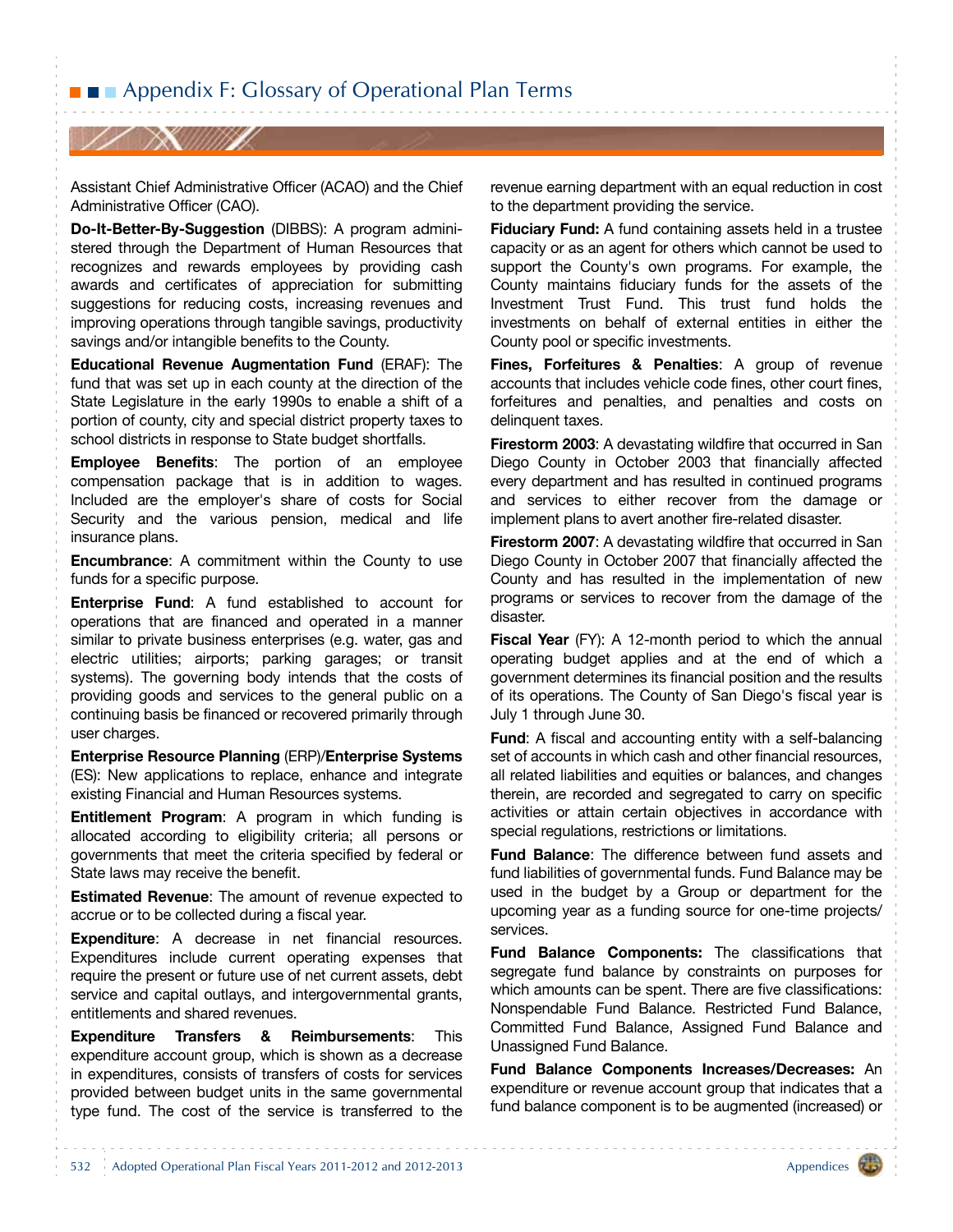Assistant Chief Administrative Officer (ACAO) and the Chief Administrative Officer (CAO).

**Do-It-Better-By-Suggestion** (DIBBS): A program administered through the Department of Human Resources that recognizes and rewards employees by providing cash awards and certificates of appreciation for submitting suggestions for reducing costs, increasing revenues and improving operations through tangible savings, productivity savings and/or intangible benefits to the County.

**Educational Revenue Augmentation Fund** (ERAF): The fund that was set up in each county at the direction of the State Legislature in the early 1990s to enable a shift of a portion of county, city and special district property taxes to school districts in response to State budget shortfalls.

**Employee Benefits**: The portion of an employee compensation package that is in addition to wages. Included are the employer's share of costs for Social Security and the various pension, medical and life insurance plans.

**Encumbrance**: A commitment within the County to use funds for a specific purpose.

**Enterprise Fund**: A fund established to account for operations that are financed and operated in a manner similar to private business enterprises (e.g. water, gas and electric utilities; airports; parking garages; or transit systems). The governing body intends that the costs of providing goods and services to the general public on a continuing basis be financed or recovered primarily through user charges.

**Enterprise Resource Planning** (ERP)/**Enterprise Systems** (ES): New applications to replace, enhance and integrate existing Financial and Human Resources systems.

**Entitlement Program**: A program in which funding is allocated according to eligibility criteria; all persons or governments that meet the criteria specified by federal or State laws may receive the benefit.

**Estimated Revenue**: The amount of revenue expected to accrue or to be collected during a fiscal year.

**Expenditure**: A decrease in net financial resources. Expenditures include current operating expenses that require the present or future use of net current assets, debt service and capital outlays, and intergovernmental grants, entitlements and shared revenues.

**Expenditure Transfers & Reimbursements**: This expenditure account group, which is shown as a decrease in expenditures, consists of transfers of costs for services provided between budget units in the same governmental type fund. The cost of the service is transferred to the revenue earning department with an equal reduction in cost to the department providing the service.

**Fiduciary Fund:** A fund containing assets held in a trustee capacity or as an agent for others which cannot be used to support the County's own programs. For example, the County maintains fiduciary funds for the assets of the Investment Trust Fund. This trust fund holds the investments on behalf of external entities in either the County pool or specific investments.

**Fines, Forfeitures & Penalties**: A group of revenue accounts that includes vehicle code fines, other court fines, forfeitures and penalties, and penalties and costs on delinquent taxes.

**Firestorm 2003:** A devastating wildfire that occurred in San Diego County in October 2003 that financially affected every department and has resulted in continued programs and services to either recover from the damage or implement plans to avert another fire-related disaster.

**Firestorm 2007:** A devastating wildfire that occurred in San Diego County in October 2007 that financially affected the County and has resulted in the implementation of new programs or services to recover from the damage of the disaster.

**Fiscal Year** (FY): A 12-month period to which the annual operating budget applies and at the end of which a government determines its financial position and the results of its operations. The County of San Diego's fiscal year is July 1 through June 30.

**Fund**: A fiscal and accounting entity with a self-balancing set of accounts in which cash and other financial resources, all related liabilities and equities or balances, and changes therein, are recorded and segregated to carry on specific activities or attain certain objectives in accordance with special regulations, restrictions or limitations.

**Fund Balance**: The difference between fund assets and fund liabilities of governmental funds. Fund Balance may be used in the budget by a Group or department for the upcoming year as a funding source for one-time projects/ services.

**Fund Balance Components:** The classifications that segregate fund balance by constraints on purposes for which amounts can be spent. There are five classifications: Nonspendable Fund Balance. Restricted Fund Balance, Committed Fund Balance, Assigned Fund Balance and Unassigned Fund Balance.

**Fund Balance Components Increases/Decreases:** An expenditure or revenue account group that indicates that a fund balance component is to be augmented (increased) or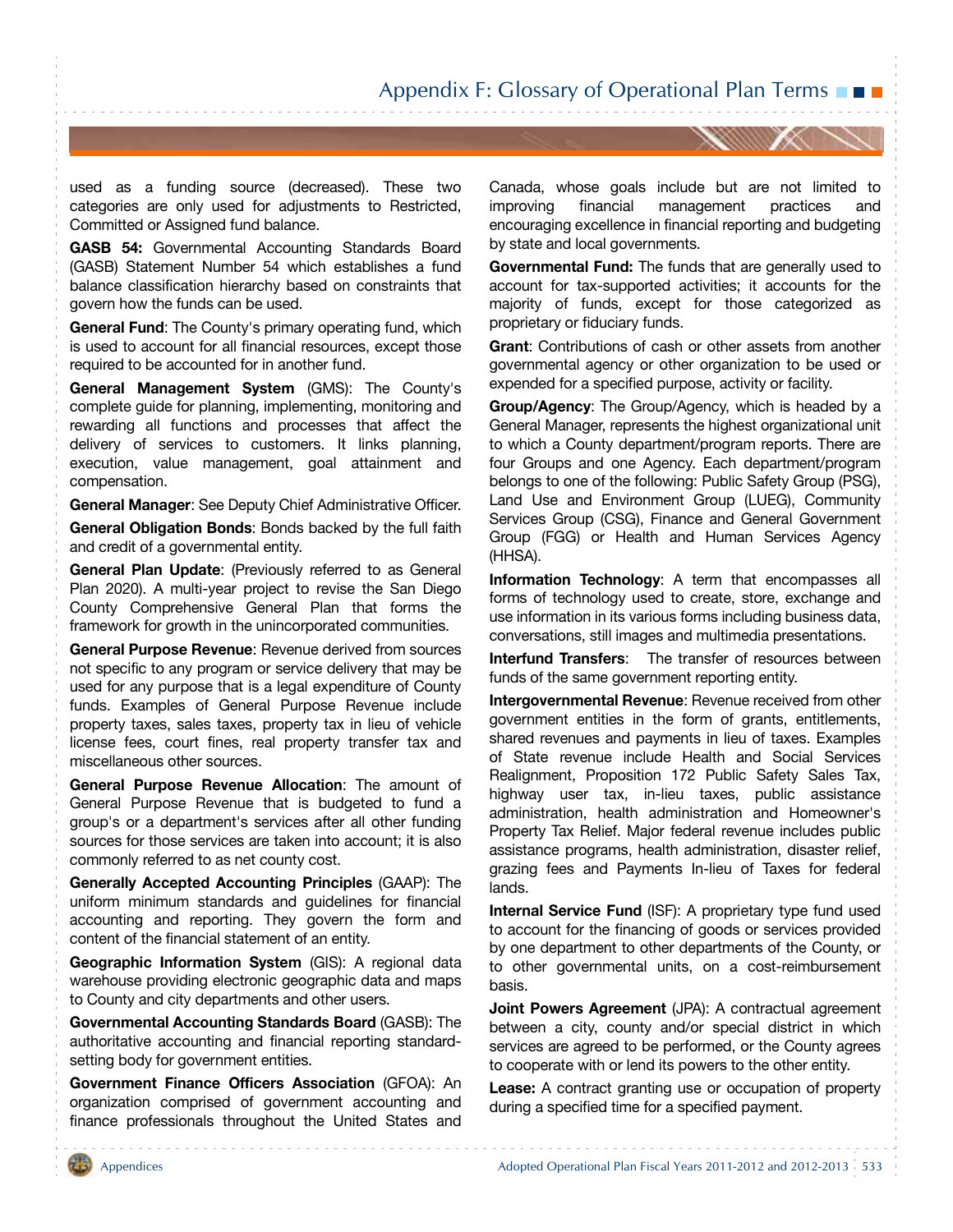used as a funding source (decreased). These two categories are only used for adjustments to Restricted, Committed or Assigned fund balance.

**GASB 54:** Governmental Accounting Standards Board (GASB) Statement Number 54 which establishes a fund balance classification hierarchy based on constraints that govern how the funds can be used.

**General Fund**: The County's primary operating fund, which is used to account for all financial resources, except those required to be accounted for in another fund.

**General Management System** (GMS): The County's complete guide for planning, implementing, monitoring and rewarding all functions and processes that affect the delivery of services to customers. It links planning, execution, value management, goal attainment and compensation.

**General Manager**: See Deputy Chief Administrative Officer.

**General Obligation Bonds**: Bonds backed by the full faith and credit of a governmental entity.

**General Plan Update**: (Previously referred to as General Plan 2020). A multi-year project to revise the San Diego County Comprehensive General Plan that forms the framework for growth in the unincorporated communities.

**General Purpose Revenue**: Revenue derived from sources not specific to any program or service delivery that may be used for any purpose that is a legal expenditure of County funds. Examples of General Purpose Revenue include property taxes, sales taxes, property tax in lieu of vehicle license fees, court fines, real property transfer tax and miscellaneous other sources.

**General Purpose Revenue Allocation**: The amount of General Purpose Revenue that is budgeted to fund a group's or a department's services after all other funding sources for those services are taken into account; it is also commonly referred to as net county cost.

**Generally Accepted Accounting Principles** (GAAP): The uniform minimum standards and guidelines for financial accounting and reporting. They govern the form and content of the financial statement of an entity.

**Geographic Information System** (GIS): A regional data warehouse providing electronic geographic data and maps to County and city departments and other users.

**Governmental Accounting Standards Board** (GASB): The authoritative accounting and financial reporting standardsetting body for government entities.

**Government Finance Officers Association** (GFOA): An organization comprised of government accounting and finance professionals throughout the United States and

Canada, whose goals include but are not limited to improving financial management practices and encouraging excellence in financial reporting and budgeting by state and local governments.

**Governmental Fund:** The funds that are generally used to account for tax-supported activities; it accounts for the majority of funds, except for those categorized as proprietary or fiduciary funds.

**Grant**: Contributions of cash or other assets from another governmental agency or other organization to be used or expended for a specified purpose, activity or facility.

**Group/Agency**: The Group/Agency, which is headed by a General Manager, represents the highest organizational unit to which a County department/program reports. There are four Groups and one Agency. Each department/program belongs to one of the following: Public Safety Group (PSG), Land Use and Environment Group (LUEG), Community Services Group (CSG), Finance and General Government Group (FGG) or Health and Human Services Agency (HHSA).

**Information Technology**: A term that encompasses all forms of technology used to create, store, exchange and use information in its various forms including business data, conversations, still images and multimedia presentations.

**Interfund Transfers**: The transfer of resources between funds of the same government reporting entity.

**Intergovernmental Revenue**: Revenue received from other government entities in the form of grants, entitlements, shared revenues and payments in lieu of taxes. Examples of State revenue include Health and Social Services Realignment, Proposition 172 Public Safety Sales Tax, highway user tax, in-lieu taxes, public assistance administration, health administration and Homeowner's Property Tax Relief. Major federal revenue includes public assistance programs, health administration, disaster relief, grazing fees and Payments In-lieu of Taxes for federal lands.

**Internal Service Fund** (ISF): A proprietary type fund used to account for the financing of goods or services provided by one department to other departments of the County, or to other governmental units, on a cost-reimbursement basis.

**Joint Powers Agreement** (JPA): A contractual agreement between a city, county and/or special district in which services are agreed to be performed, or the County agrees to cooperate with or lend its powers to the other entity.

**Lease:** A contract granting use or occupation of property during a specified time for a specified payment.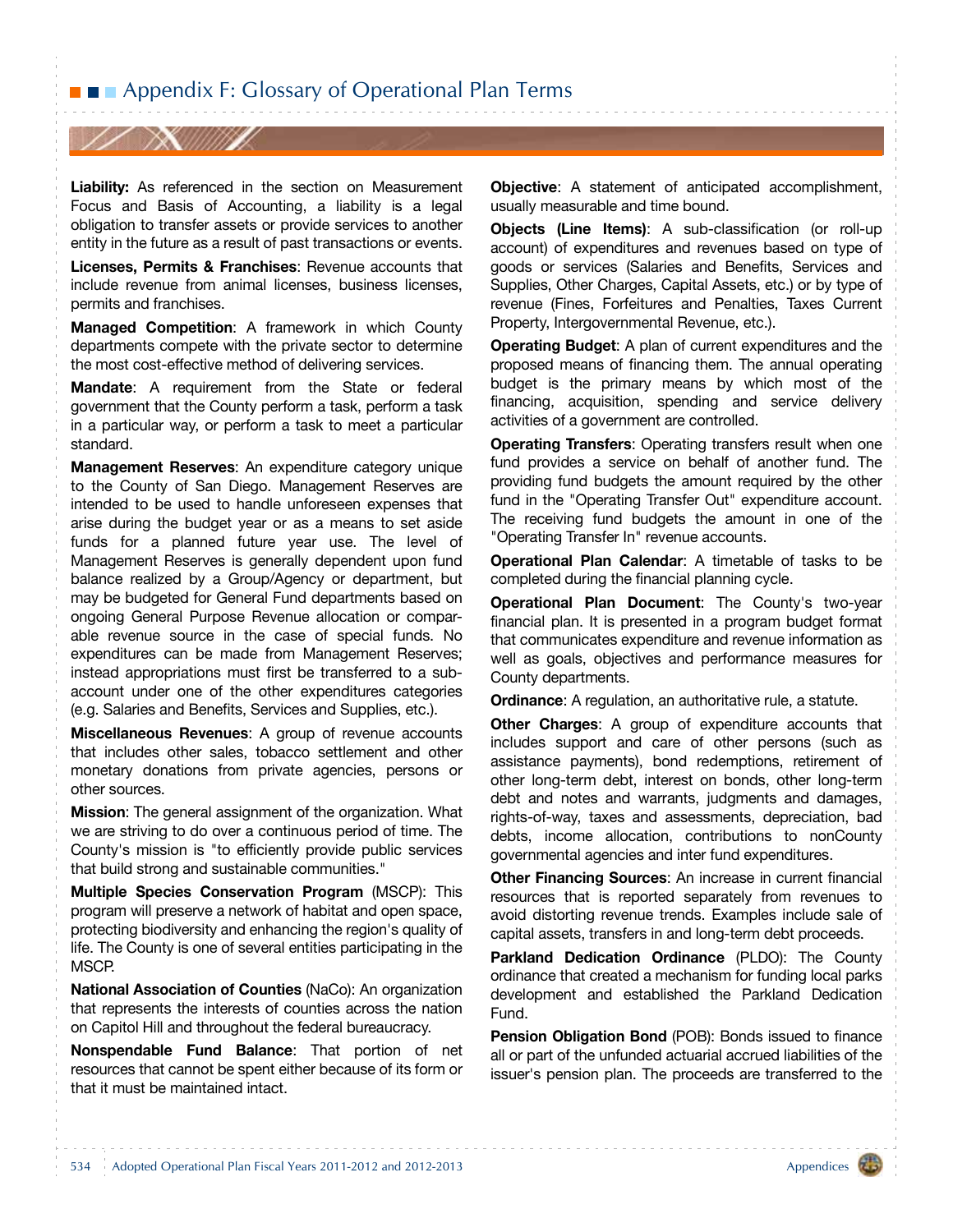**Liability:** As referenced in the section on Measurement Focus and Basis of Accounting, a liability is a legal obligation to transfer assets or provide services to another entity in the future as a result of past transactions or events.

**Licenses, Permits & Franchises**: Revenue accounts that include revenue from animal licenses, business licenses, permits and franchises.

**Managed Competition**: A framework in which County departments compete with the private sector to determine the most cost-effective method of delivering services.

**Mandate**: A requirement from the State or federal government that the County perform a task, perform a task in a particular way, or perform a task to meet a particular standard.

**Management Reserves**: An expenditure category unique to the County of San Diego. Management Reserves are intended to be used to handle unforeseen expenses that arise during the budget year or as a means to set aside funds for a planned future year use. The level of Management Reserves is generally dependent upon fund balance realized by a Group/Agency or department, but may be budgeted for General Fund departments based on ongoing General Purpose Revenue allocation or comparable revenue source in the case of special funds. No expenditures can be made from Management Reserves; instead appropriations must first be transferred to a subaccount under one of the other expenditures categories (e.g. Salaries and Benefits, Services and Supplies, etc.).

**Miscellaneous Revenues**: A group of revenue accounts that includes other sales, tobacco settlement and other monetary donations from private agencies, persons or other sources.

**Mission**: The general assignment of the organization. What we are striving to do over a continuous period of time. The County's mission is "to efficiently provide public services that build strong and sustainable communities."

**Multiple Species Conservation Program** (MSCP): This program will preserve a network of habitat and open space, protecting biodiversity and enhancing the region's quality of life. The County is one of several entities participating in the MSCP.

**National Association of Counties** (NaCo): An organization that represents the interests of counties across the nation on Capitol Hill and throughout the federal bureaucracy.

**Nonspendable Fund Balance**: That portion of net resources that cannot be spent either because of its form or that it must be maintained intact.

**Objective**: A statement of anticipated accomplishment, usually measurable and time bound.

**Objects (Line Items)**: A sub-classification (or roll-up account) of expenditures and revenues based on type of goods or services (Salaries and Benefits, Services and Supplies, Other Charges, Capital Assets, etc.) or by type of revenue (Fines, Forfeitures and Penalties, Taxes Current Property, Intergovernmental Revenue, etc.).

**Operating Budget**: A plan of current expenditures and the proposed means of financing them. The annual operating budget is the primary means by which most of the financing, acquisition, spending and service delivery activities of a government are controlled.

**Operating Transfers**: Operating transfers result when one fund provides a service on behalf of another fund. The providing fund budgets the amount required by the other fund in the "Operating Transfer Out" expenditure account. The receiving fund budgets the amount in one of the "Operating Transfer In" revenue accounts.

**Operational Plan Calendar**: A timetable of tasks to be completed during the financial planning cycle.

**Operational Plan Document**: The County's two-year financial plan. It is presented in a program budget format that communicates expenditure and revenue information as well as goals, objectives and performance measures for County departments.

**Ordinance**: A regulation, an authoritative rule, a statute.

**Other Charges**: A group of expenditure accounts that includes support and care of other persons (such as assistance payments), bond redemptions, retirement of other long-term debt, interest on bonds, other long-term debt and notes and warrants, judgments and damages, rights-of-way, taxes and assessments, depreciation, bad debts, income allocation, contributions to nonCounty governmental agencies and inter fund expenditures.

**Other Financing Sources**: An increase in current financial resources that is reported separately from revenues to avoid distorting revenue trends. Examples include sale of capital assets, transfers in and long-term debt proceeds.

**Parkland Dedication Ordinance** (PLDO): The County ordinance that created a mechanism for funding local parks development and established the Parkland Dedication Fund.

**Pension Obligation Bond** (POB): Bonds issued to finance all or part of the unfunded actuarial accrued liabilities of the issuer's pension plan. The proceeds are transferred to the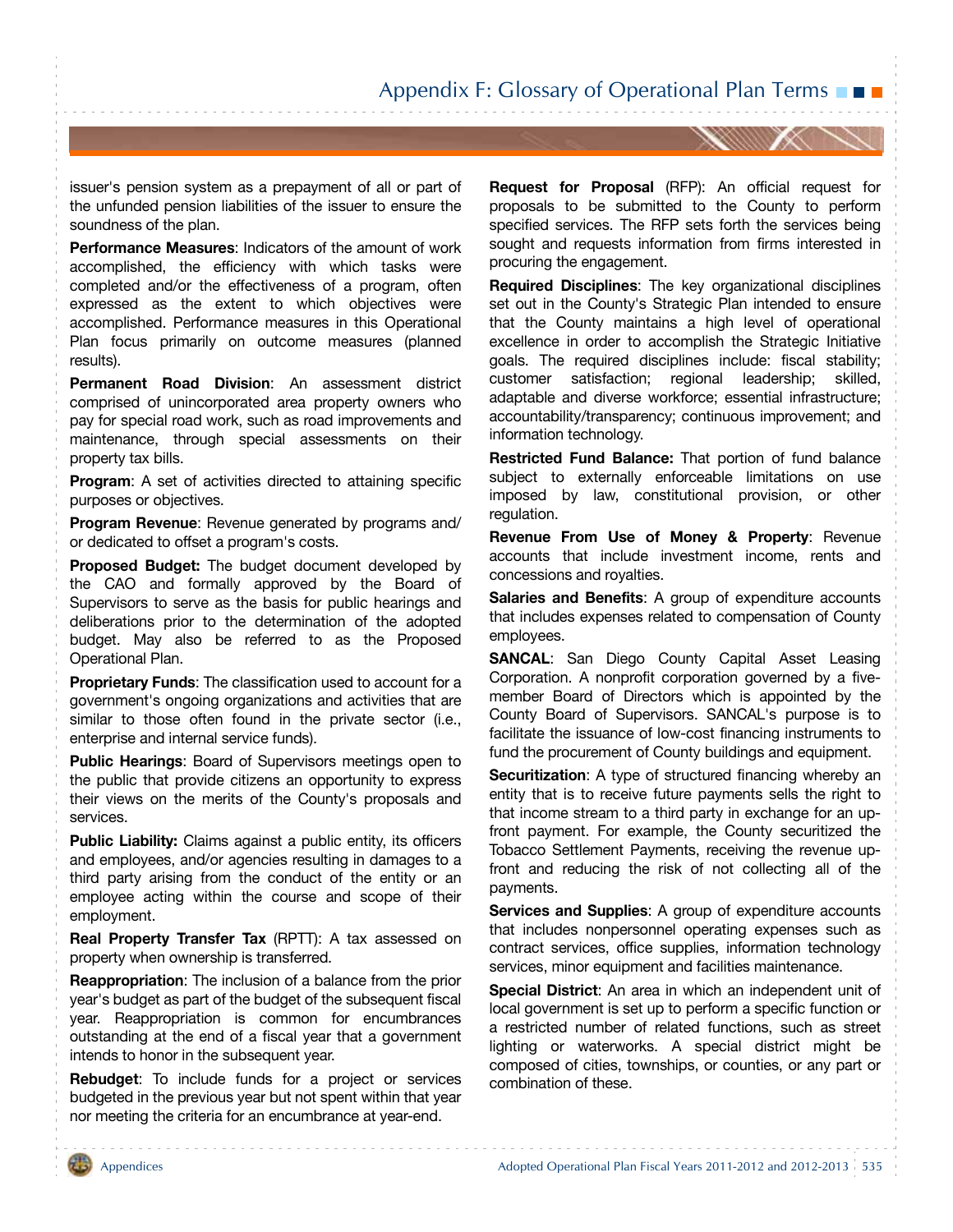issuer's pension system as a prepayment of all or part of the unfunded pension liabilities of the issuer to ensure the soundness of the plan.

**Performance Measures**: Indicators of the amount of work accomplished, the efficiency with which tasks were completed and/or the effectiveness of a program, often expressed as the extent to which objectives were accomplished. Performance measures in this Operational Plan focus primarily on outcome measures (planned results).

**Permanent Road Division**: An assessment district comprised of unincorporated area property owners who pay for special road work, such as road improvements and maintenance, through special assessments on their property tax bills.

**Program**: A set of activities directed to attaining specific purposes or objectives.

**Program Revenue**: Revenue generated by programs and/ or dedicated to offset a program's costs.

**Proposed Budget:** The budget document developed by the CAO and formally approved by the Board of Supervisors to serve as the basis for public hearings and deliberations prior to the determination of the adopted budget. May also be referred to as the Proposed Operational Plan.

**Proprietary Funds**: The classification used to account for a government's ongoing organizations and activities that are similar to those often found in the private sector (i.e., enterprise and internal service funds).

**Public Hearings**: Board of Supervisors meetings open to the public that provide citizens an opportunity to express their views on the merits of the County's proposals and services.

**Public Liability:** Claims against a public entity, its officers and employees, and/or agencies resulting in damages to a third party arising from the conduct of the entity or an employee acting within the course and scope of their employment.

**Real Property Transfer Tax** (RPTT): A tax assessed on property when ownership is transferred.

**Reappropriation**: The inclusion of a balance from the prior year's budget as part of the budget of the subsequent fiscal year. Reappropriation is common for encumbrances outstanding at the end of a fiscal year that a government intends to honor in the subsequent year.

**Rebudget**: To include funds for a project or services budgeted in the previous year but not spent within that year nor meeting the criteria for an encumbrance at year-end.

**Request for Proposal** (RFP): An official request for proposals to be submitted to the County to perform specified services. The RFP sets forth the services being sought and requests information from firms interested in procuring the engagement.

**Required Disciplines**: The key organizational disciplines set out in the County's Strategic Plan intended to ensure that the County maintains a high level of operational excellence in order to accomplish the Strategic Initiative goals. The required disciplines include: fiscal stability; customer satisfaction; regional leadership; skilled, adaptable and diverse workforce; essential infrastructure; accountability/transparency; continuous improvement; and information technology.

**Restricted Fund Balance:** That portion of fund balance subject to externally enforceable limitations on use imposed by law, constitutional provision, or other regulation.

**Revenue From Use of Money & Property**: Revenue accounts that include investment income, rents and concessions and royalties.

**Salaries and Benefits**: A group of expenditure accounts that includes expenses related to compensation of County employees.

**SANCAL**: San Diego County Capital Asset Leasing Corporation. A nonprofit corporation governed by a fivemember Board of Directors which is appointed by the County Board of Supervisors. SANCAL's purpose is to facilitate the issuance of low-cost financing instruments to fund the procurement of County buildings and equipment.

**Securitization:** A type of structured financing whereby an entity that is to receive future payments sells the right to that income stream to a third party in exchange for an upfront payment. For example, the County securitized the Tobacco Settlement Payments, receiving the revenue upfront and reducing the risk of not collecting all of the payments.

**Services and Supplies:** A group of expenditure accounts that includes nonpersonnel operating expenses such as contract services, office supplies, information technology services, minor equipment and facilities maintenance.

**Special District**: An area in which an independent unit of local government is set up to perform a specific function or a restricted number of related functions, such as street lighting or waterworks. A special district might be composed of cities, townships, or counties, or any part or combination of these.